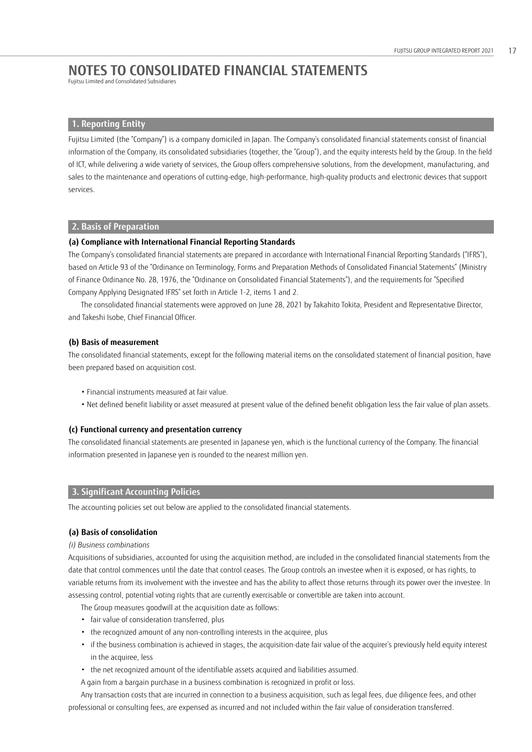Fujitsu Limited and Consolidated Subsidiaries

## **1. Reporting Entity**

Fujitsu Limited (the "Company") is a company domiciled in Japan. The Company's consolidated financial statements consist of financial information of the Company, its consolidated subsidiaries (together, the "Group"), and the equity interests held by the Group. In the field of ICT, while delivering a wide variety of services, the Group offers comprehensive solutions, from the development, manufacturing, and sales to the maintenance and operations of cutting-edge, high-performance, high-quality products and electronic devices that support services.

### **2. Basis of Preparation**

### **(a) Compliance with International Financial Reporting Standards**

The Company's consolidated financial statements are prepared in accordance with International Financial Reporting Standards ("IFRS"), based on Article 93 of the "Ordinance on Terminology, Forms and Preparation Methods of Consolidated Financial Statements" (Ministry of Finance Ordinance No. 28, 1976, the "Ordinance on Consolidated Financial Statements"), and the requirements for "Specified Company Applying Designated IFRS" set forth in Article 1-2, items 1 and 2.

The consolidated financial statements were approved on June 28, 2021 by Takahito Tokita, President and Representative Director, and Takeshi Isobe, Chief Financial Officer.

#### **(b) Basis of measurement**

The consolidated financial statements, except for the following material items on the consolidated statement of financial position, have been prepared based on acquisition cost.

- Financial instruments measured at fair value.
- Net defined benefit liability or asset measured at present value of the defined benefit obligation less the fair value of plan assets.

## **(c) Functional currency and presentation currency**

The consolidated financial statements are presented in Japanese yen, which is the functional currency of the Company. The financial information presented in Japanese yen is rounded to the nearest million yen.

## **3. Significant Accounting Policies**

The accounting policies set out below are applied to the consolidated financial statements.

## **(a) Basis of consolidation**

#### *(i) Business combinations*

Acquisitions of subsidiaries, accounted for using the acquisition method, are included in the consolidated financial statements from the date that control commences until the date that control ceases. The Group controls an investee when it is exposed, or has rights, to variable returns from its involvement with the investee and has the ability to affect those returns through its power over the investee. In assessing control, potential voting rights that are currently exercisable or convertible are taken into account.

The Group measures goodwill at the acquisition date as follows:

- fair value of consideration transferred, plus
- the recognized amount of any non-controlling interests in the acquiree, plus
- if the business combination is achieved in stages, the acquisition-date fair value of the acquirer's previously held equity interest in the acquiree, less
- the net recognized amount of the identifiable assets acquired and liabilities assumed.
- A gain from a bargain purchase in a business combination is recognized in profit or loss.

Any transaction costs that are incurred in connection to a business acquisition, such as legal fees, due diligence fees, and other professional or consulting fees, are expensed as incurred and not included within the fair value of consideration transferred.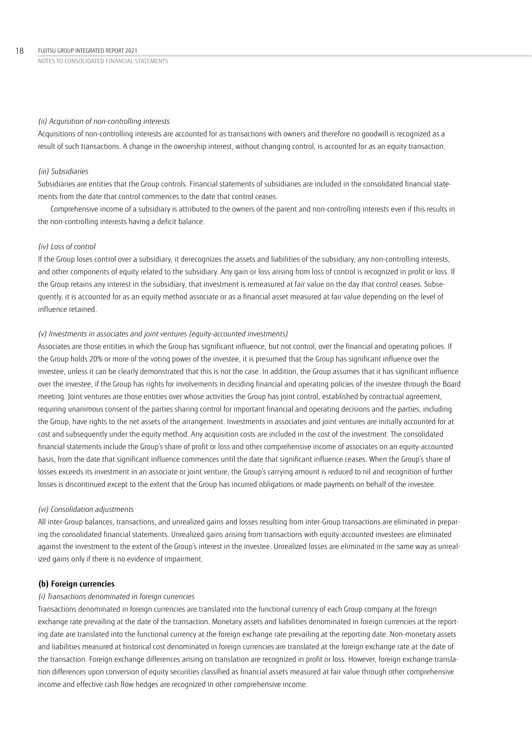#### *(ii) Acquisition of non-controlling interests*

Acquisitions of non-controlling interests are accounted for as transactions with owners and therefore no goodwill is recognized as a result of such transactions. A change in the ownership interest, without changing control, is accounted for as an equity transaction.

## *(iii) Subsidiaries*

Subsidiaries are entities that the Group controls. Financial statements of subsidiaries are included in the consolidated financial statements from the date that control commences to the date that control ceases.

Comprehensive income of a subsidiary is attributed to the owners of the parent and non-controlling interests even if this results in the non-controlling interests having a deficit balance.

#### *(iv) Loss of control*

If the Group loses control over a subsidiary, it derecognizes the assets and liabilities of the subsidiary, any non-controlling interests, and other components of equity related to the subsidiary. Any gain or loss arising from loss of control is recognized in profit or loss. If the Group retains any interest in the subsidiary, that investment is remeasured at fair value on the day that control ceases. Subsequently, it is accounted for as an equity method associate or as a financial asset measured at fair value depending on the level of influence retained.

#### *(v) Investments in associates and joint ventures (equity-accounted investments)*

Associates are those entities in which the Group has significant influence, but not control, over the financial and operating policies. If the Group holds 20% or more of the voting power of the investee, it is presumed that the Group has significant influence over the investee, unless it can be clearly demonstrated that this is not the case. In addition, the Group assumes that it has significant influence over the investee, if the Group has rights for involvements in deciding financial and operating policies of the investee through the Board meeting. Joint ventures are those entities over whose activities the Group has joint control, established by contractual agreement, requiring unanimous consent of the parties sharing control for important financial and operating decisions and the parties, including the Group, have rights to the net assets of the arrangement. Investments in associates and joint ventures are initially accounted for at cost and subsequently under the equity method. Any acquisition costs are included in the cost of the investment. The consolidated financial statements include the Group's share of profit or loss and other comprehensive income of associates on an equity-accounted basis, from the date that significant influence commences until the date that significant influence ceases. When the Group's share of losses exceeds its investment in an associate or joint venture, the Group's carrying amount is reduced to nil and recognition of further losses is discontinued except to the extent that the Group has incurred obligations or made payments on behalf of the investee.

#### *(vi) Consolidation adjustments*

All inter-Group balances, transactions, and unrealized gains and losses resulting from inter-Group transactions are eliminated in preparing the consolidated financial statements. Unrealized gains arising from transactions with equity-accounted investees are eliminated against the investment to the extent of the Group's interest in the investee. Unrealized losses are eliminated in the same way as unrealized gains only if there is no evidence of impairment.

#### **(b) Foreign currencies**

#### *(i) Transactions denominated in foreign currencies*

Transactions denominated in foreign currencies are translated into the functional currency of each Group company at the foreign exchange rate prevailing at the date of the transaction. Monetary assets and liabilities denominated in foreign currencies at the reporting date are translated into the functional currency at the foreign exchange rate prevailing at the reporting date. Non-monetary assets and liabilities measured at historical cost denominated in foreign currencies are translated at the foreign exchange rate at the date of the transaction. Foreign exchange differences arising on translation are recognized in profit or loss. However, foreign exchange translation differences upon conversion of equity securities classified as financial assets measured at fair value through other comprehensive income and effective cash flow hedges are recognized in other comprehensive income.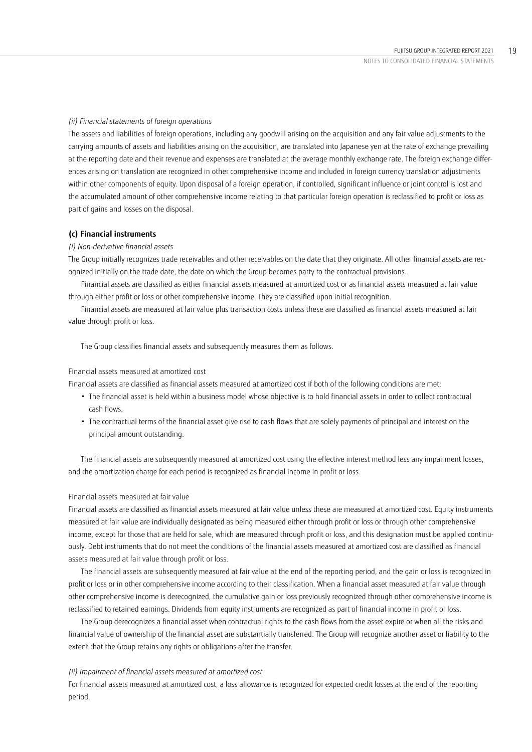### *(ii) Financial statements of foreign operations*

The assets and liabilities of foreign operations, including any goodwill arising on the acquisition and any fair value adjustments to the carrying amounts of assets and liabilities arising on the acquisition, are translated into Japanese yen at the rate of exchange prevailing at the reporting date and their revenue and expenses are translated at the average monthly exchange rate. The foreign exchange differences arising on translation are recognized in other comprehensive income and included in foreign currency translation adjustments within other components of equity. Upon disposal of a foreign operation, if controlled, significant influence or joint control is lost and the accumulated amount of other comprehensive income relating to that particular foreign operation is reclassified to profit or loss as part of gains and losses on the disposal.

#### **(c) Financial instruments**

#### *(i) Non-derivative financial assets*

The Group initially recognizes trade receivables and other receivables on the date that they originate. All other financial assets are recognized initially on the trade date, the date on which the Group becomes party to the contractual provisions.

Financial assets are classified as either financial assets measured at amortized cost or as financial assets measured at fair value through either profit or loss or other comprehensive income. They are classified upon initial recognition.

Financial assets are measured at fair value plus transaction costs unless these are classified as financial assets measured at fair value through profit or loss.

The Group classifies financial assets and subsequently measures them as follows.

#### Financial assets measured at amortized cost

Financial assets are classified as financial assets measured at amortized cost if both of the following conditions are met:

- The financial asset is held within a business model whose objective is to hold financial assets in order to collect contractual cash flows.
- The contractual terms of the financial asset give rise to cash flows that are solely payments of principal and interest on the principal amount outstanding.

The financial assets are subsequently measured at amortized cost using the effective interest method less any impairment losses, and the amortization charge for each period is recognized as financial income in profit or loss.

#### Financial assets measured at fair value

Financial assets are classified as financial assets measured at fair value unless these are measured at amortized cost. Equity instruments measured at fair value are individually designated as being measured either through profit or loss or through other comprehensive income, except for those that are held for sale, which are measured through profit or loss, and this designation must be applied continuously. Debt instruments that do not meet the conditions of the financial assets measured at amortized cost are classified as financial assets measured at fair value through profit or loss.

The financial assets are subsequently measured at fair value at the end of the reporting period, and the gain or loss is recognized in profit or loss or in other comprehensive income according to their classification. When a financial asset measured at fair value through other comprehensive income is derecognized, the cumulative gain or loss previously recognized through other comprehensive income is reclassified to retained earnings. Dividends from equity instruments are recognized as part of financial income in profit or loss.

The Group derecognizes a financial asset when contractual rights to the cash flows from the asset expire or when all the risks and financial value of ownership of the financial asset are substantially transferred. The Group will recognize another asset or liability to the extent that the Group retains any rights or obligations after the transfer.

#### *(ii) Impairment of financial assets measured at amortized cost*

For financial assets measured at amortized cost, a loss allowance is recognized for expected credit losses at the end of the reporting period.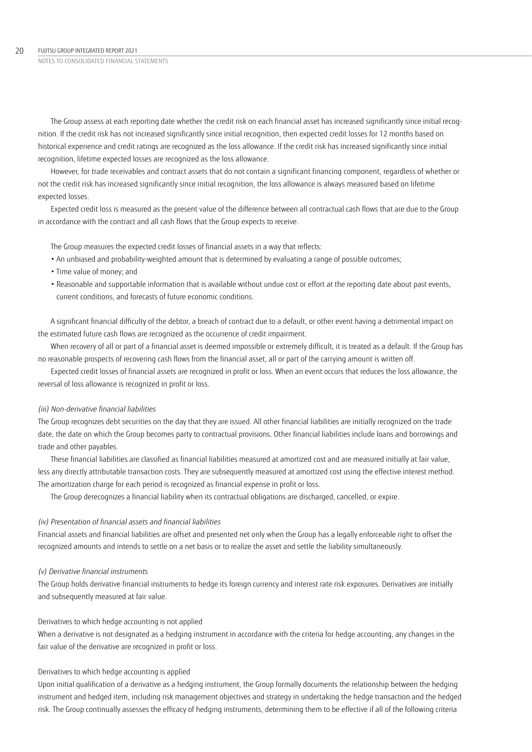The Group assess at each reporting date whether the credit risk on each financial asset has increased significantly since initial recognition. If the credit risk has not increased significantly since initial recognition, then expected credit losses for 12 months based on historical experience and credit ratings are recognized as the loss allowance. If the credit risk has increased significantly since initial recognition, lifetime expected losses are recognized as the loss allowance.

However, for trade receivables and contract assets that do not contain a significant financing component, regardless of whether or not the credit risk has increased significantly since initial recognition, the loss allowance is always measured based on lifetime expected losses.

Expected credit loss is measured as the present value of the difference between all contractual cash flows that are due to the Group in accordance with the contract and all cash flows that the Group expects to receive.

The Group measures the expected credit losses of financial assets in a way that reflects:

- An unbiased and probability-weighted amount that is determined by evaluating a range of possible outcomes;
- Time value of money; and
- Reasonable and supportable information that is available without undue cost or effort at the reporting date about past events, current conditions, and forecasts of future economic conditions.

A significant financial difficulty of the debtor, a breach of contract due to a default, or other event having a detrimental impact on the estimated future cash flows are recognized as the occurrence of credit impairment.

When recovery of all or part of a financial asset is deemed impossible or extremely difficult, it is treated as a default. If the Group has no reasonable prospects of recovering cash flows from the financial asset, all or part of the carrying amount is written off.

Expected credit losses of financial assets are recognized in profit or loss. When an event occurs that reduces the loss allowance, the reversal of loss allowance is recognized in profit or loss.

#### *(iii) Non-derivative financial liabilities*

The Group recognizes debt securities on the day that they are issued. All other financial liabilities are initially recognized on the trade date, the date on which the Group becomes party to contractual provisions. Other financial liabilities include loans and borrowings and trade and other payables.

These financial liabilities are classified as financial liabilities measured at amortized cost and are measured initially at fair value, less any directly attributable transaction costs. They are subsequently measured at amortized cost using the effective interest method. The amortization charge for each period is recognized as financial expense in profit or loss.

The Group derecognizes a financial liability when its contractual obligations are discharged, cancelled, or expire.

## *(iv) Presentation of financial assets and financial liabilities*

Financial assets and financial liabilities are offset and presented net only when the Group has a legally enforceable right to offset the recognized amounts and intends to settle on a net basis or to realize the asset and settle the liability simultaneously.

#### *(v) Derivative financial instruments*

The Group holds derivative financial instruments to hedge its foreign currency and interest rate risk exposures. Derivatives are initially and subsequently measured at fair value.

#### Derivatives to which hedge accounting is not applied

When a derivative is not designated as a hedging instrument in accordance with the criteria for hedge accounting, any changes in the fair value of the derivative are recognized in profit or loss.

#### Derivatives to which hedge accounting is applied

Upon initial qualification of a derivative as a hedging instrument, the Group formally documents the relationship between the hedging instrument and hedged item, including risk management objectives and strategy in undertaking the hedge transaction and the hedged risk. The Group continually assesses the efficacy of hedging instruments, determining them to be effective if all of the following criteria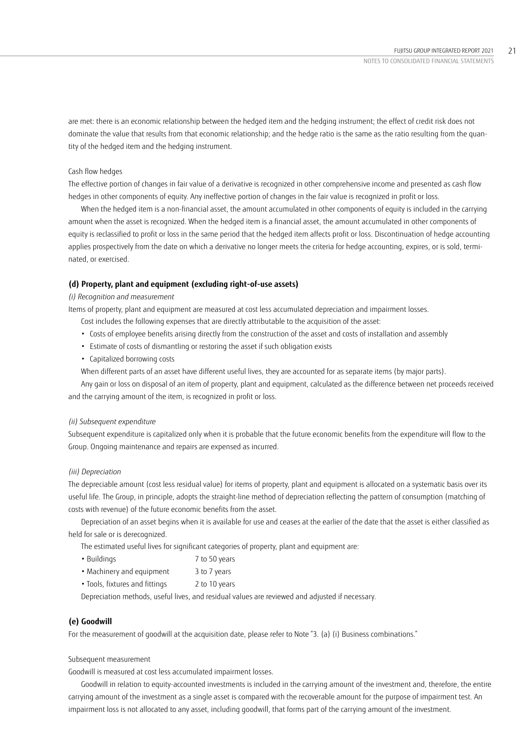are met: there is an economic relationship between the hedged item and the hedging instrument; the effect of credit risk does not dominate the value that results from that economic relationship; and the hedge ratio is the same as the ratio resulting from the quantity of the hedged item and the hedging instrument.

## Cash flow hedges

The effective portion of changes in fair value of a derivative is recognized in other comprehensive income and presented as cash flow hedges in other components of equity. Any ineffective portion of changes in the fair value is recognized in profit or loss.

When the hedged item is a non-financial asset, the amount accumulated in other components of equity is included in the carrying amount when the asset is recognized. When the hedged item is a financial asset, the amount accumulated in other components of equity is reclassified to profit or loss in the same period that the hedged item affects profit or loss. Discontinuation of hedge accounting applies prospectively from the date on which a derivative no longer meets the criteria for hedge accounting, expires, or is sold, terminated, or exercised.

## **(d) Property, plant and equipment (excluding right-of-use assets)**

### *(i) Recognition and measurement*

Items of property, plant and equipment are measured at cost less accumulated depreciation and impairment losses.

- Cost includes the following expenses that are directly attributable to the acquisition of the asset:
- Costs of employee benefits arising directly from the construction of the asset and costs of installation and assembly
- Estimate of costs of dismantling or restoring the asset if such obligation exists
- Capitalized borrowing costs

When different parts of an asset have different useful lives, they are accounted for as separate items (by major parts).

Any gain or loss on disposal of an item of property, plant and equipment, calculated as the difference between net proceeds received and the carrying amount of the item, is recognized in profit or loss.

#### *(ii) Subsequent expenditure*

Subsequent expenditure is capitalized only when it is probable that the future economic benefits from the expenditure will flow to the Group. Ongoing maintenance and repairs are expensed as incurred.

### *(iii) Depreciation*

The depreciable amount (cost less residual value) for items of property, plant and equipment is allocated on a systematic basis over its useful life. The Group, in principle, adopts the straight-line method of depreciation reflecting the pattern of consumption (matching of costs with revenue) of the future economic benefits from the asset.

Depreciation of an asset begins when it is available for use and ceases at the earlier of the date that the asset is either classified as held for sale or is derecognized.

The estimated useful lives for significant categories of property, plant and equipment are:

- Buildings 7 to 50 years
- Machinery and equipment 3 to 7 years
- Tools, fixtures and fittings 2 to 10 years

Depreciation methods, useful lives, and residual values are reviewed and adjusted if necessary.

## **(e) Goodwill**

For the measurement of goodwill at the acquisition date, please refer to Note "3. (a) (i) Business combinations."

#### Subsequent measurement

Goodwill is measured at cost less accumulated impairment losses.

Goodwill in relation to equity-accounted investments is included in the carrying amount of the investment and, therefore, the entire carrying amount of the investment as a single asset is compared with the recoverable amount for the purpose of impairment test. An impairment loss is not allocated to any asset, including goodwill, that forms part of the carrying amount of the investment.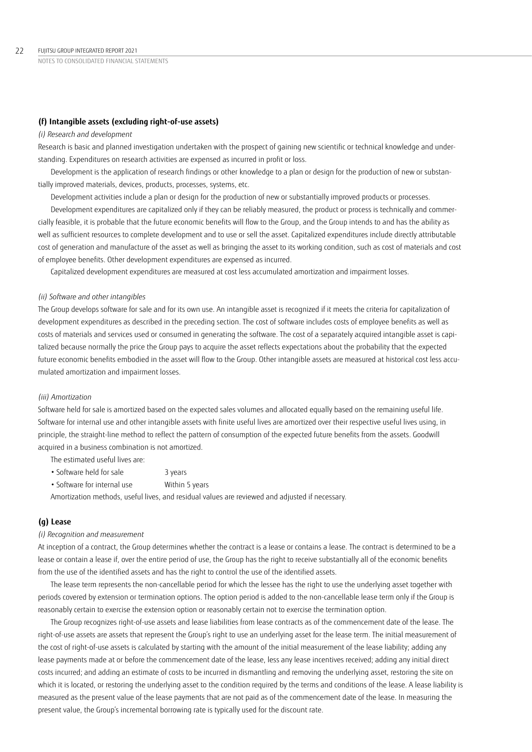### **(f) Intangible assets (excluding right-of-use assets)**

#### *(i) Research and development*

Research is basic and planned investigation undertaken with the prospect of gaining new scientific or technical knowledge and understanding. Expenditures on research activities are expensed as incurred in profit or loss.

Development is the application of research findings or other knowledge to a plan or design for the production of new or substantially improved materials, devices, products, processes, systems, etc.

Development activities include a plan or design for the production of new or substantially improved products or processes.

Development expenditures are capitalized only if they can be reliably measured, the product or process is technically and commercially feasible, it is probable that the future economic benefits will flow to the Group, and the Group intends to and has the ability as well as sufficient resources to complete development and to use or sell the asset. Capitalized expenditures include directly attributable cost of generation and manufacture of the asset as well as bringing the asset to its working condition, such as cost of materials and cost of employee benefits. Other development expenditures are expensed as incurred.

Capitalized development expenditures are measured at cost less accumulated amortization and impairment losses.

### *(ii) Software and other intangibles*

The Group develops software for sale and for its own use. An intangible asset is recognized if it meets the criteria for capitalization of development expenditures as described in the preceding section. The cost of software includes costs of employee benefits as well as costs of materials and services used or consumed in generating the software. The cost of a separately acquired intangible asset is capitalized because normally the price the Group pays to acquire the asset reflects expectations about the probability that the expected future economic benefits embodied in the asset will flow to the Group. Other intangible assets are measured at historical cost less accumulated amortization and impairment losses.

#### *(iii) Amortization*

Software held for sale is amortized based on the expected sales volumes and allocated equally based on the remaining useful life. Software for internal use and other intangible assets with finite useful lives are amortized over their respective useful lives using, in principle, the straight-line method to reflect the pattern of consumption of the expected future benefits from the assets. Goodwill acquired in a business combination is not amortized.

The estimated useful lives are:

| • Software held for sale<br>3 years |
|-------------------------------------|
|-------------------------------------|

• Software for internal use Within 5 years

Amortization methods, useful lives, and residual values are reviewed and adjusted if necessary.

## **(g) Lease**

### *(i) Recognition and measurement*

At inception of a contract, the Group determines whether the contract is a lease or contains a lease. The contract is determined to be a lease or contain a lease if, over the entire period of use, the Group has the right to receive substantially all of the economic benefits from the use of the identified assets and has the right to control the use of the identified assets.

The lease term represents the non-cancellable period for which the lessee has the right to use the underlying asset together with periods covered by extension or termination options. The option period is added to the non-cancellable lease term only if the Group is reasonably certain to exercise the extension option or reasonably certain not to exercise the termination option.

The Group recognizes right-of-use assets and lease liabilities from lease contracts as of the commencement date of the lease. The right-of-use assets are assets that represent the Group's right to use an underlying asset for the lease term. The initial measurement of the cost of right-of-use assets is calculated by starting with the amount of the initial measurement of the lease liability; adding any lease payments made at or before the commencement date of the lease, less any lease incentives received; adding any initial direct costs incurred; and adding an estimate of costs to be incurred in dismantling and removing the underlying asset, restoring the site on which it is located, or restoring the underlying asset to the condition required by the terms and conditions of the lease. A lease liability is measured as the present value of the lease payments that are not paid as of the commencement date of the lease. In measuring the present value, the Group's incremental borrowing rate is typically used for the discount rate.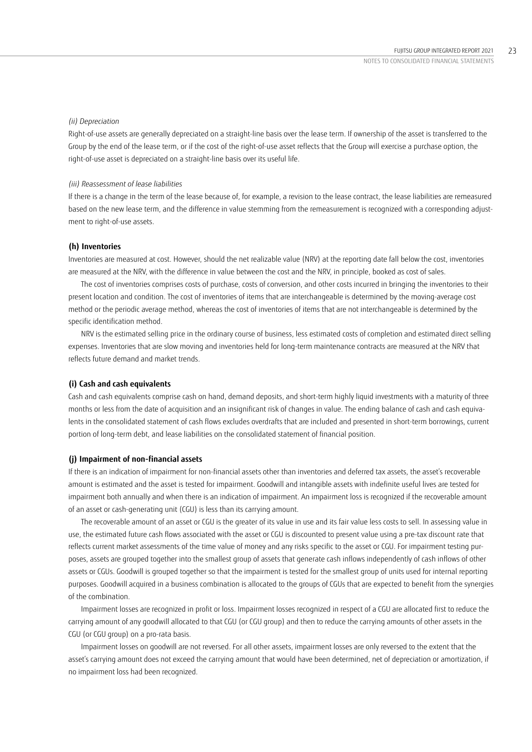#### *(ii) Depreciation*

Right-of-use assets are generally depreciated on a straight-line basis over the lease term. If ownership of the asset is transferred to the Group by the end of the lease term, or if the cost of the right-of-use asset reflects that the Group will exercise a purchase option, the right-of-use asset is depreciated on a straight-line basis over its useful life.

#### *(iii) Reassessment of lease liabilities*

If there is a change in the term of the lease because of, for example, a revision to the lease contract, the lease liabilities are remeasured based on the new lease term, and the difference in value stemming from the remeasurement is recognized with a corresponding adjustment to right-of-use assets.

#### **(h) Inventories**

Inventories are measured at cost. However, should the net realizable value (NRV) at the reporting date fall below the cost, inventories are measured at the NRV, with the difference in value between the cost and the NRV, in principle, booked as cost of sales.

The cost of inventories comprises costs of purchase, costs of conversion, and other costs incurred in bringing the inventories to their present location and condition. The cost of inventories of items that are interchangeable is determined by the moving-average cost method or the periodic average method, whereas the cost of inventories of items that are not interchangeable is determined by the specific identification method.

NRV is the estimated selling price in the ordinary course of business, less estimated costs of completion and estimated direct selling expenses. Inventories that are slow moving and inventories held for long-term maintenance contracts are measured at the NRV that reflects future demand and market trends.

#### **(i) Cash and cash equivalents**

Cash and cash equivalents comprise cash on hand, demand deposits, and short-term highly liquid investments with a maturity of three months or less from the date of acquisition and an insignificant risk of changes in value. The ending balance of cash and cash equivalents in the consolidated statement of cash flows excludes overdrafts that are included and presented in short-term borrowings, current portion of long-term debt, and lease liabilities on the consolidated statement of financial position.

#### **(j) Impairment of non-financial assets**

If there is an indication of impairment for non-financial assets other than inventories and deferred tax assets, the asset's recoverable amount is estimated and the asset is tested for impairment. Goodwill and intangible assets with indefinite useful lives are tested for impairment both annually and when there is an indication of impairment. An impairment loss is recognized if the recoverable amount of an asset or cash-generating unit (CGU) is less than its carrying amount.

The recoverable amount of an asset or CGU is the greater of its value in use and its fair value less costs to sell. In assessing value in use, the estimated future cash flows associated with the asset or CGU is discounted to present value using a pre-tax discount rate that reflects current market assessments of the time value of money and any risks specific to the asset or CGU. For impairment testing purposes, assets are grouped together into the smallest group of assets that generate cash inflows independently of cash inflows of other assets or CGUs. Goodwill is grouped together so that the impairment is tested for the smallest group of units used for internal reporting purposes. Goodwill acquired in a business combination is allocated to the groups of CGUs that are expected to benefit from the synergies of the combination.

Impairment losses are recognized in profit or loss. Impairment losses recognized in respect of a CGU are allocated first to reduce the carrying amount of any goodwill allocated to that CGU (or CGU group) and then to reduce the carrying amounts of other assets in the CGU (or CGU group) on a pro-rata basis.

Impairment losses on goodwill are not reversed. For all other assets, impairment losses are only reversed to the extent that the asset's carrying amount does not exceed the carrying amount that would have been determined, net of depreciation or amortization, if no impairment loss had been recognized.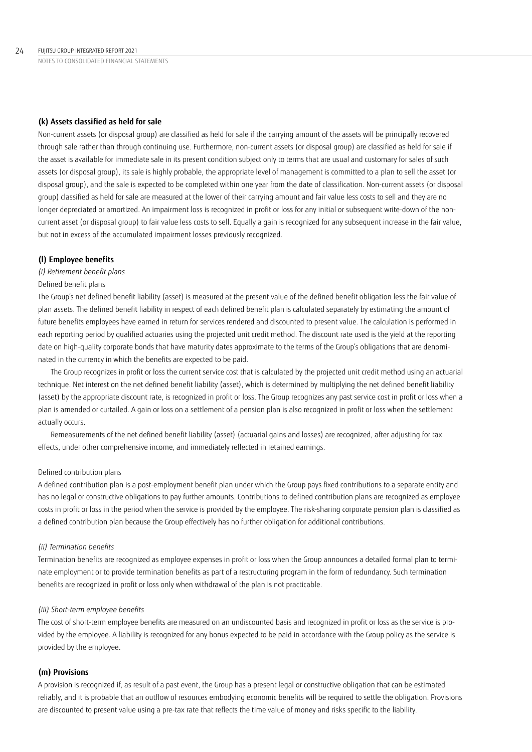### **(k) Assets classified as held for sale**

Non-current assets (or disposal group) are classified as held for sale if the carrying amount of the assets will be principally recovered through sale rather than through continuing use. Furthermore, non-current assets (or disposal group) are classified as held for sale if the asset is available for immediate sale in its present condition subject only to terms that are usual and customary for sales of such assets (or disposal group), its sale is highly probable, the appropriate level of management is committed to a plan to sell the asset (or disposal group), and the sale is expected to be completed within one year from the date of classification. Non-current assets (or disposal group) classified as held for sale are measured at the lower of their carrying amount and fair value less costs to sell and they are no longer depreciated or amortized. An impairment loss is recognized in profit or loss for any initial or subsequent write-down of the noncurrent asset (or disposal group) to fair value less costs to sell. Equally a gain is recognized for any subsequent increase in the fair value, but not in excess of the accumulated impairment losses previously recognized.

#### **(l) Employee benefits**

#### *(i) Retirement benefit plans*

#### Defined benefit plans

The Group's net defined benefit liability (asset) is measured at the present value of the defined benefit obligation less the fair value of plan assets. The defined benefit liability in respect of each defined benefit plan is calculated separately by estimating the amount of future benefits employees have earned in return for services rendered and discounted to present value. The calculation is performed in each reporting period by qualified actuaries using the projected unit credit method. The discount rate used is the yield at the reporting date on high-quality corporate bonds that have maturity dates approximate to the terms of the Group's obligations that are denominated in the currency in which the benefits are expected to be paid.

The Group recognizes in profit or loss the current service cost that is calculated by the projected unit credit method using an actuarial technique. Net interest on the net defined benefit liability (asset), which is determined by multiplying the net defined benefit liability (asset) by the appropriate discount rate, is recognized in profit or loss. The Group recognizes any past service cost in profit or loss when a plan is amended or curtailed. A gain or loss on a settlement of a pension plan is also recognized in profit or loss when the settlement actually occurs.

Remeasurements of the net defined benefit liability (asset) (actuarial gains and losses) are recognized, after adjusting for tax effects, under other comprehensive income, and immediately reflected in retained earnings.

### Defined contribution plans

A defined contribution plan is a post-employment benefit plan under which the Group pays fixed contributions to a separate entity and has no legal or constructive obligations to pay further amounts. Contributions to defined contribution plans are recognized as employee costs in profit or loss in the period when the service is provided by the employee. The risk-sharing corporate pension plan is classified as a defined contribution plan because the Group effectively has no further obligation for additional contributions.

### *(ii) Termination benefits*

Termination benefits are recognized as employee expenses in profit or loss when the Group announces a detailed formal plan to terminate employment or to provide termination benefits as part of a restructuring program in the form of redundancy. Such termination benefits are recognized in profit or loss only when withdrawal of the plan is not practicable.

#### *(iii) Short-term employee benefits*

The cost of short-term employee benefits are measured on an undiscounted basis and recognized in profit or loss as the service is provided by the employee. A liability is recognized for any bonus expected to be paid in accordance with the Group policy as the service is provided by the employee.

#### **(m) Provisions**

A provision is recognized if, as result of a past event, the Group has a present legal or constructive obligation that can be estimated reliably, and it is probable that an outflow of resources embodying economic benefits will be required to settle the obligation. Provisions are discounted to present value using a pre-tax rate that reflects the time value of money and risks specific to the liability.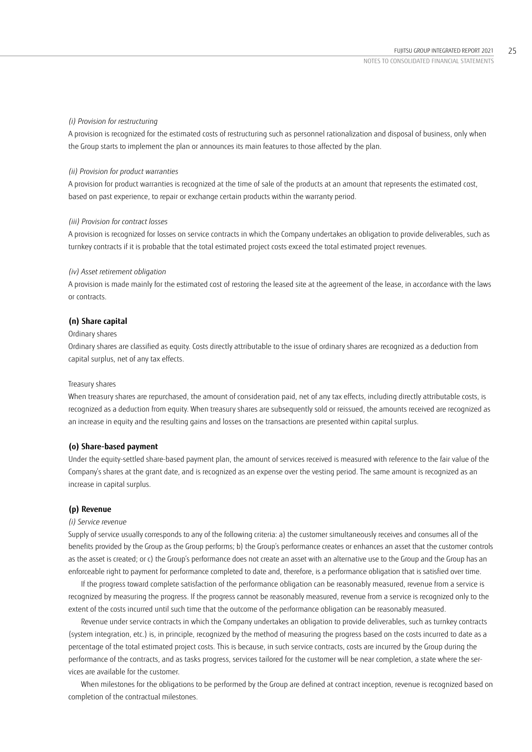#### *(i) Provision for restructuring*

A provision is recognized for the estimated costs of restructuring such as personnel rationalization and disposal of business, only when the Group starts to implement the plan or announces its main features to those affected by the plan.

#### *(ii) Provision for product warranties*

A provision for product warranties is recognized at the time of sale of the products at an amount that represents the estimated cost, based on past experience, to repair or exchange certain products within the warranty period.

#### *(iii) Provision for contract losses*

A provision is recognized for losses on service contracts in which the Company undertakes an obligation to provide deliverables, such as turnkey contracts if it is probable that the total estimated project costs exceed the total estimated project revenues.

#### *(iv) Asset retirement obligation*

A provision is made mainly for the estimated cost of restoring the leased site at the agreement of the lease, in accordance with the laws or contracts.

## **(n) Share capital**

#### Ordinary shares

Ordinary shares are classified as equity. Costs directly attributable to the issue of ordinary shares are recognized as a deduction from capital surplus, net of any tax effects.

#### Treasury shares

When treasury shares are repurchased, the amount of consideration paid, net of any tax effects, including directly attributable costs, is recognized as a deduction from equity. When treasury shares are subsequently sold or reissued, the amounts received are recognized as an increase in equity and the resulting gains and losses on the transactions are presented within capital surplus.

### **(o) Share-based payment**

Under the equity-settled share-based payment plan, the amount of services received is measured with reference to the fair value of the Company's shares at the grant date, and is recognized as an expense over the vesting period. The same amount is recognized as an increase in capital surplus.

### **(p) Revenue**

#### *(i) Service revenue*

Supply of service usually corresponds to any of the following criteria: a) the customer simultaneously receives and consumes all of the benefits provided by the Group as the Group performs; b) the Group's performance creates or enhances an asset that the customer controls as the asset is created; or c) the Group's performance does not create an asset with an alternative use to the Group and the Group has an enforceable right to payment for performance completed to date and, therefore, is a performance obligation that is satisfied over time.

If the progress toward complete satisfaction of the performance obligation can be reasonably measured, revenue from a service is recognized by measuring the progress. If the progress cannot be reasonably measured, revenue from a service is recognized only to the extent of the costs incurred until such time that the outcome of the performance obligation can be reasonably measured.

Revenue under service contracts in which the Company undertakes an obligation to provide deliverables, such as turnkey contracts (system integration, etc.) is, in principle, recognized by the method of measuring the progress based on the costs incurred to date as a percentage of the total estimated project costs. This is because, in such service contracts, costs are incurred by the Group during the performance of the contracts, and as tasks progress, services tailored for the customer will be near completion, a state where the services are available for the customer.

When milestones for the obligations to be performed by the Group are defined at contract inception, revenue is recognized based on completion of the contractual milestones.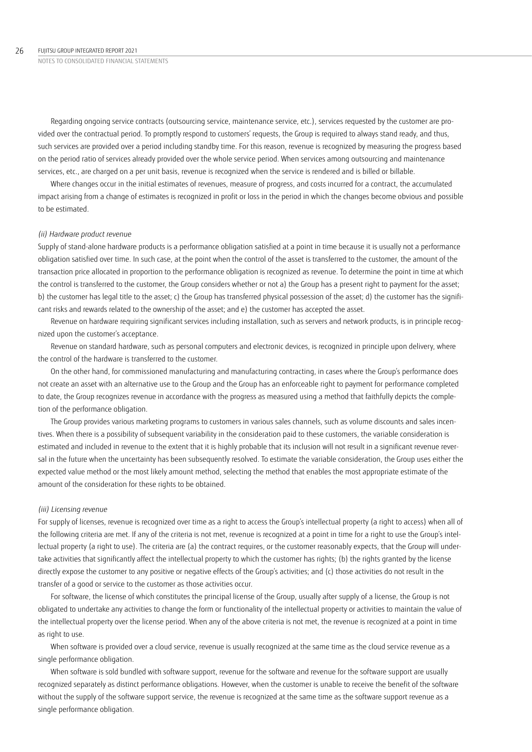Regarding ongoing service contracts (outsourcing service, maintenance service, etc.), services requested by the customer are provided over the contractual period. To promptly respond to customers' requests, the Group is required to always stand ready, and thus, such services are provided over a period including standby time. For this reason, revenue is recognized by measuring the progress based on the period ratio of services already provided over the whole service period. When services among outsourcing and maintenance services, etc., are charged on a per unit basis, revenue is recognized when the service is rendered and is billed or billable.

Where changes occur in the initial estimates of revenues, measure of progress, and costs incurred for a contract, the accumulated impact arising from a change of estimates is recognized in profit or loss in the period in which the changes become obvious and possible to be estimated.

#### *(ii) Hardware product revenue*

Supply of stand-alone hardware products is a performance obligation satisfied at a point in time because it is usually not a performance obligation satisfied over time. In such case, at the point when the control of the asset is transferred to the customer, the amount of the transaction price allocated in proportion to the performance obligation is recognized as revenue. To determine the point in time at which the control is transferred to the customer, the Group considers whether or not a) the Group has a present right to payment for the asset; b) the customer has legal title to the asset; c) the Group has transferred physical possession of the asset; d) the customer has the significant risks and rewards related to the ownership of the asset; and e) the customer has accepted the asset.

Revenue on hardware requiring significant services including installation, such as servers and network products, is in principle recognized upon the customer's acceptance.

Revenue on standard hardware, such as personal computers and electronic devices, is recognized in principle upon delivery, where the control of the hardware is transferred to the customer.

On the other hand, for commissioned manufacturing and manufacturing contracting, in cases where the Group's performance does not create an asset with an alternative use to the Group and the Group has an enforceable right to payment for performance completed to date, the Group recognizes revenue in accordance with the progress as measured using a method that faithfully depicts the completion of the performance obligation.

The Group provides various marketing programs to customers in various sales channels, such as volume discounts and sales incentives. When there is a possibility of subsequent variability in the consideration paid to these customers, the variable consideration is estimated and included in revenue to the extent that it is highly probable that its inclusion will not result in a significant revenue reversal in the future when the uncertainty has been subsequently resolved. To estimate the variable consideration, the Group uses either the expected value method or the most likely amount method, selecting the method that enables the most appropriate estimate of the amount of the consideration for these rights to be obtained.

#### *(iii) Licensing revenue*

For supply of licenses, revenue is recognized over time as a right to access the Group's intellectual property (a right to access) when all of the following criteria are met. If any of the criteria is not met, revenue is recognized at a point in time for a right to use the Group's intellectual property (a right to use). The criteria are (a) the contract requires, or the customer reasonably expects, that the Group will undertake activities that significantly affect the intellectual property to which the customer has rights; (b) the rights granted by the license directly expose the customer to any positive or negative effects of the Group's activities; and (c) those activities do not result in the transfer of a good or service to the customer as those activities occur.

For software, the license of which constitutes the principal license of the Group, usually after supply of a license, the Group is not obligated to undertake any activities to change the form or functionality of the intellectual property or activities to maintain the value of the intellectual property over the license period. When any of the above criteria is not met, the revenue is recognized at a point in time as right to use.

When software is provided over a cloud service, revenue is usually recognized at the same time as the cloud service revenue as a single performance obligation.

When software is sold bundled with software support, revenue for the software and revenue for the software support are usually recognized separately as distinct performance obligations. However, when the customer is unable to receive the benefit of the software without the supply of the software support service, the revenue is recognized at the same time as the software support revenue as a single performance obligation.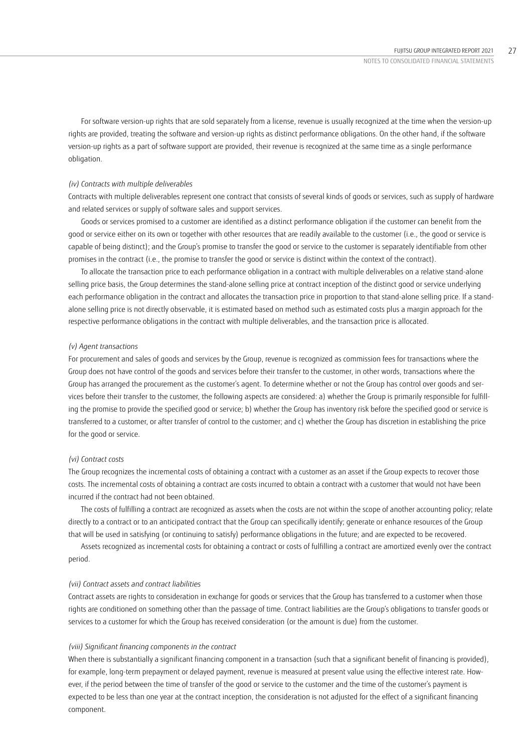For software version-up rights that are sold separately from a license, revenue is usually recognized at the time when the version-up rights are provided, treating the software and version-up rights as distinct performance obligations. On the other hand, if the software version-up rights as a part of software support are provided, their revenue is recognized at the same time as a single performance obligation.

#### *(iv) Contracts with multiple deliverables*

Contracts with multiple deliverables represent one contract that consists of several kinds of goods or services, such as supply of hardware and related services or supply of software sales and support services.

Goods or services promised to a customer are identified as a distinct performance obligation if the customer can benefit from the good or service either on its own or together with other resources that are readily available to the customer (i.e., the good or service is capable of being distinct); and the Group's promise to transfer the good or service to the customer is separately identifiable from other promises in the contract (i.e., the promise to transfer the good or service is distinct within the context of the contract).

To allocate the transaction price to each performance obligation in a contract with multiple deliverables on a relative stand-alone selling price basis, the Group determines the stand-alone selling price at contract inception of the distinct good or service underlying each performance obligation in the contract and allocates the transaction price in proportion to that stand-alone selling price. If a standalone selling price is not directly observable, it is estimated based on method such as estimated costs plus a margin approach for the respective performance obligations in the contract with multiple deliverables, and the transaction price is allocated.

#### *(v) Agent transactions*

For procurement and sales of goods and services by the Group, revenue is recognized as commission fees for transactions where the Group does not have control of the goods and services before their transfer to the customer, in other words, transactions where the Group has arranged the procurement as the customer's agent. To determine whether or not the Group has control over goods and services before their transfer to the customer, the following aspects are considered: a) whether the Group is primarily responsible for fulfilling the promise to provide the specified good or service; b) whether the Group has inventory risk before the specified good or service is transferred to a customer, or after transfer of control to the customer; and c) whether the Group has discretion in establishing the price for the good or service.

#### *(vi) Contract costs*

The Group recognizes the incremental costs of obtaining a contract with a customer as an asset if the Group expects to recover those costs. The incremental costs of obtaining a contract are costs incurred to obtain a contract with a customer that would not have been incurred if the contract had not been obtained.

The costs of fulfilling a contract are recognized as assets when the costs are not within the scope of another accounting policy; relate directly to a contract or to an anticipated contract that the Group can specifically identify; generate or enhance resources of the Group that will be used in satisfying (or continuing to satisfy) performance obligations in the future; and are expected to be recovered.

Assets recognized as incremental costs for obtaining a contract or costs of fulfilling a contract are amortized evenly over the contract period.

#### *(vii) Contract assets and contract liabilities*

Contract assets are rights to consideration in exchange for goods or services that the Group has transferred to a customer when those rights are conditioned on something other than the passage of time. Contract liabilities are the Group's obligations to transfer goods or services to a customer for which the Group has received consideration (or the amount is due) from the customer.

#### *(viii) Significant financing components in the contract*

When there is substantially a significant financing component in a transaction (such that a significant benefit of financing is provided), for example, long-term prepayment or delayed payment, revenue is measured at present value using the effective interest rate. However, if the period between the time of transfer of the good or service to the customer and the time of the customer's payment is expected to be less than one year at the contract inception, the consideration is not adjusted for the effect of a significant financing component.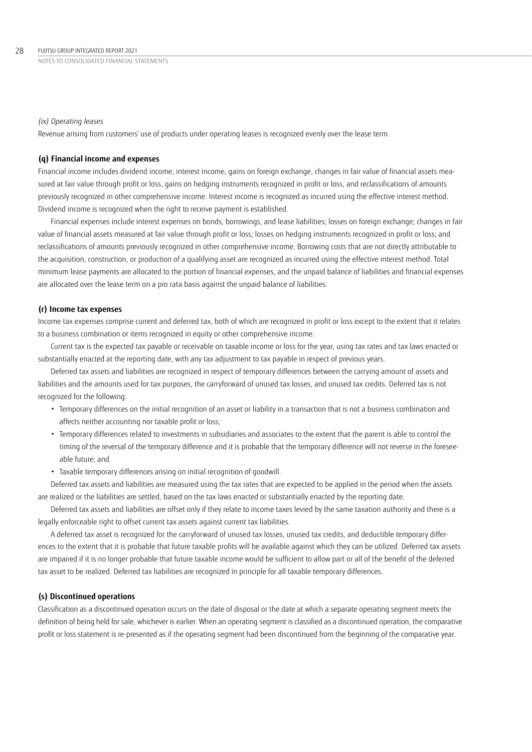#### *(ix) Operating leases*

Revenue arising from customers' use of products under operating leases is recognized evenly over the lease term.

### **(q) Financial income and expenses**

Financial income includes dividend income, interest income, gains on foreign exchange, changes in fair value of financial assets measured at fair value through profit or loss, gains on hedging instruments recognized in profit or loss, and reclassifications of amounts previously recognized in other comprehensive income. Interest income is recognized as incurred using the effective interest method. Dividend income is recognized when the right to receive payment is established.

Financial expenses include interest expenses on bonds, borrowings, and lease liabilities; losses on foreign exchange; changes in fair value of financial assets measured at fair value through profit or loss; losses on hedging instruments recognized in profit or loss; and reclassifications of amounts previously recognized in other comprehensive income. Borrowing costs that are not directly attributable to the acquisition, construction, or production of a qualifying asset are recognized as incurred using the effective interest method. Total minimum lease payments are allocated to the portion of financial expenses, and the unpaid balance of liabilities and financial expenses are allocated over the lease term on a pro rata basis against the unpaid balance of liabilities.

#### **(r) Income tax expenses**

Income tax expenses comprise current and deferred tax, both of which are recognized in profit or loss except to the extent that it relates to a business combination or items recognized in equity or other comprehensive income.

Current tax is the expected tax payable or receivable on taxable income or loss for the year, using tax rates and tax laws enacted or substantially enacted at the reporting date, with any tax adjustment to tax payable in respect of previous years.

Deferred tax assets and liabilities are recognized in respect of temporary differences between the carrying amount of assets and liabilities and the amounts used for tax purposes, the carryforward of unused tax losses, and unused tax credits. Deferred tax is not recognized for the following:

- Temporary differences on the initial recognition of an asset or liability in a transaction that is not a business combination and affects neither accounting nor taxable profit or loss;
- Temporary differences related to investments in subsidiaries and associates to the extent that the parent is able to control the timing of the reversal of the temporary difference and it is probable that the temporary difference will not reverse in the foreseeable future; and
- Taxable temporary differences arising on initial recognition of goodwill.

Deferred tax assets and liabilities are measured using the tax rates that are expected to be applied in the period when the assets are realized or the liabilities are settled, based on the tax laws enacted or substantially enacted by the reporting date.

Deferred tax assets and liabilities are offset only if they relate to income taxes levied by the same taxation authority and there is a legally enforceable right to offset current tax assets against current tax liabilities.

A deferred tax asset is recognized for the carryforward of unused tax losses, unused tax credits, and deductible temporary differences to the extent that it is probable that future taxable profits will be available against which they can be utilized. Deferred tax assets are impaired if it is no longer probable that future taxable income would be sufficient to allow part or all of the benefit of the deferred tax asset to be realized. Deferred tax liabilities are recognized in principle for all taxable temporary differences.

### **(s) Discontinued operations**

Classification as a discontinued operation occurs on the date of disposal or the date at which a separate operating segment meets the definition of being held for sale, whichever is earlier. When an operating segment is classified as a discontinued operation, the comparative profit or loss statement is re-presented as if the operating segment had been discontinued from the beginning of the comparative year.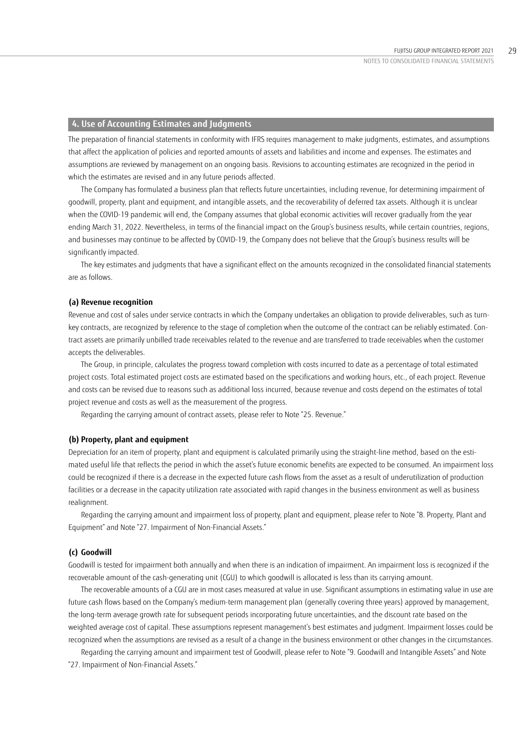## **4. Use of Accounting Estimates and Judgments**

The preparation of financial statements in conformity with IFRS requires management to make judgments, estimates, and assumptions that affect the application of policies and reported amounts of assets and liabilities and income and expenses. The estimates and assumptions are reviewed by management on an ongoing basis. Revisions to accounting estimates are recognized in the period in which the estimates are revised and in any future periods affected.

The Company has formulated a business plan that reflects future uncertainties, including revenue, for determining impairment of goodwill, property, plant and equipment, and intangible assets, and the recoverability of deferred tax assets. Although it is unclear when the COVID-19 pandemic will end, the Company assumes that global economic activities will recover gradually from the year ending March 31, 2022. Nevertheless, in terms of the financial impact on the Group's business results, while certain countries, regions, and businesses may continue to be affected by COVID-19, the Company does not believe that the Group's business results will be significantly impacted.

The key estimates and judgments that have a significant effect on the amounts recognized in the consolidated financial statements are as follows.

#### **(a) Revenue recognition**

Revenue and cost of sales under service contracts in which the Company undertakes an obligation to provide deliverables, such as turnkey contracts, are recognized by reference to the stage of completion when the outcome of the contract can be reliably estimated. Contract assets are primarily unbilled trade receivables related to the revenue and are transferred to trade receivables when the customer accepts the deliverables.

The Group, in principle, calculates the progress toward completion with costs incurred to date as a percentage of total estimated project costs. Total estimated project costs are estimated based on the specifications and working hours, etc., of each project. Revenue and costs can be revised due to reasons such as additional loss incurred, because revenue and costs depend on the estimates of total project revenue and costs as well as the measurement of the progress.

Regarding the carrying amount of contract assets, please refer to Note "25. Revenue."

#### **(b) Property, plant and equipment**

Depreciation for an item of property, plant and equipment is calculated primarily using the straight-line method, based on the estimated useful life that reflects the period in which the asset's future economic benefits are expected to be consumed. An impairment loss could be recognized if there is a decrease in the expected future cash flows from the asset as a result of underutilization of production facilities or a decrease in the capacity utilization rate associated with rapid changes in the business environment as well as business realignment.

Regarding the carrying amount and impairment loss of property, plant and equipment, please refer to Note "8. Property, Plant and Equipment" and Note "27. Impairment of Non-Financial Assets."

#### **(c) Goodwill**

Goodwill is tested for impairment both annually and when there is an indication of impairment. An impairment loss is recognized if the recoverable amount of the cash-generating unit (CGU) to which goodwill is allocated is less than its carrying amount.

The recoverable amounts of a CGU are in most cases measured at value in use. Significant assumptions in estimating value in use are future cash flows based on the Company's medium-term management plan (generally covering three years) approved by management, the long-term average growth rate for subsequent periods incorporating future uncertainties, and the discount rate based on the weighted average cost of capital. These assumptions represent management's best estimates and judgment. Impairment losses could be recognized when the assumptions are revised as a result of a change in the business environment or other changes in the circumstances.

Regarding the carrying amount and impairment test of Goodwill, please refer to Note "9. Goodwill and Intangible Assets" and Note "27. Impairment of Non-Financial Assets."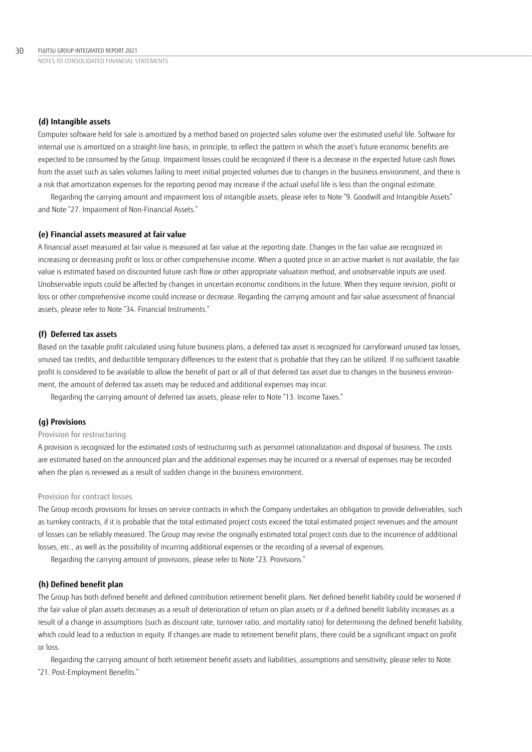### **(d) Intangible assets**

Computer software held for sale is amortized by a method based on projected sales volume over the estimated useful life. Software for internal use is amortized on a straight-line basis, in principle, to reflect the pattern in which the asset's future economic benefits are expected to be consumed by the Group. Impairment losses could be recognized if there is a decrease in the expected future cash flows from the asset such as sales volumes failing to meet initial projected volumes due to changes in the business environment, and there is a risk that amortization expenses for the reporting period may increase if the actual useful life is less than the original estimate.

Regarding the carrying amount and impairment loss of intangible assets, please refer to Note "9. Goodwill and Intangible Assets" and Note "27. Impairment of Non-Financial Assets."

#### **(e) Financial assets measured at fair value**

A financial asset measured at fair value is measured at fair value at the reporting date. Changes in the fair value are recognized in increasing or decreasing profit or loss or other comprehensive income. When a quoted price in an active market is not available, the fair value is estimated based on discounted future cash flow or other appropriate valuation method, and unobservable inputs are used. Unobservable inputs could be affected by changes in uncertain economic conditions in the future. When they require revision, profit or loss or other comprehensive income could increase or decrease. Regarding the carrying amount and fair value assessment of financial assets, please refer to Note "34. Financial Instruments."

### **(f) Deferred tax assets**

Based on the taxable profit calculated using future business plans, a deferred tax asset is recognized for carryforward unused tax losses, unused tax credits, and deductible temporary differences to the extent that is probable that they can be utilized. If no sufficient taxable profit is considered to be available to allow the benefit of part or all of that deferred tax asset due to changes in the business environment, the amount of deferred tax assets may be reduced and additional expenses may incur.

Regarding the carrying amount of deferred tax assets, please refer to Note "13. Income Taxes."

### **(g) Provisions**

## Provision for restructuring

A provision is recognized for the estimated costs of restructuring such as personnel rationalization and disposal of business. The costs are estimated based on the announced plan and the additional expenses may be incurred or a reversal of expenses may be recorded when the plan is reviewed as a result of sudden change in the business environment.

#### Provision for contract losses

The Group records provisions for losses on service contracts in which the Company undertakes an obligation to provide deliverables, such as turnkey contracts, if it is probable that the total estimated project costs exceed the total estimated project revenues and the amount of losses can be reliably measured. The Group may revise the originally estimated total project costs due to the incurrence of additional losses, etc., as well as the possibility of incurring additional expenses or the recording of a reversal of expenses.

Regarding the carrying amount of provisions, please refer to Note "23. Provisions."

#### **(h) Defined benefit plan**

The Group has both defined benefit and defined contribution retirement benefit plans. Net defined benefit liability could be worsened if the fair value of plan assets decreases as a result of deterioration of return on plan assets or if a defined benefit liability increases as a result of a change in assumptions (such as discount rate, turnover ratio, and mortality ratio) for determining the defined benefit liability, which could lead to a reduction in equity. If changes are made to retirement benefit plans, there could be a significant impact on profit or loss.

Regarding the carrying amount of both retirement benefit assets and liabilities, assumptions and sensitivity, please refer to Note "21. Post-Employment Benefits."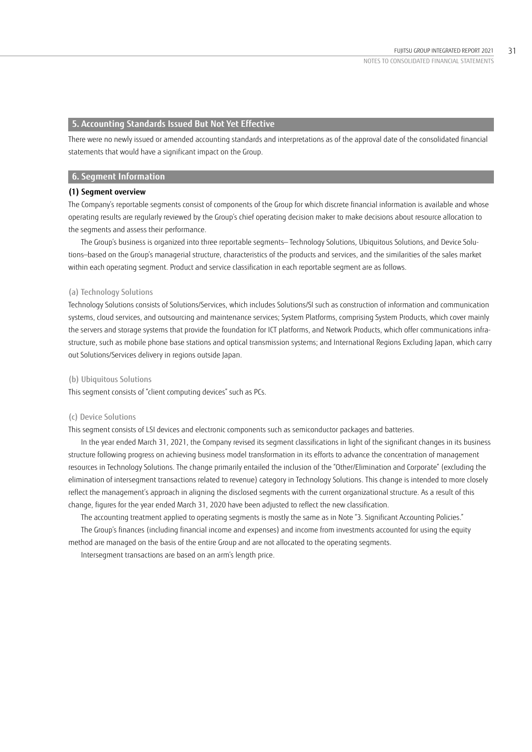## **5. Accounting Standards Issued But Not Yet Effective**

There were no newly issued or amended accounting standards and interpretations as of the approval date of the consolidated financial statements that would have a significant impact on the Group.

### **6. Segment Information**

#### **(1) Segment overview**

The Company's reportable segments consist of components of the Group for which discrete financial information is available and whose operating results are regularly reviewed by the Group's chief operating decision maker to make decisions about resource allocation to the segments and assess their performance.

The Group's business is organized into three reportable segments— Technology Solutions, Ubiquitous Solutions, and Device Solutions—based on the Group's managerial structure, characteristics of the products and services, and the similarities of the sales market within each operating segment. Product and service classification in each reportable segment are as follows.

#### (a) Technology Solutions

Technology Solutions consists of Solutions/Services, which includes Solutions/SI such as construction of information and communication systems, cloud services, and outsourcing and maintenance services; System Platforms, comprising System Products, which cover mainly the servers and storage systems that provide the foundation for ICT platforms, and Network Products, which offer communications infrastructure, such as mobile phone base stations and optical transmission systems; and International Regions Excluding Japan, which carry out Solutions/Services delivery in regions outside Japan.

#### (b) Ubiquitous Solutions

This segment consists of "client computing devices" such as PCs.

#### (c) Device Solutions

This segment consists of LSI devices and electronic components such as semiconductor packages and batteries.

In the year ended March 31, 2021, the Company revised its segment classifications in light of the significant changes in its business structure following progress on achieving business model transformation in its efforts to advance the concentration of management resources in Technology Solutions. The change primarily entailed the inclusion of the "Other/Elimination and Corporate" (excluding the elimination of intersegment transactions related to revenue) category in Technology Solutions. This change is intended to more closely reflect the management's approach in aligning the disclosed segments with the current organizational structure. As a result of this change, figures for the year ended March 31, 2020 have been adjusted to reflect the new classification.

The accounting treatment applied to operating segments is mostly the same as in Note "3. Significant Accounting Policies." The Group's finances (including financial income and expenses) and income from investments accounted for using the equity method are managed on the basis of the entire Group and are not allocated to the operating segments.

Intersegment transactions are based on an arm's length price.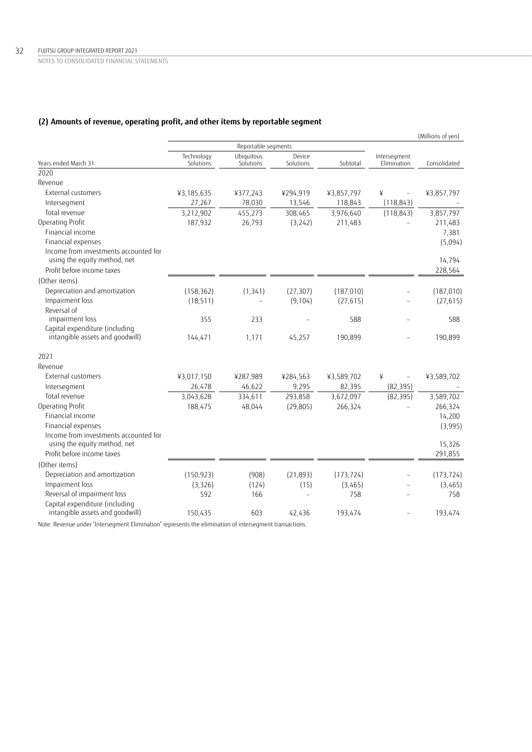## **(2) Amounts of revenue, operating profit, and other items by reportable segment**

|                                                                       |                         |                         |                     |            |                               | (Millions of yen) |
|-----------------------------------------------------------------------|-------------------------|-------------------------|---------------------|------------|-------------------------------|-------------------|
|                                                                       |                         | Reportable segments     |                     |            |                               |                   |
| Years ended March 31                                                  | Technology<br>Solutions | Ubiquitous<br>Solutions | Device<br>Solutions | Subtotal   | Intersegment<br>Elimination   | Consolidated      |
| 2020                                                                  |                         |                         |                     |            |                               |                   |
| Revenue                                                               |                         |                         |                     |            |                               |                   |
| External customers                                                    | ¥3,185,635              | ¥377,243                | ¥294,919            | ¥3,857,797 | ¥<br>$\overline{\phantom{a}}$ | ¥3,857,797        |
| Intersegment                                                          | 27,267                  | 78,030                  | 13,546              | 118,843    | (118, 843)                    |                   |
| Total revenue                                                         | 3,212,902               | 455,273                 | 308,465             | 3,976,640  | (118, 843)                    | 3,857,797         |
| Operating Profit                                                      | 187,932                 | 26,793                  | (3,242)             | 211,483    |                               | 211,483           |
| Financial income                                                      |                         |                         |                     |            |                               | 7,381             |
| Financial expenses                                                    |                         |                         |                     |            |                               | (5,094)           |
| Income from investments accounted for<br>using the equity method, net |                         |                         |                     |            |                               | 14,794            |
| Profit before income taxes                                            |                         |                         |                     |            |                               | 228,564           |
| (Other items)                                                         |                         |                         |                     |            |                               |                   |
| Depreciation and amortization                                         | (158, 362)              | (1, 341)                | (27, 307)           | (187, 010) |                               | (187, 010)        |
| Impairment loss                                                       | (18, 511)               |                         | (9, 104)            | (27, 615)  |                               | (27, 615)         |
| Reversal of                                                           |                         |                         |                     |            |                               |                   |
| impairment loss                                                       | 355                     | 233                     |                     | 588        |                               | 588               |
| Capital expenditure (including<br>intangible assets and goodwill)     | 144,471                 | 1,171                   | 45,257              | 190,899    |                               | 190,899           |
| 2021                                                                  |                         |                         |                     |            |                               |                   |
| Revenue                                                               |                         |                         |                     |            |                               |                   |
| External customers                                                    | ¥3,017,150              | ¥287,989                | ¥284,563            | ¥3,589,702 | ¥                             | ¥3,589,702        |
| Intersegment                                                          | 26,478                  | 46,622                  | 9,295               | 82,395     | (82, 395)                     |                   |
| Total revenue                                                         | 3,043,628               | 334,611                 | 293,858             | 3,672,097  | (82, 395)                     | 3,589,702         |
| Operating Profit                                                      | 188,475                 | 48,044                  | (29, 805)           | 266,324    |                               | 266,324           |
| Financial income                                                      |                         |                         |                     |            |                               | 14,200            |
| Financial expenses                                                    |                         |                         |                     |            |                               | (3,995)           |
| Income from investments accounted for<br>using the equity method, net |                         |                         |                     |            |                               | 15,326            |
| Profit before income taxes                                            |                         |                         |                     |            |                               | 291,855           |
| (Other items)                                                         |                         |                         |                     |            |                               |                   |
| Depreciation and amortization                                         | (150, 923)              | (908)                   | (21, 893)           | (173, 724) |                               | (173, 724)        |
| Impairment loss                                                       | (3, 326)                | (124)                   | (15)                | (3,465)    |                               | (3,465)           |
| Reversal of impairment loss                                           | 592                     | 166                     |                     | 758        |                               | 758               |
| Capital expenditure (including<br>intangible assets and goodwill)     | 150,435                 | 603                     | 42,436              | 193,474    |                               | 193,474           |

Note: Revenue under "Intersegment Elimination" represents the elimination of intersegment transactions.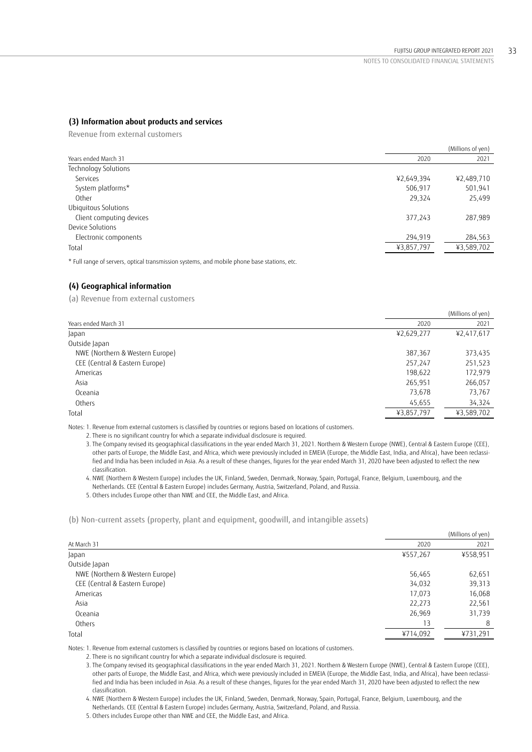## **(3) Information about products and services**

Revenue from external customers

|                                                                                                                                                                                                                                                                                                                                                                                                                |            | (Millions of yen) |
|----------------------------------------------------------------------------------------------------------------------------------------------------------------------------------------------------------------------------------------------------------------------------------------------------------------------------------------------------------------------------------------------------------------|------------|-------------------|
| Years ended March 31                                                                                                                                                                                                                                                                                                                                                                                           | 2020       | 2021              |
| Technology Solutions                                                                                                                                                                                                                                                                                                                                                                                           |            |                   |
| Services                                                                                                                                                                                                                                                                                                                                                                                                       | ¥2,649,394 | ¥2,489,710        |
| System platforms*                                                                                                                                                                                                                                                                                                                                                                                              | 506,917    | 501,941           |
| Other                                                                                                                                                                                                                                                                                                                                                                                                          | 29,324     | 25,499            |
| Ubiquitous Solutions                                                                                                                                                                                                                                                                                                                                                                                           |            |                   |
| Client computing devices                                                                                                                                                                                                                                                                                                                                                                                       | 377,243    | 287,989           |
| Device Solutions                                                                                                                                                                                                                                                                                                                                                                                               |            |                   |
| Electronic components                                                                                                                                                                                                                                                                                                                                                                                          | 294,919    | 284,563           |
| Total                                                                                                                                                                                                                                                                                                                                                                                                          | ¥3,857,797 | ¥3,589,702        |
| $\sim$ $\sim$ $\sim$ $\sim$ $\sim$<br>$\mathbf{r}$ and $\mathbf{r}$ are the set of the set of the set of the set of the set of the set of the set of the set of the set of the set of the set of the set of the set of the set of the set of the set of the set of the set<br>the contract of the contract of the contract of the contract of the contract of the contract of the contract of<br>$\sim$ $\sim$ |            |                   |

\* Full range of servers, optical transmission systems, and mobile phone base stations, etc.

### **(4) Geographical information**

(a) Revenue from external customers

|                                 |            | (Millions of yen) |
|---------------------------------|------------|-------------------|
| Years ended March 31            | 2020       | 2021              |
| Japan                           | ¥2,629,277 | ¥2,417,617        |
| Outside Japan                   |            |                   |
| NWE (Northern & Western Europe) | 387,367    | 373,435           |
| CEE (Central & Eastern Europe)  | 257,247    | 251,523           |
| Americas                        | 198,622    | 172,979           |
| Asia                            | 265,951    | 266,057           |
| Oceania                         | 73,678     | 73,767            |
| Others                          | 45,655     | 34,324            |
| Total                           | ¥3,857,797 | ¥3,589,702        |
|                                 |            |                   |

Notes: 1. Revenue from external customers is classified by countries or regions based on locations of customers.

 3. The Company revised its geographical classifications in the year ended March 31, 2021. Northern & Western Europe (NWE), Central & Eastern Europe (CEE), other parts of Europe, the Middle East, and Africa, which were previously included in EMEIA (Europe, the Middle East, India, and Africa), have been reclassified and India has been included in Asia. As a result of these changes, figures for the year ended March 31, 2020 have been adjusted to reflect the new classification.

 4. NWE (Northern & Western Europe) includes the UK, Finland, Sweden, Denmark, Norway, Spain, Portugal, France, Belgium, Luxembourg, and the Netherlands. CEE (Central & Eastern Europe) includes Germany, Austria, Switzerland, Poland, and Russia.

5. Others includes Europe other than NWE and CEE, the Middle East, and Africa.

(b) Non-current assets (property, plant and equipment, goodwill, and intangible assets)

| At March 31<br>2020<br>2021<br>¥557,267<br>¥558,951<br>Japan<br>Outside Japan<br>NWE (Northern & Western Europe)<br>56,465<br>62,651<br>CEE (Central & Eastern Europe)<br>34,032<br>39,313<br>16,068<br>17,073<br>Americas<br>22,273<br>22,561<br>Asia<br>26,969<br>31,739<br>Oceania<br>13<br>Others<br>8 |       |          | (Millions of yen) |
|------------------------------------------------------------------------------------------------------------------------------------------------------------------------------------------------------------------------------------------------------------------------------------------------------------|-------|----------|-------------------|
|                                                                                                                                                                                                                                                                                                            |       |          |                   |
|                                                                                                                                                                                                                                                                                                            |       |          |                   |
|                                                                                                                                                                                                                                                                                                            |       |          |                   |
|                                                                                                                                                                                                                                                                                                            |       |          |                   |
|                                                                                                                                                                                                                                                                                                            |       |          |                   |
|                                                                                                                                                                                                                                                                                                            |       |          |                   |
|                                                                                                                                                                                                                                                                                                            |       |          |                   |
|                                                                                                                                                                                                                                                                                                            |       |          |                   |
|                                                                                                                                                                                                                                                                                                            |       |          |                   |
|                                                                                                                                                                                                                                                                                                            | Total | ¥714,092 | ¥731,291          |

Notes: 1. Revenue from external customers is classified by countries or regions based on locations of customers.

2. There is no significant country for which a separate individual disclosure is required.

 3. The Company revised its geographical classifications in the year ended March 31, 2021. Northern & Western Europe (NWE), Central & Eastern Europe (CEE), other parts of Europe, the Middle East, and Africa, which were previously included in EMEIA (Europe, the Middle East, India, and Africa), have been reclassified and India has been included in Asia. As a result of these changes, figures for the year ended March 31, 2020 have been adjusted to reflect the new classification.

 4. NWE (Northern & Western Europe) includes the UK, Finland, Sweden, Denmark, Norway, Spain, Portugal, France, Belgium, Luxembourg, and the Netherlands. CEE (Central & Eastern Europe) includes Germany, Austria, Switzerland, Poland, and Russia.

5. Others includes Europe other than NWE and CEE, the Middle East, and Africa.

 <sup>2.</sup> There is no significant country for which a separate individual disclosure is required.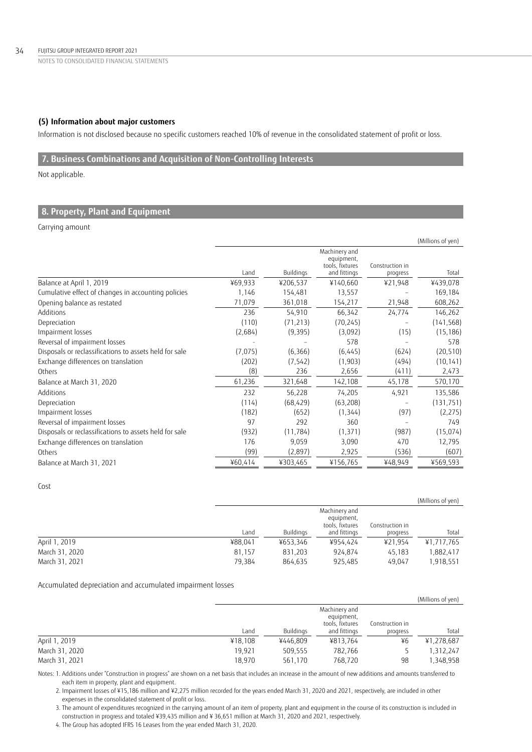## **(5) Information about major customers**

Information is not disclosed because no specific customers reached 10% of revenue in the consolidated statement of profit or loss.

## **7. Business Combinations and Acquisition of Non-Controlling Interests**

Not applicable.

## **8. Property, Plant and Equipment**

Carrying amount

|                                                        |         |           |                                                |                 | (Millions of yen) |
|--------------------------------------------------------|---------|-----------|------------------------------------------------|-----------------|-------------------|
|                                                        |         |           | Machinery and<br>equipment,<br>tools, fixtures | Construction in |                   |
|                                                        | Land    | Buildings | and fittings                                   | progress        | Total             |
| Balance at April 1, 2019                               | ¥69,933 | ¥206,537  | ¥140,660                                       | ¥21,948         | ¥439,078          |
| Cumulative effect of changes in accounting policies    | 1,146   | 154,481   | 13,557                                         |                 | 169,184           |
| Opening balance as restated                            | 71,079  | 361,018   | 154,217                                        | 21,948          | 608,262           |
| Additions                                              | 236     | 54,910    | 66,342                                         | 24,774          | 146,262           |
| Depreciation                                           | (110)   | (71, 213) | (70, 245)                                      |                 | (141, 568)        |
| Impairment losses                                      | (2,684) | (9, 395)  | (3,092)                                        | (15)            | (15, 186)         |
| Reversal of impairment losses                          |         |           | 578                                            |                 | 578               |
| Disposals or reclassifications to assets held for sale | (7,075) | (6,366)   | (6, 445)                                       | (624)           | (20, 510)         |
| Exchange differences on translation                    | (202)   | (7, 542)  | (1, 903)                                       | (494)           | (10, 141)         |
| Others                                                 | (8)     | 236       | 2,656                                          | (411)           | 2,473             |
| Balance at March 31, 2020                              | 61,236  | 321,648   | 142,108                                        | 45,178          | 570,170           |
| Additions                                              | 232     | 56,228    | 74,205                                         | 4,921           | 135,586           |
| Depreciation                                           | (114)   | (68, 429) | (63, 208)                                      |                 | (131, 751)        |
| Impairment losses                                      | (182)   | (652)     | (1, 344)                                       | (97)            | (2,275)           |
| Reversal of impairment losses                          | 97      | 292       | 360                                            |                 | 749               |
| Disposals or reclassifications to assets held for sale | (932)   | (11, 784) | (1, 371)                                       | (987)           | (15,074)          |
| Exchange differences on translation                    | 176     | 9,059     | 3,090                                          | 470             | 12,795            |
| Others                                                 | (99)    | (2,897)   | 2,925                                          | (536)           | (607)             |
| Balance at March 31, 2021                              | ¥60,414 | ¥303,465  | ¥156,765                                       | ¥48,949         | ¥569,593          |

Cost

|                |         |           |                                                                |                             | (Millions of yen) |
|----------------|---------|-----------|----------------------------------------------------------------|-----------------------------|-------------------|
|                | Land    | Buildings | Machinery and<br>equipment,<br>tools, fixtures<br>and fittings | Construction in<br>progress | Total             |
| April 1, 2019  | ¥88.041 | ¥653.346  | ¥954.424                                                       | ¥21.954                     | ¥1,717,765        |
| March 31, 2020 | 81.157  | 831,203   | 924.874                                                        | 45.183                      | 1,882,417         |
| March 31, 2021 | 79.384  | 864.635   | 925.485                                                        | 49.047                      | 1,918,551         |

Accumulated depreciation and accumulated impairment losses

|                |         |           |                                                |                 | (Millions of yen) |
|----------------|---------|-----------|------------------------------------------------|-----------------|-------------------|
|                |         |           | Machinery and<br>equipment,<br>tools, fixtures | Construction in |                   |
|                | Land    | Buildings | and fittings                                   | progress        | Total             |
| April 1, 2019  | ¥18.108 | ¥446.809  | ¥813,764                                       | ¥6              | ¥1,278,687        |
| March 31, 2020 | 19.921  | 509,555   | 782,766                                        |                 | 1,312,247         |
| March 31, 2021 | 18,970  | 561,170   | 768,720                                        | 98              | 1,348,958         |

Notes: 1. Additions under "Construction in progress" are shown on a net basis that includes an increase in the amount of new additions and amounts transferred to each item in property, plant and equipment.

2. Impairment losses of ¥15,186 million and ¥2,275 million recorded for the years ended March 31, 2020 and 2021, respectively, are included in other expenses in the consolidated statement of profit or loss.

3. The amount of expenditures recognized in the carrying amount of an item of property, plant and equipment in the course of its construction is included in construction in progress and totaled ¥39,435 million and ¥ 36,651 million at March 31, 2020 and 2021, respectively.

4. The Group has adopted IFRS 16 Leases from the year ended March 31, 2020.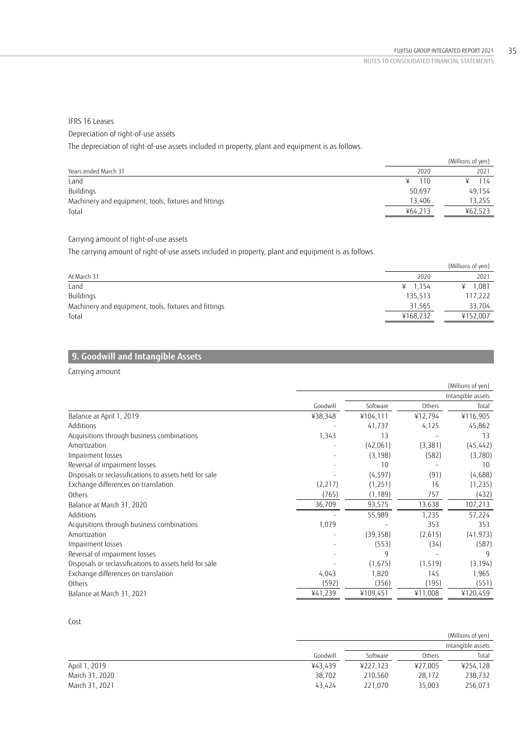## IFRS 16 Leases Depreciation of right-of-use assets The depreciation of right-of-use assets included in property, plant and equipment is as follows.

(Millions of yen) Years ended March 31 2020 2021 Land ¥ 110 ¥ 114 Buildings 50,697 49,154 Machinery and equipment, tools, fixtures and fittings 13,255 and 13,255 and 13,255 and 13,255 and 13,255 and 13,255 and 13,255 and 13,255 and 13,255 and 13,255 and 13,255 and 13,255 and 13,255 and 13,255 and 13,255 and 13, Total ¥64,213 ¥62,523

## Carrying amount of right-of-use assets

The carrying amount of right-of-use assets included in property, plant and equipment is as follows.

|                                                       |           | (Millions of yen) |
|-------------------------------------------------------|-----------|-------------------|
| At March 31                                           | 2020      | 2021              |
| Land                                                  | ¥ $1.154$ | 1.081             |
| Buildings                                             | 135,513   | 117,222           |
| Machinery and equipment, tools, fixtures and fittings | 31,565    | 33.704            |
| Total                                                 | ¥168,232  | ¥152,007          |

## **9. Goodwill and Intangible Assets**

## Carrying amount

|                                                        |          |           |          | (Millions of yen) |
|--------------------------------------------------------|----------|-----------|----------|-------------------|
|                                                        |          |           |          | Intangible assets |
|                                                        | Goodwill | Software  | Others   | Total             |
| Balance at April 1, 2019                               | ¥38,348  | ¥104,111  | ¥12,794  | ¥116,905          |
| Additions                                              |          | 41,737    | 4,125    | 45,862            |
| Acquisitions through business combinations             | 1,343    | 13        |          | 13                |
| Amortization                                           |          | (42,061)  | (3, 381) | (45, 442)         |
| Impairment losses                                      |          | (3, 198)  | (582)    | (3,780)           |
| Reversal of impairment losses                          |          | 10        |          | 10                |
| Disposals or reclassifications to assets held for sale |          | (4, 597)  | (91)     | (4,688)           |
| Exchange differences on translation                    | (2,217)  | (1, 251)  | 16       | (1, 235)          |
| Others                                                 | (765)    | (1, 189)  | 757      | (432)             |
| Balance at March 31, 2020                              | 36,709   | 93,575    | 13,638   | 107,213           |
| Additions                                              |          | 55,989    | 1,235    | 57,224            |
| Acquisitions through business combinations             | 1,079    |           | 353      | 353               |
| Amortization                                           |          | (39, 358) | (2,615)  | (41, 973)         |
| Impairment losses                                      |          | (553)     | (34)     | (587)             |
| Reversal of impairment losses                          |          | q         |          |                   |
| Disposals or reclassifications to assets held for sale |          | (1,675)   | (1, 519) | (3, 194)          |
| Exchange differences on translation                    | 4,043    | 1,820     | 145      | 1,965             |
| Others                                                 | (592)    | (356)     | (195)    | (551)             |
| Balance at March 31, 2021                              | ¥41,239  | ¥109,451  | ¥11,008  | ¥120,459          |

## Cost

|                |          |          |         | (Millions of yen) |
|----------------|----------|----------|---------|-------------------|
|                |          |          |         | Intangible assets |
|                | Goodwill | Software | Others  | Total             |
| April 1, 2019  | ¥43.439  | ¥227.123 | ¥27.005 | ¥254.128          |
| March 31, 2020 | 38,702   | 210.560  | 28.172  | 238.732           |
| March 31, 2021 | 43.424   | 221.070  | 35,003  | 256,073           |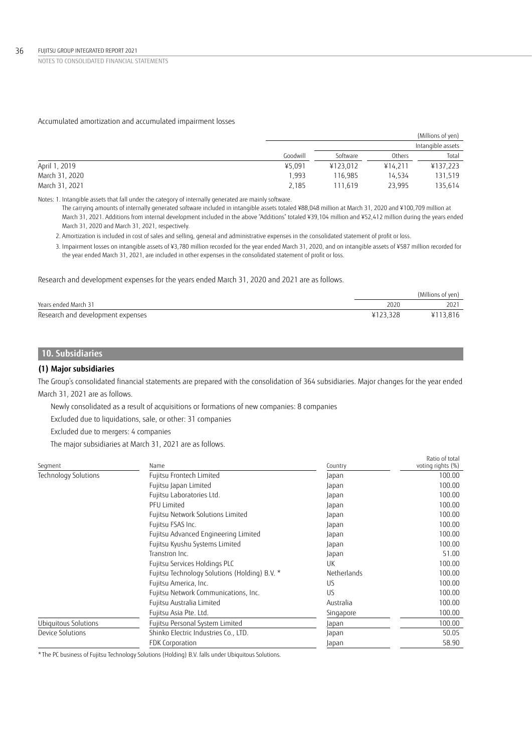## Accumulated amortization and accumulated impairment losses

|                |          |          |         | (Millions of yen) |
|----------------|----------|----------|---------|-------------------|
|                |          |          |         | Intangible assets |
|                | Goodwill | Software | Others  | Total             |
| April 1, 2019  | ¥5,091   | ¥123.012 | ¥14.211 | ¥137,223          |
| March 31, 2020 | 1.993    | 116.985  | 14.534  | 131,519           |
| March 31, 2021 | 2,185    | 111.619  | 23,995  | 135,614           |

Notes: 1. Intangible assets that fall under the category of internally generated are mainly software.

The carrying amounts of internally generated software included in intangible assets totaled ¥88,048 million at March 31, 2020 and ¥100,709 million at March 31, 2021. Additions from internal development included in the above "Additions" totaled ¥39,104 million and ¥52,412 million during the years ended March 31, 2020 and March 31, 2021, respectively.

2. Amortization is included in cost of sales and selling, general and administrative expenses in the consolidated statement of profit or loss.

 3. Impairment losses on intangible assets of ¥3,780 million recorded for the year ended March 31, 2020, and on intangible assets of ¥587 million recorded for the year ended March 31, 2021, are included in other expenses in the consolidated statement of profit or loss.

### Research and development expenses for the years ended March 31, 2020 and 2021 are as follows.

|                                   |      | (Millions of yen) |
|-----------------------------------|------|-------------------|
| Years ended March 31              | 2020 | 2021              |
| Research and development expenses |      | ¥113.816          |

## **10. Subsidiaries**

## **(1) Major subsidiaries**

The Group's consolidated financial statements are prepared with the consolidation of 364 subsidiaries. Major changes for the year ended March 31, 2021 are as follows.

Ratio of total

Newly consolidated as a result of acquisitions or formations of new companies: 8 companies

Excluded due to liquidations, sale, or other: 31 companies

Excluded due to mergers: 4 companies

The major subsidiaries at March 31, 2021 are as follows.

| Segment                     | Name                                          | Country     | voting rights (%) |
|-----------------------------|-----------------------------------------------|-------------|-------------------|
| <b>Technology Solutions</b> | Fujitsu Frontech Limited                      | Japan       | 100.00            |
|                             | Fujitsu Japan Limited                         | Japan       | 100.00            |
|                             | Fujitsu Laboratories Ltd.                     | Japan       | 100.00            |
|                             | <b>PFU Limited</b>                            | Japan       | 100.00            |
|                             | Fujitsu Network Solutions Limited             | Japan       | 100.00            |
|                             | Fujitsu FSAS Inc.                             | Japan       | 100.00            |
|                             | Fujitsu Advanced Engineering Limited          | Japan       | 100.00            |
|                             | Fujitsu Kyushu Systems Limited                | Japan       | 100.00            |
|                             | Transtron Inc.                                | Japan       | 51.00             |
|                             | Fujitsu Services Holdings PLC                 | UK          | 100.00            |
|                             | Fujitsu Technology Solutions (Holding) B.V. * | Netherlands | 100.00            |
|                             | Fujitsu America, Inc.                         | US          | 100.00            |
|                             | Fujitsu Network Communications, Inc.          | US          | 100.00            |
|                             | Fujitsu Australia Limited                     | Australia   | 100.00            |
|                             | Fujitsu Asia Pte. Ltd.                        | Singapore   | 100.00            |
| Ubiguitous Solutions        | Fujitsu Personal System Limited               | Japan       | 100.00            |
| Device Solutions            | Shinko Electric Industries Co., LTD.          | Japan       | 50.05             |
|                             | FDK Corporation                               | Japan       | 58.90             |
|                             |                                               |             |                   |

\*The PC business of Fujitsu Technology Solutions (Holding) B.V. falls under Ubiquitous Solutions.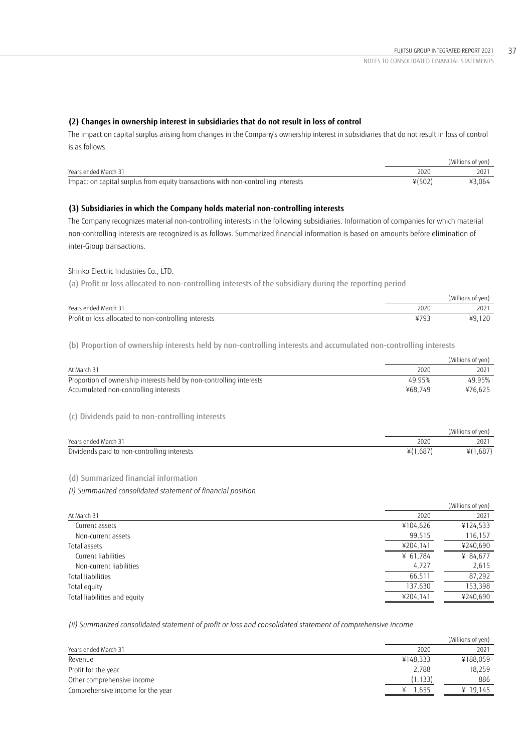## **(2) Changes in ownership interest in subsidiaries that do not result in loss of control**

The impact on capital surplus arising from changes in the Company's ownership interest in subsidiaries that do not result in loss of control is as follows.

|                                                                                   |          | (Millions of yen) |
|-----------------------------------------------------------------------------------|----------|-------------------|
| Years ended March 31                                                              | 2020     |                   |
| Impact on capital surplus from equity transactions with non-controlling interests | $*(502)$ | ¥3.064            |

## **(3) Subsidiaries in which the Company holds material non-controlling interests**

The Company recognizes material non-controlling interests in the following subsidiaries. Information of companies for which material non-controlling interests are recognized is as follows. Summarized financial information is based on amounts before elimination of inter-Group transactions.

### Shinko Electric Industries Co., LTD.

(a) Profit or loss allocated to non-controlling interests of the subsidiary during the reporting period

|                                                       |      | (Millions of ven) |
|-------------------------------------------------------|------|-------------------|
| Years ended March 31                                  | 2020 | 202               |
| Profit or loss allocated to non-controlling interests | V70  | ¥9,120            |

(b) Proportion of ownership interests held by non-controlling interests and accumulated non-controlling interests

|                                                                     |          | (Millions of yen) |
|---------------------------------------------------------------------|----------|-------------------|
| At March 31                                                         | 2020     | 2021              |
| Proportion of ownership interests held by non-controlling interests | 49.95%   | 49.95%            |
| Accumulated non-controlling interests                               | ¥68,749  | ¥76,625           |
| (c) Dividends paid to non-controlling interests                     |          |                   |
|                                                                     |          | (Millions of yen) |
| Years ended March 31                                                | 2020     | 2021              |
| Dividends paid to non-controlling interests                         | ¥(1,687) | ¥(1,687)          |
|                                                                     |          |                   |

### (d) Summarized financial information

*(i) Summarized consolidated statement of financial position*

|                              |          | (Millions of yen) |
|------------------------------|----------|-------------------|
| At March 31                  | 2020     | 2021              |
| Current assets               | ¥104,626 | ¥124,533          |
| Non-current assets           | 99,515   | 116,157           |
| Total assets                 | ¥204,141 | ¥240,690          |
| Current liabilities          | ¥ 61,784 | ¥ 84,677          |
| Non-current liabilities      | 4,727    | 2,615             |
| Total liabilities            | 66,511   | 87,292            |
| Total equity                 | 137,630  | 153,398           |
| Total liabilities and equity | ¥204,141 | ¥240,690          |
|                              |          |                   |

*(ii) Summarized consolidated statement of profit or loss and consolidated statement of comprehensive income*

|          | (Millions of yen) |
|----------|-------------------|
| 2020     | 2021              |
| ¥148.333 | ¥188,059          |
| 2.788    | 18.259            |
| (1, 133) | 886               |
| 1.655    | ¥ 19.145          |
|          |                   |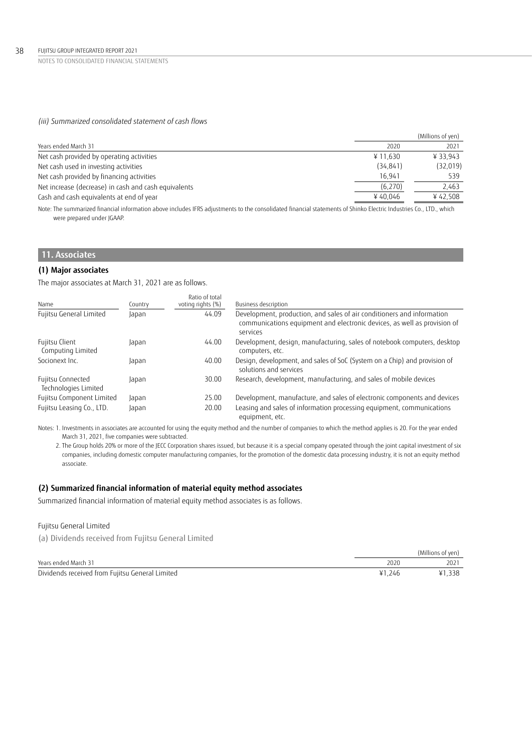## *(iii) Summarized consolidated statement of cash flows*

|                                                      |           | (Millions of yen) |
|------------------------------------------------------|-----------|-------------------|
| Years ended March 31                                 | 2020      | 2021              |
| Net cash provided by operating activities            | ¥11.630   | ¥ 33.943          |
| Net cash used in investing activities                | (34, 841) | (32,019)          |
| Net cash provided by financing activities            | 16.941    | 539               |
| Net increase (decrease) in cash and cash equivalents | (6,270)   | 2,463             |
| Cash and cash equivalents at end of year             | ¥40.046   | ¥42.508           |
|                                                      |           |                   |

Note: The summarized financial information above includes IFRS adjustments to the consolidated financial statements of Shinko Electric Industries Co., LTD., which were prepared under JGAAP.

# **11. Associates**

### **(1) Major associates**

The major associates at March 31, 2021 are as follows.

| Name                                      | Country | Ratio of total<br>voting rights (%) | Business description                                                                                                                                           |
|-------------------------------------------|---------|-------------------------------------|----------------------------------------------------------------------------------------------------------------------------------------------------------------|
| Fujitsu General Limited                   | Japan   | 44.09                               | Development, production, and sales of air conditioners and information<br>communications equipment and electronic devices, as well as provision of<br>services |
| Fujitsu Client<br>Computing Limited       | Japan   | 44.00                               | Development, design, manufacturing, sales of notebook computers, desktop<br>computers, etc.                                                                    |
| Socionext Inc.                            | Japan   | 40.00                               | Design, development, and sales of SoC (System on a Chip) and provision of<br>solutions and services                                                            |
| Fujitsu Connected<br>Technologies Limited | Japan   | 30.00                               | Research, development, manufacturing, and sales of mobile devices                                                                                              |
| Fujitsu Component Limited                 | Japan   | 25.00                               | Development, manufacture, and sales of electronic components and devices                                                                                       |
| Fujitsu Leasing Co., LTD.                 | Japan   | 20.00                               | Leasing and sales of information processing equipment, communications<br>equipment, etc.                                                                       |

Notes: 1. Investments in associates are accounted for using the equity method and the number of companies to which the method applies is 20. For the year ended March 31, 2021, five companies were subtracted.

 2. The Group holds 20% or more of the JECC Corporation shares issued, but because it is a special company operated through the joint capital investment of six companies, including domestic computer manufacturing companies, for the promotion of the domestic data processing industry, it is not an equity method associate.

### **(2) Summarized financial information of material equity method associates**

Summarized financial information of material equity method associates is as follows.

### Fujitsu General Limited

(a) Dividends received from Fujitsu General Limited

|                                                 |      | (Millions of yen) |
|-------------------------------------------------|------|-------------------|
| Years ended March 31                            |      | 2021              |
| Dividends received from Fujitsu General Limited | .246 | 338               |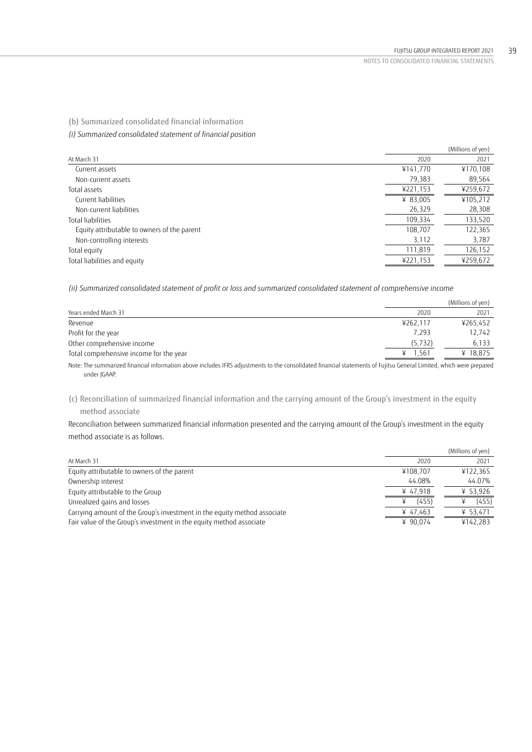(b) Summarized consolidated financial information

*(i) Summarized consolidated statement of financial position*

|                                             |          | (Millions of yen) |
|---------------------------------------------|----------|-------------------|
| At March 31                                 | 2020     | 2021              |
| Current assets                              | ¥141,770 | ¥170,108          |
| Non-current assets                          | 79,383   | 89,564            |
| Total assets                                | ¥221,153 | ¥259,672          |
| Current liabilities                         | ¥ 83.005 | ¥105,212          |
| Non-current liabilities                     | 26,329   | 28,308            |
| Total liabilities                           | 109,334  | 133,520           |
| Equity attributable to owners of the parent | 108,707  | 122,365           |
| Non-controlling interests                   | 3,112    | 3,787             |
| Total equity                                | 111,819  | 126,152           |
| Total liabilities and equity                | ¥221,153 | ¥259,672          |

*(ii) Summarized consolidated statement of profit or loss and summarized consolidated statement of comprehensive income*

|                                                                                                                                                                     |          | (Millions of yen) |
|---------------------------------------------------------------------------------------------------------------------------------------------------------------------|----------|-------------------|
| Years ended March 31                                                                                                                                                | 2020     | 2021              |
| Revenue                                                                                                                                                             | ¥262.117 | ¥265.452          |
| Profit for the year                                                                                                                                                 | 7.293    | 12.742            |
| Other comprehensive income                                                                                                                                          | (5,732)  | 6,133             |
| Total comprehensive income for the year                                                                                                                             | 1.561    | ¥ 18.875          |
| Note: The summarized financial information above includes JERS adjustments to the consolidated financial statements of Fujitsu General Limited, which were prepared |          |                   |

Note: The summarized financial information above includes IFRS adjustments to the consolidated financial statements of Fujitsu General Limited, which were prepared under JGAAP.

(c) Reconciliation of summarized financial information and the carrying amount of the Group's investment in the equity method associate

Reconciliation between summarized financial information presented and the carrying amount of the Group's investment in the equity method associate is as follows.

|                                                                          |          | (Millions of yen) |
|--------------------------------------------------------------------------|----------|-------------------|
| At March 31                                                              | 2020     | 2021              |
| Equity attributable to owners of the parent                              | ¥108.707 | ¥122,365          |
| Ownership interest                                                       | 44.08%   | 44.07%            |
| Equity attributable to the Group                                         | ¥ 47,918 | ¥ 53,926          |
| Unrealized gains and losses                                              | (455)    | (455)             |
| Carrying amount of the Group's investment in the equity method associate | ¥ 47.463 | ¥ 53,471          |
| Fair value of the Group's investment in the equity method associate      | ¥ 90.074 | ¥142.283          |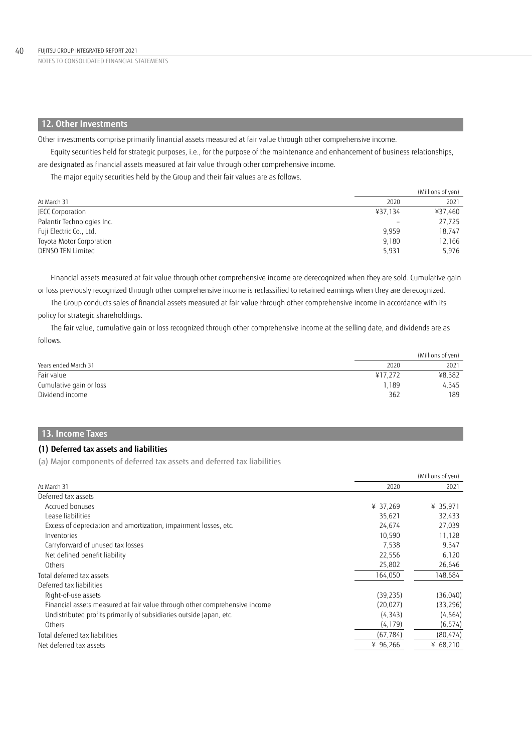## **12. Other Investments**

Other investments comprise primarily financial assets measured at fair value through other comprehensive income.

Equity securities held for strategic purposes, i.e., for the purpose of the maintenance and enhancement of business relationships, are designated as financial assets measured at fair value through other comprehensive income.

The major equity securities held by the Group and their fair values are as follows.

|                            |         | (Millions of yen) |
|----------------------------|---------|-------------------|
| At March 31                | 2020    | 2021              |
| JECC Corporation           | ¥37,134 | ¥37,460           |
| Palantir Technologies Inc. |         | 27,725            |
| Fuji Electric Co., Ltd.    | 9.959   | 18,747            |
| Toyota Motor Corporation   | 9,180   | 12,166            |
| DENSO TEN Limited          | 5,931   | 5,976             |

Financial assets measured at fair value through other comprehensive income are derecognized when they are sold. Cumulative gain or loss previously recognized through other comprehensive income is reclassified to retained earnings when they are derecognized.

The Group conducts sales of financial assets measured at fair value through other comprehensive income in accordance with its policy for strategic shareholdings.

The fair value, cumulative gain or loss recognized through other comprehensive income at the selling date, and dividends are as follows.

|                         |         | (Millions of yen) |
|-------------------------|---------|-------------------|
| Years ended March 31    | 2020    | 2021              |
| Fair value              | ¥17.272 | ¥8,382            |
| Cumulative gain or loss | 1.189   | 4.345             |
| Dividend income         | 362     | 189               |

## **13. Income Taxes**

### **(1) Deferred tax assets and liabilities**

(a) Major components of deferred tax assets and deferred tax liabilities

|                                                                            |           | (Millions of yen) |
|----------------------------------------------------------------------------|-----------|-------------------|
| At March 31                                                                | 2020      | 2021              |
| Deferred tax assets                                                        |           |                   |
| Accrued bonuses                                                            | ¥ 37,269  | ¥ 35,971          |
| Lease liabilities                                                          | 35,621    | 32,433            |
| Excess of depreciation and amortization, impairment losses, etc.           | 24,674    | 27,039            |
| Inventories                                                                | 10.590    | 11,128            |
| Carryforward of unused tax losses                                          | 7,538     | 9,347             |
| Net defined benefit liability                                              | 22,556    | 6,120             |
| Others                                                                     | 25,802    | 26,646            |
| Total deferred tax assets                                                  | 164,050   | 148,684           |
| Deferred tax liabilities                                                   |           |                   |
| Right-of-use assets                                                        | (39, 235) | (36,040)          |
| Financial assets measured at fair value through other comprehensive income | (20.027)  | (33, 296)         |
| Undistributed profits primarily of subsidiaries outside Japan, etc.        | (4, 343)  | (4, 564)          |
| Others                                                                     | (4, 179)  | (6, 574)          |
| Total deferred tax liabilities                                             | (67, 784) | (80, 474)         |
| Net deferred tax assets                                                    | ¥ 96,266  | ¥ $68,210$        |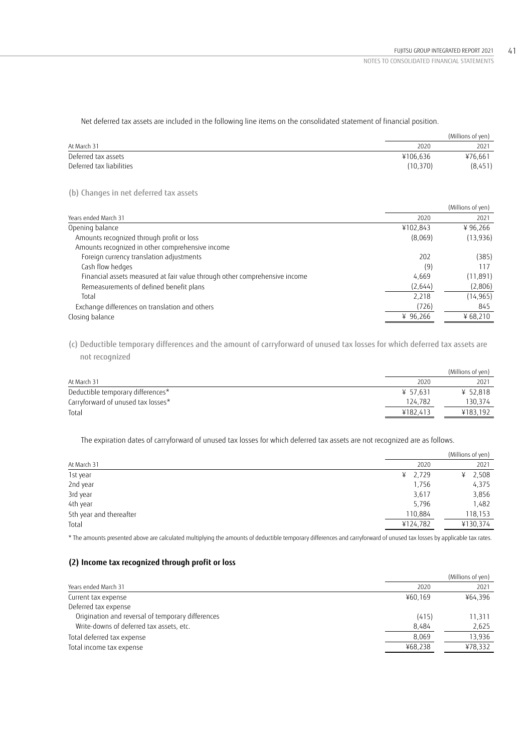Net deferred tax assets are included in the following line items on the consolidated statement of financial position.

|                          |          | (Millions of yen) |
|--------------------------|----------|-------------------|
| At March 31              | 2020     | 2021              |
| Deferred tax assets      | ¥106.636 | ¥76.661           |
| Deferred tax liabilities | (10.370) | (8,451)           |
|                          |          |                   |

(b) Changes in net deferred tax assets

|                                                                            |          | (Millions of yen) |
|----------------------------------------------------------------------------|----------|-------------------|
| Years ended March 31                                                       | 2020     | 2021              |
| Opening balance                                                            | ¥102,843 | ¥96.266           |
| Amounts recognized through profit or loss                                  | (8,069)  | (13, 936)         |
| Amounts recognized in other comprehensive income                           |          |                   |
| Foreign currency translation adjustments                                   | 202      | (385)             |
| Cash flow hedges                                                           | (9)      | 117               |
| Financial assets measured at fair value through other comprehensive income | 4.669    | (11, 891)         |
| Remeasurements of defined benefit plans                                    | (2,644)  | (2,806)           |
| Total                                                                      | 2,218    | (14, 965)         |
| Exchange differences on translation and others                             | (726)    | 845               |
| Closing balance                                                            | ¥ 96,266 | ¥ $68,210$        |

(c) Deductible temporary differences and the amount of carryforward of unused tax losses for which deferred tax assets are not recognized

|                                    |          | (Millions of yen) |
|------------------------------------|----------|-------------------|
| At March 31                        | 2020     | 2021              |
| Deductible temporary differences*  | ¥ 57.631 | ¥ 52,818          |
| Carryforward of unused tax losses* | 124.782  | 130.374           |
| Total                              | ¥182.413 | ¥183.192          |
|                                    |          |                   |

The expiration dates of carryforward of unused tax losses for which deferred tax assets are not recognized are as follows.

|                         |            | (Millions of yen) |
|-------------------------|------------|-------------------|
| At March 31             | 2020       | 2021              |
| 1st year                | 2,729<br>¥ | 2,508<br>¥        |
| 2nd year                | 1,756      | 4,375             |
| 3rd year                | 3,617      | 3,856             |
| 4th year                | 5,796      | 1,482             |
| 5th year and thereafter | 110,884    | 118,153           |
| Total                   | ¥124,782   | ¥130,374          |
|                         |            |                   |

\* The amounts presented above are calculated multiplying the amounts of deductible temporary differences and carryforward of unused tax losses by applicable tax rates.

## **(2) Income tax recognized through profit or loss**

|         | (Millions of yen) |
|---------|-------------------|
| 2020    | 2021              |
| ¥60.169 | ¥64.396           |
|         |                   |
| (415)   | 11,311            |
| 8,484   | 2,625             |
| 8.069   | 13,936            |
| ¥68.238 | ¥78,332           |
|         |                   |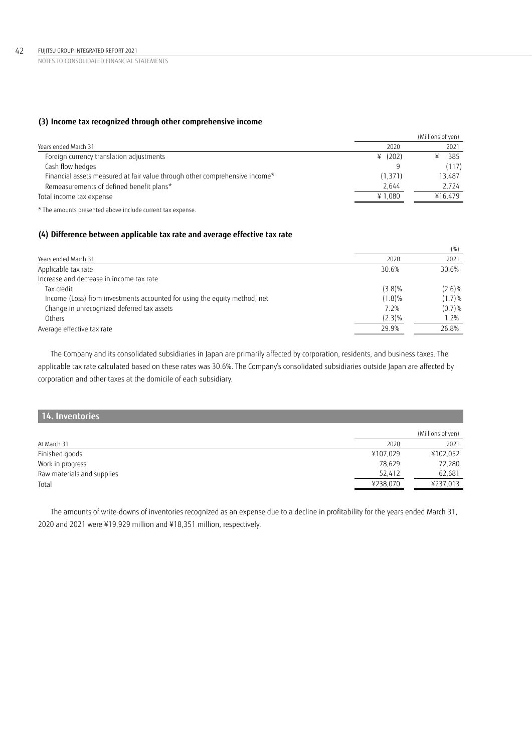## **(3) Income tax recognized through other comprehensive income**

|                                                                             |          | (Millions of yen) |
|-----------------------------------------------------------------------------|----------|-------------------|
| Years ended March 31                                                        | 2020     | 2021              |
| Foreign currency translation adjustments                                    | 4(202)   | 385               |
| Cash flow hedges                                                            |          | (117)             |
| Financial assets measured at fair value through other comprehensive income* | (1, 371) | 13.487            |
| Remeasurements of defined benefit plans*                                    | 2.644    | 2.724             |
| Total income tax expense                                                    | ¥1.080   | ¥16.479           |
|                                                                             |          |                   |

\* The amounts presented above include current tax expense.

## **(4) Difference between applicable tax rate and average effective tax rate**

|                                                                           |           | (% )      |
|---------------------------------------------------------------------------|-----------|-----------|
| Years ended March 31                                                      | 2020      | 2021      |
| Applicable tax rate                                                       | 30.6%     | 30.6%     |
| Increase and decrease in income tax rate                                  |           |           |
| Tax credit                                                                | $(3.8)\%$ | $(2.6)\%$ |
| Income (Loss) from investments accounted for using the equity method, net | $(1.8)\%$ | (1.7)%    |
| Change in unrecognized deferred tax assets                                | 7.2%      | (0.7)%    |
| Others                                                                    | $(2.3)\%$ | 1.2%      |
| Average effective tax rate                                                | 29.9%     | 26.8%     |

The Company and its consolidated subsidiaries in Japan are primarily affected by corporation, residents, and business taxes. The applicable tax rate calculated based on these rates was 30.6%. The Company's consolidated subsidiaries outside Japan are affected by corporation and other taxes at the domicile of each subsidiary.

## **14. Inventories**

|                            |          | (Millions of yen) |
|----------------------------|----------|-------------------|
| At March 31                | 2020     | 2021              |
| Finished goods             | ¥107,029 | ¥102,052          |
| Work in progress           | 78.629   | 72,280            |
| Raw materials and supplies | 52.412   | 62.681            |
| Total                      | ¥238,070 | ¥237,013          |

The amounts of write-downs of inventories recognized as an expense due to a decline in profitability for the years ended March 31, 2020 and 2021 were ¥19,929 million and ¥18,351 million, respectively.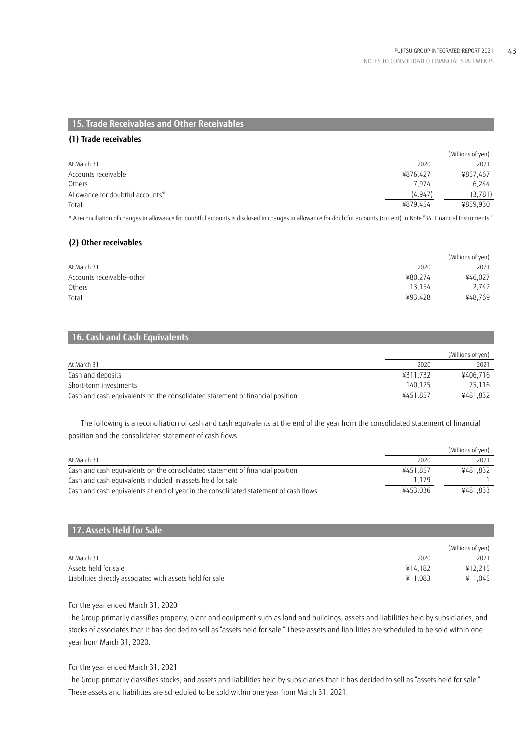## **15. Trade Receivables and Other Receivables**

### **(1) Trade receivables**

|                                  |          | (Millions of yen) |
|----------------------------------|----------|-------------------|
| At March 31                      | 2020     | 2021              |
| Accounts receivable              | ¥876,427 | ¥857,467          |
| Others                           | 7,974    | 6.244             |
| Allowance for doubtful accounts* | (4, 947) | (3,781)           |
| Total                            | ¥879,454 | ¥859,930          |
|                                  |          |                   |

\* A reconciliation of changes in allowance for doubtful accounts is disclosed in changes in allowance for doubtful accounts (current) in Note "34. Financial Instruments."

## **(2) Other receivables**

|                           |         | (Millions of yen) |
|---------------------------|---------|-------------------|
| At March 31               | 2020    | 2021              |
| Accounts receivable-other | ¥80,274 | ¥46,027           |
| Others                    | 13.154  | 2,742             |
| Total                     | ¥93.428 | ¥48,769           |
|                           |         |                   |

## **16. Cash and Cash Equivalents**

|                                                                               |          | (Millions of yen) |
|-------------------------------------------------------------------------------|----------|-------------------|
| At March 31                                                                   | 2020     | 2021              |
| Cash and deposits                                                             | ¥311.732 | ¥406.716          |
| Short-term investments                                                        | 140.125  | 75.116            |
| Cash and cash equivalents on the consolidated statement of financial position | ¥451.857 | ¥481.832          |

The following is a reconciliation of cash and cash equivalents at the end of the year from the consolidated statement of financial position and the consolidated statement of cash flows.

|                                                                                      |          | (Millions of yen) |
|--------------------------------------------------------------------------------------|----------|-------------------|
| At March 31                                                                          | 2020     | 2021              |
| Cash and cash equivalents on the consolidated statement of financial position        | ¥451.857 | ¥481.832          |
| Cash and cash equivalents included in assets held for sale                           | 1.179    |                   |
| Cash and cash equivalents at end of year in the consolidated statement of cash flows | ¥453.036 | ¥481.833          |

## **17. Assets Held for Sale**

|                                                           |           | (Millions of ven) |
|-----------------------------------------------------------|-----------|-------------------|
| At March 31                                               | 2020      | 2021              |
| Assets held for sale                                      | ¥14.182   | ¥12.215           |
| Liabilities directly associated with assets held for sale | ¥ $1.083$ | ¥ $1.045$         |

### For the year ended March 31, 2020

The Group primarily classifies property, plant and equipment such as land and buildings, assets and liabilities held by subsidiaries, and stocks of associates that it has decided to sell as "assets held for sale." These assets and liabilities are scheduled to be sold within one year from March 31, 2020.

### For the year ended March 31, 2021

The Group primarily classifies stocks, and assets and liabilities held by subsidiaries that it has decided to sell as "assets held for sale." These assets and liabilities are scheduled to be sold within one year from March 31, 2021.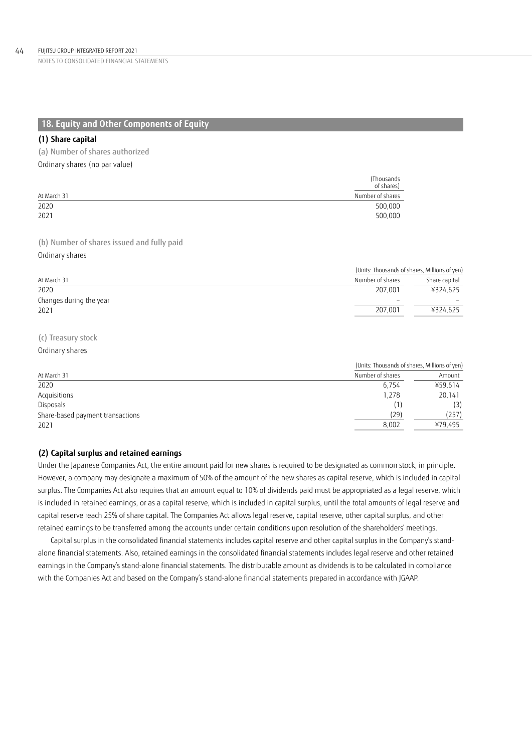## **18. Equity and Other Components of Equity**

### **(1) Share capital**

(a) Number of shares authorized

Ordinary shares (no par value)

|             | (Thousands)<br>of shares) |
|-------------|---------------------------|
| At March 31 | Number of shares          |
| 2020        | 500,000                   |
| 2021        | 500,000                   |

(b) Number of shares issued and fully paid Ordinary shares

|                         | (Units: Thousands of shares, Millions of yen) |               |
|-------------------------|-----------------------------------------------|---------------|
| At March 31             | Number of shares                              | Share capital |
| 2020                    | 207.001                                       | ¥324,625      |
| Changes during the year | $\overline{\phantom{a}}$                      |               |
| 2021                    | 207.001                                       | ¥324,625      |
|                         |                                               |               |

## (c) Treasury stock

#### Ordinary shares

|                                  | (Units: Thousands of shares, Millions of yen) |         |  |
|----------------------------------|-----------------------------------------------|---------|--|
| At March 31                      | Number of shares                              | Amount  |  |
| 2020                             | 6.754                                         | ¥59,614 |  |
| Acquisitions                     | 1,278                                         | 20,141  |  |
| Disposals                        |                                               | (3)     |  |
| Share-based payment transactions | (29)                                          | (257)   |  |
| 2021                             | 8.002                                         | ¥79.495 |  |

## **(2) Capital surplus and retained earnings**

Under the Japanese Companies Act, the entire amount paid for new shares is required to be designated as common stock, in principle. However, a company may designate a maximum of 50% of the amount of the new shares as capital reserve, which is included in capital surplus. The Companies Act also requires that an amount equal to 10% of dividends paid must be appropriated as a legal reserve, which is included in retained earnings, or as a capital reserve, which is included in capital surplus, until the total amounts of legal reserve and capital reserve reach 25% of share capital. The Companies Act allows legal reserve, capital reserve, other capital surplus, and other retained earnings to be transferred among the accounts under certain conditions upon resolution of the shareholders' meetings.

Capital surplus in the consolidated financial statements includes capital reserve and other capital surplus in the Company's standalone financial statements. Also, retained earnings in the consolidated financial statements includes legal reserve and other retained earnings in the Company's stand-alone financial statements. The distributable amount as dividends is to be calculated in compliance with the Companies Act and based on the Company's stand-alone financial statements prepared in accordance with JGAAP.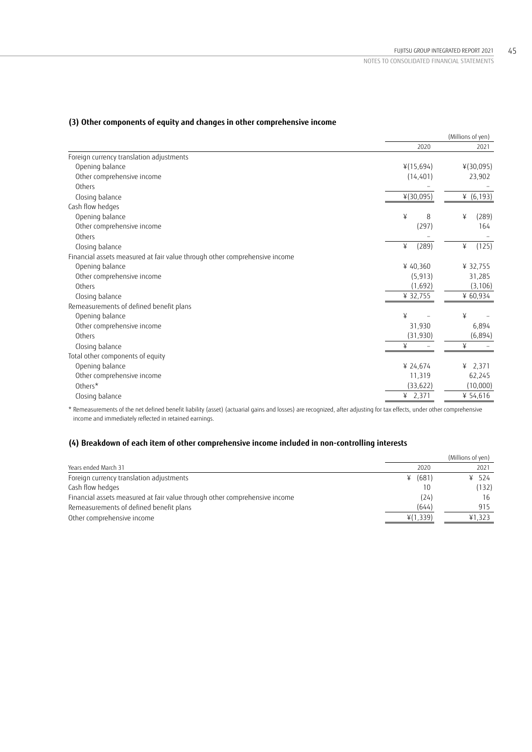|                                                                            | (Millions of yen) |              |
|----------------------------------------------------------------------------|-------------------|--------------|
|                                                                            | 2020              | 2021         |
| Foreign currency translation adjustments                                   |                   |              |
| Opening balance                                                            | 4(15,694)         | ¥(30,095)    |
| Other comprehensive income                                                 | (14, 401)         | 23,902       |
| Others                                                                     |                   |              |
| Closing balance                                                            | ¥(30,095)         | ¥ $(6, 193)$ |
| Cash flow hedges                                                           |                   |              |
| Opening balance                                                            | ¥<br>8            | ¥<br>(289)   |
| Other comprehensive income                                                 | (297)             | 164          |
| Others                                                                     |                   |              |
| Closing balance                                                            | (289)<br>¥        | (125)<br>¥   |
| Financial assets measured at fair value through other comprehensive income |                   |              |
| Opening balance                                                            | ¥40,360           | ¥ 32,755     |
| Other comprehensive income                                                 | (5, 913)          | 31,285       |
| Others                                                                     | (1,692)           | (3, 106)     |
| Closing balance                                                            | ¥ 32,755          | ¥ 60,934     |
| Remeasurements of defined benefit plans                                    |                   |              |
| Opening balance                                                            | ¥                 | ¥            |
| Other comprehensive income                                                 | 31,930            | 6,894        |
| Others                                                                     | (31, 930)         | (6,894)      |
| Closing balance                                                            | ¥                 | ¥            |
| Total other components of equity                                           |                   |              |
| Opening balance                                                            | ¥ 24,674          | 2,371<br>¥   |
| Other comprehensive income                                                 | 11,319            | 62,245       |
| Others*                                                                    | (33, 622)         | (10,000)     |
| Closing balance                                                            | ¥ $2,371$         | ¥ 54,616     |
|                                                                            |                   |              |

## **(3) Other components of equity and changes in other comprehensive income**

\* Remeasurements of the net defined benefit liability (asset) (actuarial gains and losses) are recognized, after adjusting for tax effects, under other comprehensive income and immediately reflected in retained earnings.

## **(4) Breakdown of each item of other comprehensive income included in non-controlling interests**

|                                                                            |          | (Millions of yen) |
|----------------------------------------------------------------------------|----------|-------------------|
| Years ended March 31                                                       | 2020     | 2021              |
| Foreign currency translation adjustments                                   | ¥ (681)  | ¥ 524             |
| Cash flow hedges                                                           |          | (132)             |
| Financial assets measured at fair value through other comprehensive income | (24)     | 16                |
| Remeasurements of defined benefit plans                                    | (644)    | 915               |
| Other comprehensive income                                                 | ¥(1,339) | ¥1.323            |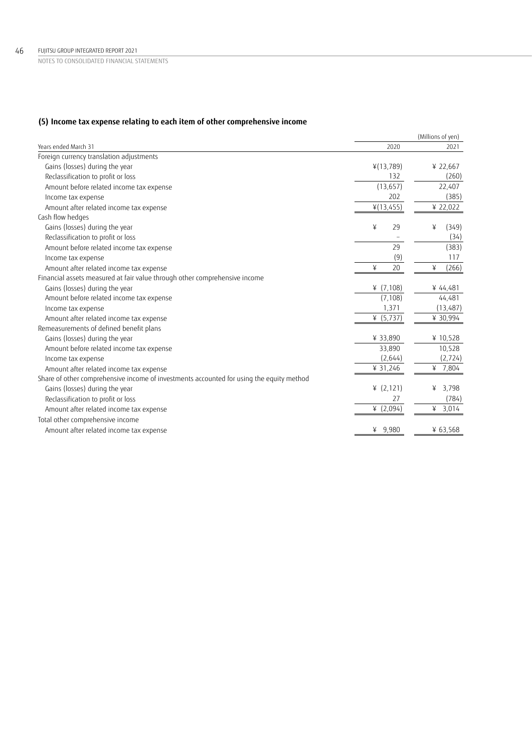## **(5) Income tax expense relating to each item of other comprehensive income**

|                                                                                          |              | (Millions of yen) |
|------------------------------------------------------------------------------------------|--------------|-------------------|
| Years ended March 31                                                                     | 2020         | 2021              |
| Foreign currency translation adjustments                                                 |              |                   |
| Gains (losses) during the year                                                           | ¥(13,789)    | ¥ 22,667          |
| Reclassification to profit or loss                                                       | 132          | (260)             |
| Amount before related income tax expense                                                 | (13, 657)    | 22,407            |
| Income tax expense                                                                       | 202          | (385)             |
| Amount after related income tax expense                                                  | ¥(13,455)    | ¥ 22,022          |
| Cash flow hedges                                                                         |              |                   |
| Gains (losses) during the year                                                           | ¥<br>29      | ¥<br>(349)        |
| Reclassification to profit or loss                                                       |              | (34)              |
| Amount before related income tax expense                                                 | 29           | (383)             |
| Income tax expense                                                                       | (9)          | 117               |
| Amount after related income tax expense                                                  | 20<br>¥      | ¥<br>(266)        |
| Financial assets measured at fair value through other comprehensive income               |              |                   |
| Gains (losses) during the year                                                           | ¥ $(7, 108)$ | ¥ 44,481          |
| Amount before related income tax expense                                                 | (7, 108)     | 44,481            |
| Income tax expense                                                                       | 1,371        | (13, 487)         |
| Amount after related income tax expense                                                  | ¥ $(5,737)$  | ¥ 30,994          |
| Remeasurements of defined benefit plans                                                  |              |                   |
| Gains (losses) during the year                                                           | ¥ 33,890     | ¥10,528           |
| Amount before related income tax expense                                                 | 33,890       | 10,528            |
| Income tax expense                                                                       | (2,644)      | (2, 724)          |
| Amount after related income tax expense                                                  | ¥ 31,246     | 7,804<br>¥        |
| Share of other comprehensive income of investments accounted for using the equity method |              |                   |
| Gains (losses) during the year                                                           | (2, 121)     | 3,798<br>¥        |
| Reclassification to profit or loss                                                       | 27           | (784)             |
| Amount after related income tax expense                                                  | ¥ $(2,094)$  | ¥<br>3,014        |
| Total other comprehensive income                                                         |              |                   |
| Amount after related income tax expense                                                  | ¥ 9,980      | ¥ 63,568          |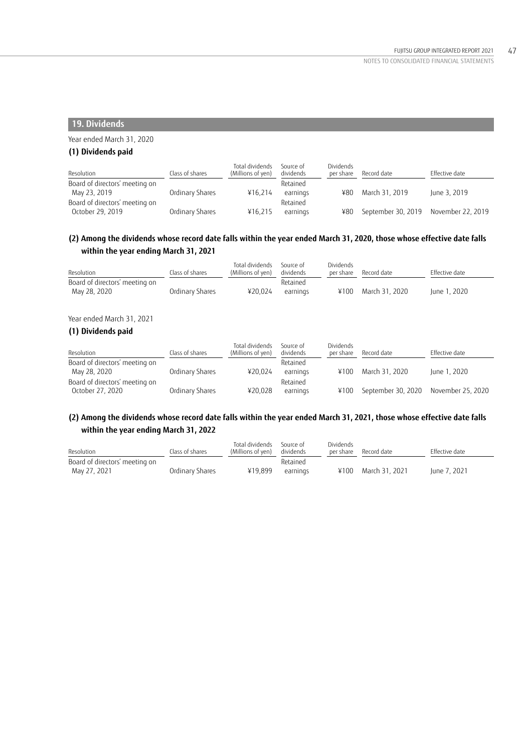## **19. Dividends**

## Year ended March 31, 2020

## **(1) Dividends paid**

| Resolution                     | Class of shares | Total dividends<br>(Millions of yen) | Source of<br>dividends | Dividends<br>per share | Record date                             | Effective date |
|--------------------------------|-----------------|--------------------------------------|------------------------|------------------------|-----------------------------------------|----------------|
| Board of directors' meeting on |                 |                                      | Retained               |                        |                                         |                |
| May 23, 2019                   | Ordinary Shares | ¥16.214                              | earnings               | ¥80                    | March 31, 2019                          | lune 3, 2019   |
| Board of directors' meeting on |                 |                                      | Retained               |                        |                                         |                |
| October 29, 2019               | Ordinary Shares | ¥16.215                              | earnings               | ¥80                    | September 30, 2019    November 22, 2019 |                |

## **(2) Among the dividends whose record date falls within the year ended March 31, 2020, those whose effective date falls within the year ending March 31, 2021**

| Resolution                     | Class of shares | Total dividends<br>(Millions of yen) | Source of<br>dividends | Dividends<br>per share | Record date    | Effective date |
|--------------------------------|-----------------|--------------------------------------|------------------------|------------------------|----------------|----------------|
| Board of directors' meeting on |                 |                                      | Retained               |                        |                |                |
| May 28, 2020                   | Ordinary Shares | ¥20.024                              | earnings               | ¥100                   | March 31, 2020 | lune 1, 2020   |

## Year ended March 31, 2021

## **(1) Dividends paid**

| Resolution                     | Class of shares | Total dividends<br>(Millions of yen) | Source of<br>dividends | <b>Dividends</b><br>per share | Record date        | Effective date    |
|--------------------------------|-----------------|--------------------------------------|------------------------|-------------------------------|--------------------|-------------------|
| Board of directors' meeting on |                 |                                      | Retained               |                               |                    |                   |
| May 28, 2020                   | Ordinary Shares | ¥20.024                              | earnings               | ¥100                          | March 31, 2020     | lune 1, 2020      |
| Board of directors' meeting on |                 |                                      | Retained               |                               |                    |                   |
| October 27, 2020               | Ordinary Shares | ¥20.028                              | earnings               | ¥100                          | September 30, 2020 | November 25, 2020 |

## **(2) Among the dividends whose record date falls within the year ended March 31, 2021, those whose effective date falls within the year ending March 31, 2022**

| Resolution                     | Class of shares | Total dividends<br>(Millions of yen) | Source of<br>dividends | Dividends<br>per share | Record date    | Effective date |
|--------------------------------|-----------------|--------------------------------------|------------------------|------------------------|----------------|----------------|
| Board of directors' meeting on |                 |                                      | Retained               |                        |                |                |
| May 27, 2021                   | Ordinary Shares | ¥19.899                              | earnings               | ¥100                   | March 31. 2021 | June 7, 2021   |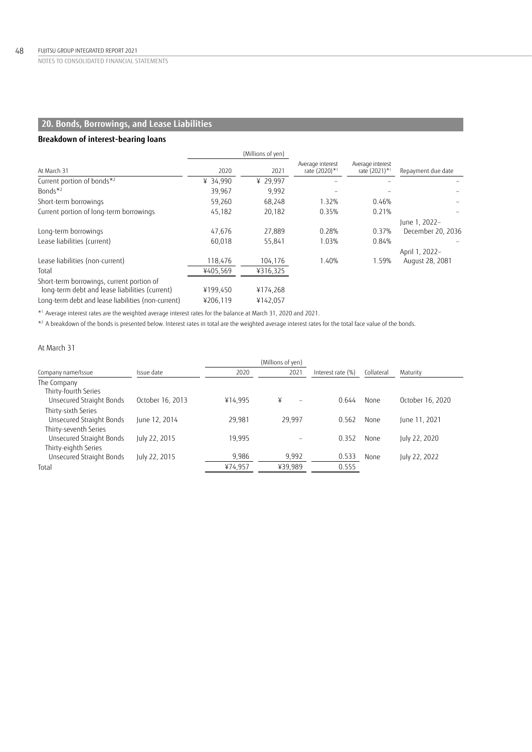# **20. Bonds, Borrowings, and Lease Liabilities**

## **Breakdown of interest-bearing loans**

|                                                                                             |          | (Millions of yen) |                                   |                                   |                    |
|---------------------------------------------------------------------------------------------|----------|-------------------|-----------------------------------|-----------------------------------|--------------------|
| At March 31                                                                                 | 2020     | 2021              | Average interest<br>rate (2020)*1 | Average interest<br>rate (2021)*1 | Repayment due date |
| Current portion of bonds*2                                                                  | ¥ 34,990 | ¥ 29,997          |                                   |                                   |                    |
| Bonds $*^2$                                                                                 | 39,967   | 9,992             |                                   |                                   |                    |
| Short-term borrowings                                                                       | 59,260   | 68,248            | 1.32%                             | 0.46%                             |                    |
| Current portion of long-term borrowings                                                     | 45,182   | 20,182            | 0.35%                             | 0.21%                             |                    |
|                                                                                             |          |                   |                                   |                                   | June 1, 2022-      |
| Long-term borrowings                                                                        | 47,676   | 27.889            | 0.28%                             | 0.37%                             | December 20, 2036  |
| Lease liabilities (current)                                                                 | 60.018   | 55.841            | 1.03%                             | 0.84%                             |                    |
|                                                                                             |          |                   |                                   |                                   | April 1, 2022-     |
| Lease liabilities (non-current)                                                             | 118,476  | 104,176           | 1.40%                             | 1.59%                             | August 28, 2081    |
| Total                                                                                       | ¥405,569 | ¥316,325          |                                   |                                   |                    |
| Short-term borrowings, current portion of<br>long-term debt and lease liabilities (current) | ¥199,450 | ¥174,268          |                                   |                                   |                    |
| Long-term debt and lease liabilities (non-current)                                          | ¥206.119 | ¥142.057          |                                   |                                   |                    |

\*1 Average interest rates are the weighted average interest rates for the balance at March 31, 2020 and 2021.

 $*$ 2 A breakdown of the bonds is presented below. Interest rates in total are the weighted average interest rates for the total face value of the bonds.

### At March 31

|                                                           |                  |                  | (Millions of yen)             |                   |            |                  |
|-----------------------------------------------------------|------------------|------------------|-------------------------------|-------------------|------------|------------------|
| Company name/Issue                                        | Issue date       | 2020             | 2021                          | Interest rate (%) | Collateral | Maturity         |
| The Company<br>Thirty-fourth Series                       |                  |                  |                               |                   |            |                  |
| Unsecured Straight Bonds                                  | October 16, 2013 | ¥14.995          | ¥<br>$\overline{\phantom{0}}$ | 0.644             | None       | October 16, 2020 |
| Thirty-sixth Series<br>Unsecured Straight Bonds           | June 12, 2014    | 29.981           | 29.997                        | 0.562             | None       | June 11, 2021    |
| Thirty-seventh Series<br>Unsecured Straight Bonds         | July 22, 2015    | 19.995           |                               | 0.352             | None       | July 22, 2020    |
| Thirty-eighth Series<br>Unsecured Straight Bonds<br>Total | July 22, 2015    | 9,986<br>¥74,957 | 9,992<br>¥39,989              | 0.533<br>0.555    | None       | July 22, 2022    |
|                                                           |                  |                  |                               |                   |            |                  |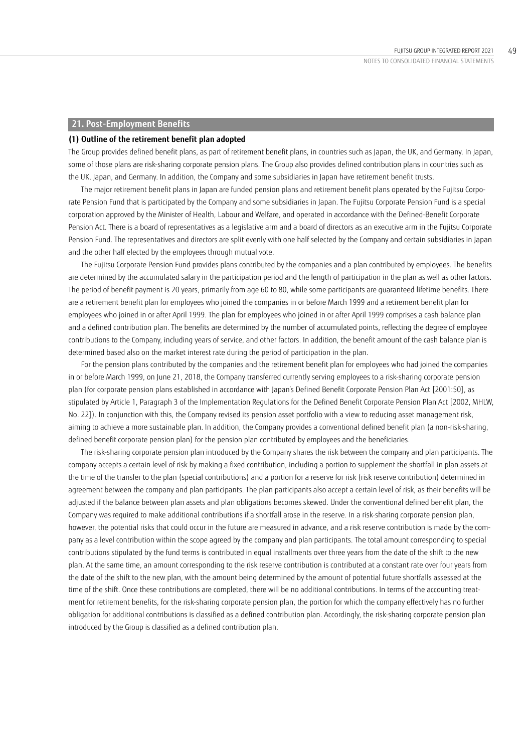## **21. Post-Employment Benefits**

#### **(1) Outline of the retirement benefit plan adopted**

The Group provides defined benefit plans, as part of retirement benefit plans, in countries such as Japan, the UK, and Germany. In Japan, some of those plans are risk-sharing corporate pension plans. The Group also provides defined contribution plans in countries such as the UK, Japan, and Germany. In addition, the Company and some subsidiaries in Japan have retirement benefit trusts.

The major retirement benefit plans in Japan are funded pension plans and retirement benefit plans operated by the Fujitsu Corporate Pension Fund that is participated by the Company and some subsidiaries in Japan. The Fujitsu Corporate Pension Fund is a special corporation approved by the Minister of Health, Labour and Welfare, and operated in accordance with the Defined-Benefit Corporate Pension Act. There is a board of representatives as a legislative arm and a board of directors as an executive arm in the Fujitsu Corporate Pension Fund. The representatives and directors are split evenly with one half selected by the Company and certain subsidiaries in Japan and the other half elected by the employees through mutual vote.

The Fujitsu Corporate Pension Fund provides plans contributed by the companies and a plan contributed by employees. The benefits are determined by the accumulated salary in the participation period and the length of participation in the plan as well as other factors. The period of benefit payment is 20 years, primarily from age 60 to 80, while some participants are guaranteed lifetime benefits. There are a retirement benefit plan for employees who joined the companies in or before March 1999 and a retirement benefit plan for employees who joined in or after April 1999. The plan for employees who joined in or after April 1999 comprises a cash balance plan and a defined contribution plan. The benefits are determined by the number of accumulated points, reflecting the degree of employee contributions to the Company, including years of service, and other factors. In addition, the benefit amount of the cash balance plan is determined based also on the market interest rate during the period of participation in the plan.

For the pension plans contributed by the companies and the retirement benefit plan for employees who had joined the companies in or before March 1999, on June 21, 2018, the Company transferred currently serving employees to a risk-sharing corporate pension plan (for corporate pension plans established in accordance with Japan's Defined Benefit Corporate Pension Plan Act [2001:50], as stipulated by Article 1, Paragraph 3 of the Implementation Regulations for the Defined Benefit Corporate Pension Plan Act [2002, MHLW, No. 22]). In conjunction with this, the Company revised its pension asset portfolio with a view to reducing asset management risk, aiming to achieve a more sustainable plan. In addition, the Company provides a conventional defined benefit plan (a non-risk-sharing, defined benefit corporate pension plan) for the pension plan contributed by employees and the beneficiaries.

The risk-sharing corporate pension plan introduced by the Company shares the risk between the company and plan participants. The company accepts a certain level of risk by making a fixed contribution, including a portion to supplement the shortfall in plan assets at the time of the transfer to the plan (special contributions) and a portion for a reserve for risk (risk reserve contribution) determined in agreement between the company and plan participants. The plan participants also accept a certain level of risk, as their benefits will be adjusted if the balance between plan assets and plan obligations becomes skewed. Under the conventional defined benefit plan, the Company was required to make additional contributions if a shortfall arose in the reserve. In a risk-sharing corporate pension plan, however, the potential risks that could occur in the future are measured in advance, and a risk reserve contribution is made by the company as a level contribution within the scope agreed by the company and plan participants. The total amount corresponding to special contributions stipulated by the fund terms is contributed in equal installments over three years from the date of the shift to the new plan. At the same time, an amount corresponding to the risk reserve contribution is contributed at a constant rate over four years from the date of the shift to the new plan, with the amount being determined by the amount of potential future shortfalls assessed at the time of the shift. Once these contributions are completed, there will be no additional contributions. In terms of the accounting treatment for retirement benefits, for the risk-sharing corporate pension plan, the portion for which the company effectively has no further obligation for additional contributions is classified as a defined contribution plan. Accordingly, the risk-sharing corporate pension plan introduced by the Group is classified as a defined contribution plan.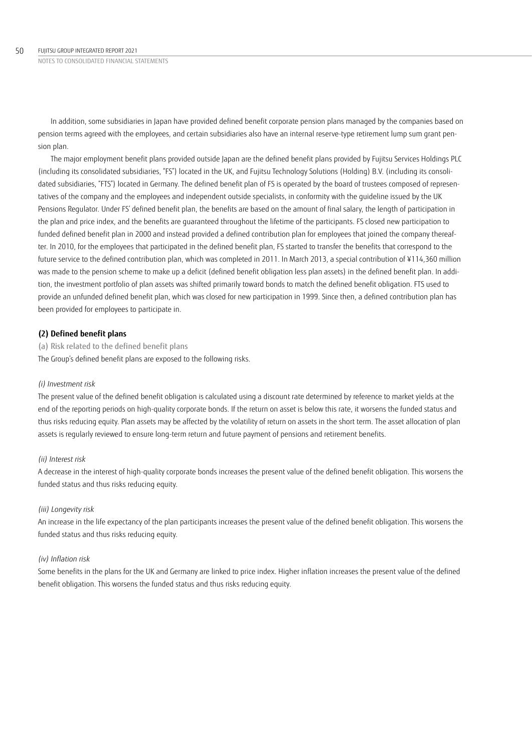In addition, some subsidiaries in Japan have provided defined benefit corporate pension plans managed by the companies based on pension terms agreed with the employees, and certain subsidiaries also have an internal reserve-type retirement lump sum grant pension plan.

The major employment benefit plans provided outside Japan are the defined benefit plans provided by Fujitsu Services Holdings PLC (including its consolidated subsidiaries, "FS") located in the UK, and Fujitsu Technology Solutions (Holding) B.V. (including its consolidated subsidiaries, "FTS") located in Germany. The defined benefit plan of FS is operated by the board of trustees composed of representatives of the company and the employees and independent outside specialists, in conformity with the guideline issued by the UK Pensions Regulator. Under FS' defined benefit plan, the benefits are based on the amount of final salary, the length of participation in the plan and price index, and the benefits are guaranteed throughout the lifetime of the participants. FS closed new participation to funded defined benefit plan in 2000 and instead provided a defined contribution plan for employees that joined the company thereafter. In 2010, for the employees that participated in the defined benefit plan, FS started to transfer the benefits that correspond to the future service to the defined contribution plan, which was completed in 2011. In March 2013, a special contribution of ¥114,360 million was made to the pension scheme to make up a deficit (defined benefit obligation less plan assets) in the defined benefit plan. In addition, the investment portfolio of plan assets was shifted primarily toward bonds to match the defined benefit obligation. FTS used to provide an unfunded defined benefit plan, which was closed for new participation in 1999. Since then, a defined contribution plan has been provided for employees to participate in.

## **(2) Defined benefit plans**

(a) Risk related to the defined benefit plans

The Group's defined benefit plans are exposed to the following risks.

## *(i) Investment risk*

The present value of the defined benefit obligation is calculated using a discount rate determined by reference to market yields at the end of the reporting periods on high-quality corporate bonds. If the return on asset is below this rate, it worsens the funded status and thus risks reducing equity. Plan assets may be affected by the volatility of return on assets in the short term. The asset allocation of plan assets is regularly reviewed to ensure long-term return and future payment of pensions and retirement benefits.

## *(ii) Interest risk*

A decrease in the interest of high-quality corporate bonds increases the present value of the defined benefit obligation. This worsens the funded status and thus risks reducing equity.

## *(iii) Longevity risk*

An increase in the life expectancy of the plan participants increases the present value of the defined benefit obligation. This worsens the funded status and thus risks reducing equity.

## *(iv) Inflation risk*

Some benefits in the plans for the UK and Germany are linked to price index. Higher inflation increases the present value of the defined benefit obligation. This worsens the funded status and thus risks reducing equity.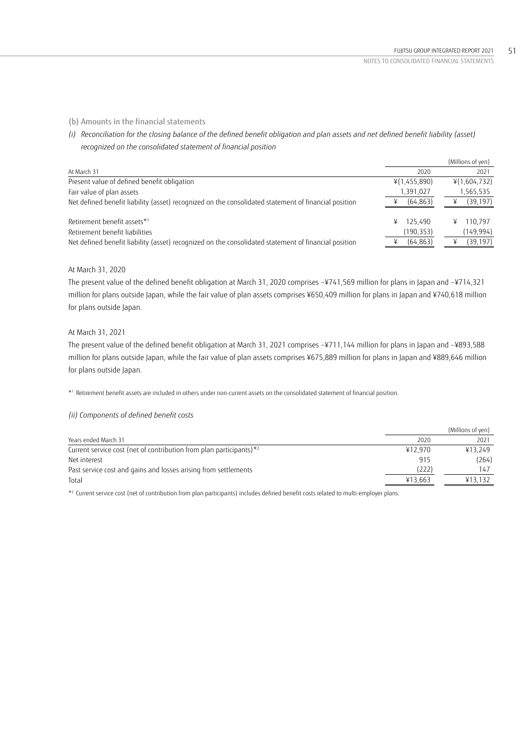## (b) Amounts in the financial statements

*(i) Reconciliation for the closing balance of the defined benefit obligation and plan assets and net defined benefit liability (asset) recognized on the consolidated statement of financial position*

|                                                                                                      |                            | (Millions of yen)         |
|------------------------------------------------------------------------------------------------------|----------------------------|---------------------------|
| At March 31                                                                                          | 2020                       | 2021                      |
| Present value of defined benefit obligation                                                          | ¥(1,455,890)               | ¥(1,604,732)              |
| Fair value of plan assets                                                                            | 1,391,027                  | 1,565,535                 |
| Net defined benefit liability (asset) recognized on the consolidated statement of financial position | (64, 863)                  | (39, 197)                 |
| Retirement benefit assets*1<br>Retirement benefit liabilities                                        | 125.490<br>¥<br>(190, 353) | 110.797<br>¥<br>(149,994) |
| Net defined benefit liability (asset) recognized on the consolidated statement of financial position | (64, 863)                  | (39, 197)                 |

## At March 31, 2020

The present value of the defined benefit obligation at March 31, 2020 comprises –¥741,569 million for plans in Japan and –¥714,321 million for plans outside Japan, while the fair value of plan assets comprises ¥650,409 million for plans in Japan and ¥740,618 million for plans outside Japan.

## At March 31, 2021

The present value of the defined benefit obligation at March 31, 2021 comprises –¥711,144 million for plans in Japan and –¥893,588 million for plans outside Japan, while the fair value of plan assets comprises ¥675,889 million for plans in Japan and ¥889,646 million for plans outside Japan.

\*1 Retirement benefit assets are included in others under non-current assets on the consolidated statement of financial position.

## *(ii) Components of defined benefit costs*

|                                                                         |         | (Millions of yen) |
|-------------------------------------------------------------------------|---------|-------------------|
| Years ended March 31                                                    | 2020    | 2021              |
| Current service cost (net of contribution from plan participants) $*^2$ | ¥12.970 | ¥13.249           |
| Net interest                                                            | 915     | (264)             |
| Past service cost and gains and losses arising from settlements         | (222)   | 147               |
| Total                                                                   | ¥13.663 | ¥13.132           |

\*2 Current service cost (net of contribution from plan participants) includes defined benefit costs related to multi-employer plans.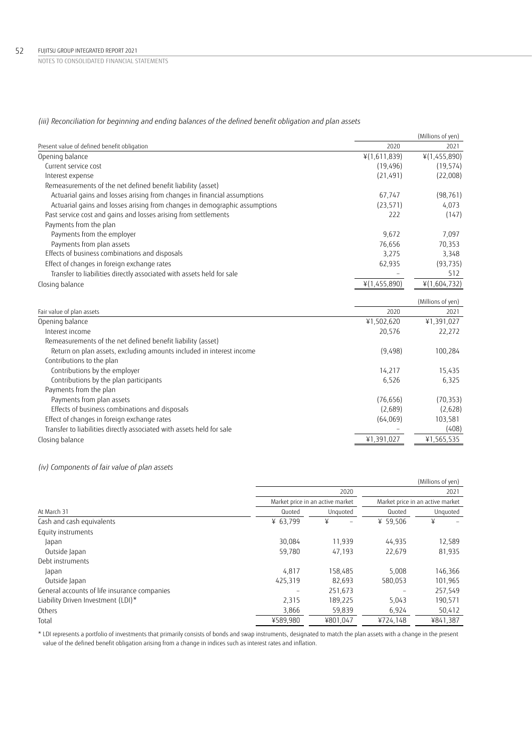*(iii) Reconciliation for beginning and ending balances of the defined benefit obligation and plan assets*

|                                                                            |              | (Millions of yen) |
|----------------------------------------------------------------------------|--------------|-------------------|
| Present value of defined benefit obligation                                | 2020         | 2021              |
| Opening balance                                                            | ¥(1,611,839) | ¥(1,455,890)      |
| Current service cost                                                       | (19, 496)    | (19, 574)         |
| Interest expense                                                           | (21, 491)    | (22,008)          |
| Remeasurements of the net defined benefit liability (asset)                |              |                   |
| Actuarial gains and losses arising from changes in financial assumptions   | 67,747       | (98, 761)         |
| Actuarial gains and losses arising from changes in demographic assumptions | (23, 571)    | 4,073             |
| Past service cost and gains and losses arising from settlements            | 222          | (147)             |
| Payments from the plan                                                     |              |                   |
| Payments from the employer                                                 | 9,672        | 7,097             |
| Payments from plan assets                                                  | 76,656       | 70,353            |
| Effects of business combinations and disposals                             | 3,275        | 3,348             |
| Effect of changes in foreign exchange rates                                | 62,935       | (93, 735)         |
| Transfer to liabilities directly associated with assets held for sale      |              | 512               |
| Closing balance                                                            | ¥(1,455,890) | ¥(1,604,732)      |
|                                                                            |              | (Millions of yen) |
| Fair value of plan assets                                                  | 2020         | 2021              |
| Opening balance                                                            | ¥1,502,620   | ¥1,391,027        |
| Interest income                                                            | 20,576       | 22,272            |
| Remeasurements of the net defined benefit liability (asset)                |              |                   |
| Return on plan assets, excluding amounts included in interest income       | (9,498)      | 100,284           |
| Contributions to the plan                                                  |              |                   |
| Contributions by the employer                                              | 14,217       | 15,435            |
| Contributions by the plan participants                                     | 6,526        | 6,325             |
| Payments from the plan                                                     |              |                   |
| Payments from plan assets                                                  | (76, 656)    | (70, 353)         |
| Effects of business combinations and disposals                             | (2,689)      | (2,628)           |
| Effect of changes in foreign exchange rates                                | (64,069)     | 103,581           |
| Transfer to liabilities directly associated with assets held for sale      |              | (408)             |
| Closing balance                                                            | ¥1,391,027   | ¥1,565,535        |
|                                                                            |              |                   |

*(iv) Components of fair value of plan assets*

|                                              |          |                                  |          | (Millions of yen)                |
|----------------------------------------------|----------|----------------------------------|----------|----------------------------------|
|                                              |          | 2020                             |          | 2021                             |
|                                              |          | Market price in an active market |          | Market price in an active market |
| At March 31                                  | Quoted   | Unguoted                         | Quoted   | Unquoted                         |
| Cash and cash equivalents                    | ¥ 63.799 | ¥                                | ¥ 59.506 | ¥                                |
| Equity instruments                           |          |                                  |          |                                  |
| Japan                                        | 30.084   | 11.939                           | 44,935   | 12,589                           |
| Outside Japan                                | 59,780   | 47.193                           | 22,679   | 81,935                           |
| Debt instruments                             |          |                                  |          |                                  |
| Japan                                        | 4.817    | 158,485                          | 5,008    | 146,366                          |
| Outside Japan                                | 425,319  | 82,693                           | 580,053  | 101,965                          |
| General accounts of life insurance companies |          | 251.673                          |          | 257,549                          |
| Liability Driven Investment (LDI)*           | 2,315    | 189,225                          | 5,043    | 190,571                          |
| Others                                       | 3,866    | 59,839                           | 6,924    | 50,412                           |
| Total                                        | ¥589.980 | ¥801.047                         | ¥724,148 | ¥841,387                         |

\* LDI represents a portfolio of investments that primarily consists of bonds and swap instruments, designated to match the plan assets with a change in the present value of the defined benefit obligation arising from a change in indices such as interest rates and inflation.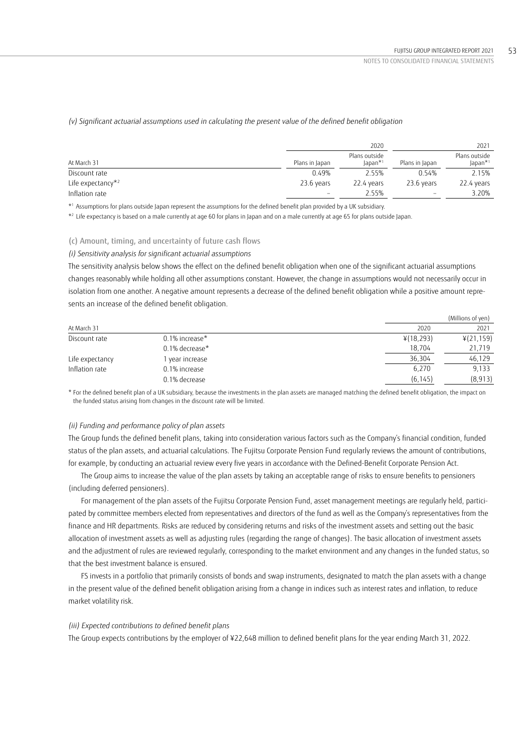### *(v) Significant actuarial assumptions used in calculating the present value of the defined benefit obligation*

|                       |                          | 2020                                       |                 | 2021                       |
|-----------------------|--------------------------|--------------------------------------------|-----------------|----------------------------|
| At March 31           | Plans in Japan           | Plans outside<br>$l$ apan $*$ <sup>1</sup> | Plans in Japan  | Plans outside<br>$Japan*1$ |
| Discount rate         | 0.49%                    | 2.55%                                      | 0.54%           | 2.15%                      |
| Life expectancy $*^2$ | 23.6 years               | 22.4 vears                                 | 23.6 years      | 22.4 years                 |
| Inflation rate        | $\overline{\phantom{0}}$ | 2.55%                                      | $\qquad \qquad$ | 3.20%                      |

\*1 Assumptions for plans outside Japan represent the assumptions for the defined benefit plan provided by a UK subsidiary.

\*2 Life expectancy is based on a male currently at age 60 for plans in Japan and on a male currently at age 65 for plans outside Japan.

### (c) Amount, timing, and uncertainty of future cash flows

#### *(i) Sensitivity analysis for significant actuarial assumptions*

The sensitivity analysis below shows the effect on the defined benefit obligation when one of the significant actuarial assumptions changes reasonably while holding all other assumptions constant. However, the change in assumptions would not necessarily occur in isolation from one another. A negative amount represents a decrease of the defined benefit obligation while a positive amount represents an increase of the defined benefit obligation.

|                 |                   |           | (Millions of yen) |
|-----------------|-------------------|-----------|-------------------|
| At March 31     |                   | 2020      | 2021              |
| Discount rate   | $0.1\%$ increase* | ¥(18,293) | ¥(21,159)         |
|                 | $0.1\%$ decrease* | 18.704    | 21,719            |
| Life expectancy | year increase     | 36,304    | 46,129            |
| Inflation rate  | 0.1% increase     | 6.270     | 9,133             |
|                 | 0.1% decrease     | (6.145)   | (8, 913)          |

\* For the defined benefit plan of a UK subsidiary, because the investments in the plan assets are managed matching the defined benefit obligation, the impact on the funded status arising from changes in the discount rate will be limited.

#### *(ii) Funding and performance policy of plan assets*

The Group funds the defined benefit plans, taking into consideration various factors such as the Company's financial condition, funded status of the plan assets, and actuarial calculations. The Fujitsu Corporate Pension Fund regularly reviews the amount of contributions, for example, by conducting an actuarial review every five years in accordance with the Defined-Benefit Corporate Pension Act.

The Group aims to increase the value of the plan assets by taking an acceptable range of risks to ensure benefits to pensioners (including deferred pensioners).

For management of the plan assets of the Fujitsu Corporate Pension Fund, asset management meetings are regularly held, participated by committee members elected from representatives and directors of the fund as well as the Company's representatives from the finance and HR departments. Risks are reduced by considering returns and risks of the investment assets and setting out the basic allocation of investment assets as well as adjusting rules (regarding the range of changes). The basic allocation of investment assets and the adjustment of rules are reviewed regularly, corresponding to the market environment and any changes in the funded status, so that the best investment balance is ensured.

FS invests in a portfolio that primarily consists of bonds and swap instruments, designated to match the plan assets with a change in the present value of the defined benefit obligation arising from a change in indices such as interest rates and inflation, to reduce market volatility risk.

#### *(iii) Expected contributions to defined benefit plans*

The Group expects contributions by the employer of ¥22,648 million to defined benefit plans for the year ending March 31, 2022.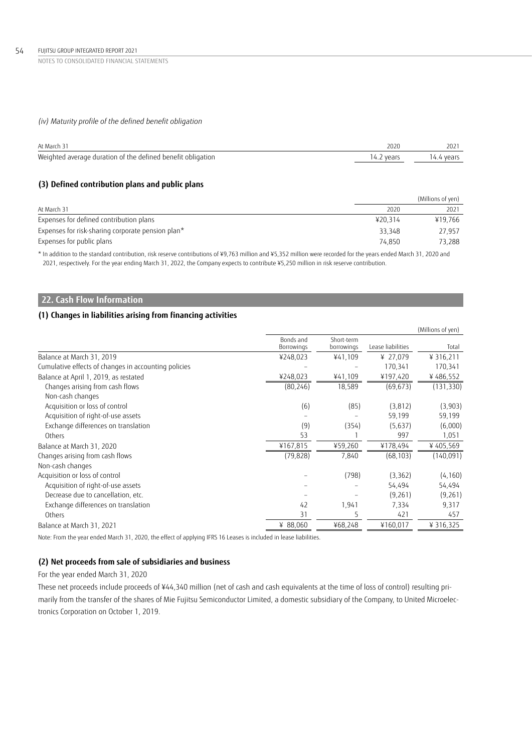#### 54 FUJITSU GROUP INTEGRATED REPORT 2021

NOTES TO CONSOLIDATED FINANCIAL STATEMENTS

## *(iv) Maturity profile of the defined benefit obligation*

| At March 31                                                 | 2020       | 2021       |
|-------------------------------------------------------------|------------|------------|
| Weighted average duration of the defined benefit obligation | 14.2 years | 14.4 years |

## **(3) Defined contribution plans and public plans**

|                                                   |         | (Millions of yen) |
|---------------------------------------------------|---------|-------------------|
| At March 31                                       | 2020    | 2021              |
| Expenses for defined contribution plans           | ¥20.314 | ¥19.766           |
| Expenses for risk-sharing corporate pension plan* | 33.348  | 27.957            |
| Expenses for public plans                         | 74.850  | 73.288            |

\* In addition to the standard contribution, risk reserve contributions of ¥9,763 million and ¥5,352 million were recorded for the years ended March 31, 2020 and 2021, respectively. For the year ending March 31, 2022, the Company expects to contribute ¥5,250 million in risk reserve contribution.

## **22. Cash Flow Information**

## **(1) Changes in liabilities arising from financing activities**

|                                                      |                         |                          |                   | (Millions of yen) |
|------------------------------------------------------|-------------------------|--------------------------|-------------------|-------------------|
|                                                      | Bonds and<br>Borrowings | Short-term<br>borrowings | Lease liabilities | Total             |
| Balance at March 31, 2019                            | ¥248,023                | ¥41,109                  | ¥ 27,079          | ¥ 316,211         |
| Cumulative effects of changes in accounting policies |                         |                          | 170,341           | 170,341           |
| Balance at April 1, 2019, as restated                | ¥248,023                | ¥41,109                  | ¥197,420          | ¥486,552          |
| Changes arising from cash flows                      | (80, 246)               | 18,589                   | (69, 673)         | (131, 330)        |
| Non-cash changes                                     |                         |                          |                   |                   |
| Acquisition or loss of control                       | (6)                     | (85)                     | (3,812)           | (3,903)           |
| Acquisition of right-of-use assets                   |                         |                          | 59,199            | 59,199            |
| Exchange differences on translation                  | (9)                     | (354)                    | (5,637)           | (6,000)           |
| Others                                               | 53                      |                          | 997               | 1,051             |
| Balance at March 31, 2020                            | ¥167,815                | ¥59,260                  | ¥178,494          | ¥405,569          |
| Changes arising from cash flows                      | (79, 828)               | 7,840                    | (68, 103)         | (140.091)         |
| Non-cash changes                                     |                         |                          |                   |                   |
| Acquisition or loss of control                       |                         | (798)                    | (3,362)           | (4, 160)          |
| Acquisition of right-of-use assets                   |                         |                          | 54,494            | 54,494            |
| Decrease due to cancellation, etc.                   |                         |                          | (9,261)           | (9,261)           |
| Exchange differences on translation                  | 42                      | 1,941                    | 7,334             | 9,317             |
| Others                                               | 31                      | 5                        | 421               | 457               |
| Balance at March 31, 2021                            | ¥ 88,060                | ¥68,248                  | ¥160,017          | ¥ 316,325         |
|                                                      |                         |                          |                   |                   |

Note: From the year ended March 31, 2020, the effect of applying IFRS 16 Leases is included in lease liabilities.

## **(2) Net proceeds from sale of subsidiaries and business**

For the year ended March 31, 2020

These net proceeds include proceeds of ¥44,340 million (net of cash and cash equivalents at the time of loss of control) resulting primarily from the transfer of the shares of Mie Fujitsu Semiconductor Limited, a domestic subsidiary of the Company, to United Microelectronics Corporation on October 1, 2019.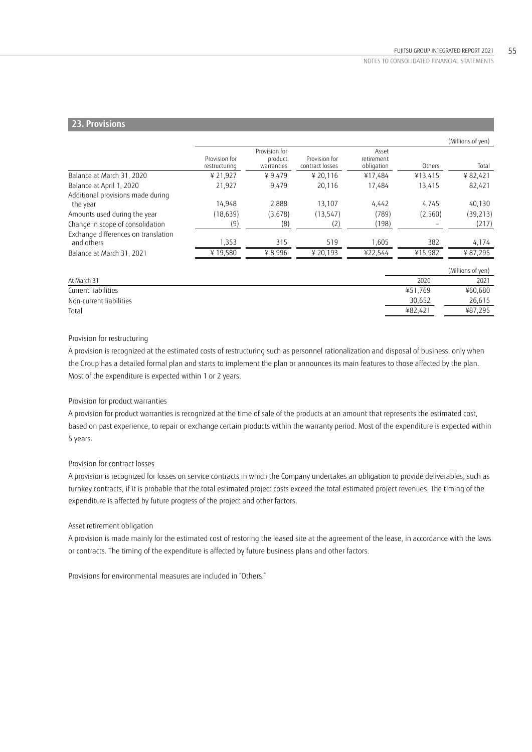## **23. Provisions**

|                                                   |                                |                                        |                                  |                                   |         | (Millions of yen) |
|---------------------------------------------------|--------------------------------|----------------------------------------|----------------------------------|-----------------------------------|---------|-------------------|
|                                                   | Provision for<br>restructuring | Provision for<br>product<br>warranties | Provision for<br>contract losses | Asset<br>retirement<br>obligation | Others  | Total             |
| Balance at March 31, 2020                         | ¥ 21,927                       | ¥9,479                                 | ¥ 20,116                         | ¥17,484                           | ¥13,415 | ¥82,421           |
| Balance at April 1, 2020                          | 21,927                         | 9,479                                  | 20,116                           | 17,484                            | 13,415  | 82,421            |
| Additional provisions made during<br>the year     | 14,948                         | 2,888                                  | 13,107                           | 4,442                             | 4,745   | 40,130            |
| Amounts used during the year                      | (18, 639)                      | (3,678)                                | (13, 547)                        | (789)                             | (2,560) | (39, 213)         |
| Change in scope of consolidation                  | (9)                            | (8)                                    | (2)                              | (198)                             |         | (217)             |
| Exchange differences on translation<br>and others | 1,353                          | 315                                    | 519                              | 1,605                             | 382     | 4,174             |
| Balance at March 31, 2021                         | ¥19,580                        | ¥8,996                                 | ¥ 20,193                         | ¥22,544                           | ¥15,982 | ¥ 87,295          |
|                                                   |                                |                                        |                                  |                                   |         | (Millions of yen) |
| At March 31                                       |                                |                                        |                                  |                                   | 2020    | 2021              |
| Current liabilities                               |                                |                                        |                                  |                                   | ¥51,769 | ¥60,680           |
| Non-current liabilities                           |                                |                                        |                                  |                                   | 30,652  | 26,615            |
| Total                                             |                                |                                        |                                  |                                   | ¥82,421 | ¥87,295           |

## Provision for restructuring

A provision is recognized at the estimated costs of restructuring such as personnel rationalization and disposal of business, only when the Group has a detailed formal plan and starts to implement the plan or announces its main features to those affected by the plan. Most of the expenditure is expected within 1 or 2 years.

#### Provision for product warranties

A provision for product warranties is recognized at the time of sale of the products at an amount that represents the estimated cost, based on past experience, to repair or exchange certain products within the warranty period. Most of the expenditure is expected within 5 years.

#### Provision for contract losses

A provision is recognized for losses on service contracts in which the Company undertakes an obligation to provide deliverables, such as turnkey contracts, if it is probable that the total estimated project costs exceed the total estimated project revenues. The timing of the expenditure is affected by future progress of the project and other factors.

#### Asset retirement obligation

A provision is made mainly for the estimated cost of restoring the leased site at the agreement of the lease, in accordance with the laws or contracts. The timing of the expenditure is affected by future business plans and other factors.

Provisions for environmental measures are included in "Others."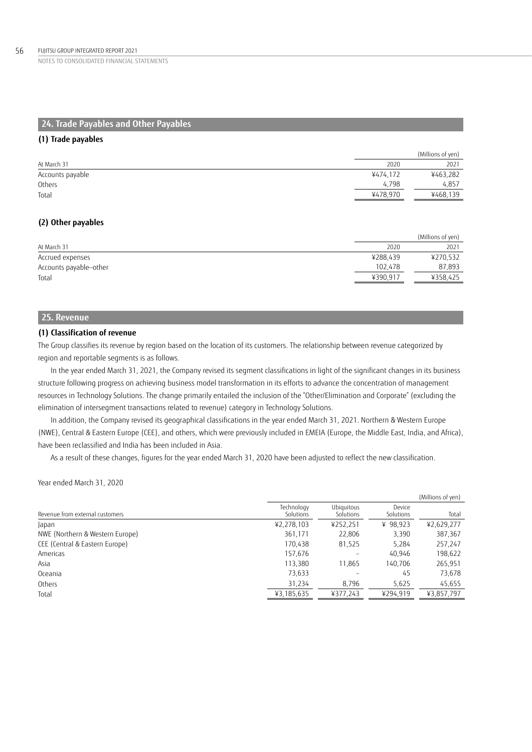## **24. Trade Payables and Other Payables**

## **(1) Trade payables**

|                  |          | (Millions of yen) |
|------------------|----------|-------------------|
| At March 31      | 2020     | 2021              |
| Accounts payable | ¥474.172 | ¥463,282          |
| Others           | 4.798    | 4.857             |
| Total            | ¥478.970 | ¥468,139          |

## **(2) Other payables**

|                        |          | (Millions of yen) |
|------------------------|----------|-------------------|
| At March 31            | 2020     | 2021              |
| Accrued expenses       | ¥288.439 | ¥270,532          |
| Accounts payable-other | 102.478  | 87,893            |
| Total                  | ¥390.917 | ¥358.425          |

## **25. Revenue**

## **(1) Classification of revenue**

The Group classifies its revenue by region based on the location of its customers. The relationship between revenue categorized by region and reportable segments is as follows.

In the year ended March 31, 2021, the Company revised its segment classifications in light of the significant changes in its business structure following progress on achieving business model transformation in its efforts to advance the concentration of management resources in Technology Solutions. The change primarily entailed the inclusion of the "Other/Elimination and Corporate" (excluding the elimination of intersegment transactions related to revenue) category in Technology Solutions.

In addition, the Company revised its geographical classifications in the year ended March 31, 2021. Northern & Western Europe (NWE), Central & Eastern Europe (CEE), and others, which were previously included in EMEIA (Europe, the Middle East, India, and Africa), have been reclassified and India has been included in Asia.

As a result of these changes, figures for the year ended March 31, 2020 have been adjusted to reflect the new classification.

Year ended March 31, 2020

|                                 |                         |                                |                     | (Millions of yen) |
|---------------------------------|-------------------------|--------------------------------|---------------------|-------------------|
| Revenue from external customers | Technology<br>Solutions | <b>Ubiquitous</b><br>Solutions | Device<br>Solutions | Total             |
| Japan                           | ¥2,278,103              | ¥252,251                       | ¥ 98,923            | ¥2,629,277        |
| NWE (Northern & Western Europe) | 361,171                 | 22,806                         | 3,390               | 387,367           |
| CEE (Central & Eastern Europe)  | 170,438                 | 81,525                         | 5,284               | 257,247           |
| Americas                        | 157,676                 | $\qquad \qquad$                | 40,946              | 198,622           |
| Asia                            | 113,380                 | 11.865                         | 140.706             | 265,951           |
| Oceania                         | 73,633                  |                                | 45                  | 73,678            |
| Others                          | 31,234                  | 8,796                          | 5,625               | 45,655            |
| Total                           | ¥3,185,635              | ¥377,243                       | ¥294,919            | ¥3,857,797        |
|                                 |                         |                                |                     |                   |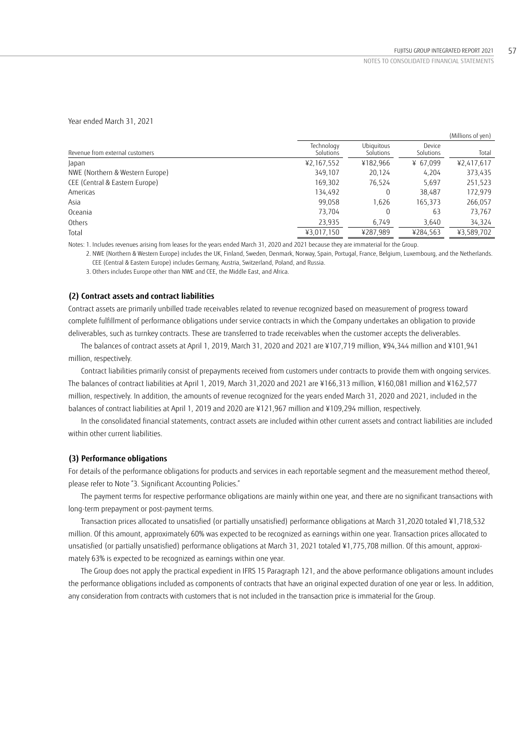Year ended March 31, 2021

|                                 |                         |                         |                     | (Millions of yen) |
|---------------------------------|-------------------------|-------------------------|---------------------|-------------------|
| Revenue from external customers | Technology<br>Solutions | Ubiauitous<br>Solutions | Device<br>Solutions | Total             |
| Japan                           | ¥2,167,552              | ¥182,966                | ¥ 67.099            | ¥2,417,617        |
| NWE (Northern & Western Europe) | 349.107                 | 20.124                  | 4.204               | 373,435           |
| CEE (Central & Eastern Europe)  | 169,302                 | 76.524                  | 5.697               | 251,523           |
| Americas                        | 134.492                 | 0                       | 38,487              | 172,979           |
| Asia                            | 99,058                  | 1.626                   | 165.373             | 266,057           |
| Oceania                         | 73.704                  | 0                       | 63                  | 73,767            |
| Others                          | 23,935                  | 6,749                   | 3,640               | 34,324            |
| Total                           | ¥3,017,150              | ¥287,989                | ¥284,563            | ¥3,589,702        |

Notes: 1. Includes revenues arising from leases for the years ended March 31, 2020 and 2021 because they are immaterial for the Group.

 2. NWE (Northern & Western Europe) includes the UK, Finland, Sweden, Denmark, Norway, Spain, Portugal, France, Belgium, Luxembourg, and the Netherlands. CEE (Central & Eastern Europe) includes Germany, Austria, Switzerland, Poland, and Russia.

3. Others includes Europe other than NWE and CEE, the Middle East, and Africa.

### **(2) Contract assets and contract liabilities**

Contract assets are primarily unbilled trade receivables related to revenue recognized based on measurement of progress toward complete fulfillment of performance obligations under service contracts in which the Company undertakes an obligation to provide deliverables, such as turnkey contracts. These are transferred to trade receivables when the customer accepts the deliverables.

The balances of contract assets at April 1, 2019, March 31, 2020 and 2021 are ¥107,719 million, ¥94,344 million and ¥101,941 million, respectively.

Contract liabilities primarily consist of prepayments received from customers under contracts to provide them with ongoing services. The balances of contract liabilities at April 1, 2019, March 31,2020 and 2021 are ¥166,313 million, ¥160,081 million and ¥162,577 million, respectively. In addition, the amounts of revenue recognized for the years ended March 31, 2020 and 2021, included in the balances of contract liabilities at April 1, 2019 and 2020 are ¥121,967 million and ¥109,294 million, respectively.

In the consolidated financial statements, contract assets are included within other current assets and contract liabilities are included within other current liabilities.

#### **(3) Performance obligations**

For details of the performance obligations for products and services in each reportable segment and the measurement method thereof, please refer to Note "3. Significant Accounting Policies."

The payment terms for respective performance obligations are mainly within one year, and there are no significant transactions with long-term prepayment or post-payment terms.

Transaction prices allocated to unsatisfied (or partially unsatisfied) performance obligations at March 31,2020 totaled ¥1,718,532 million. Of this amount, approximately 60% was expected to be recognized as earnings within one year. Transaction prices allocated to unsatisfied (or partially unsatisfied) performance obligations at March 31, 2021 totaled ¥1,775,708 million. Of this amount, approximately 63% is expected to be recognized as earnings within one year.

The Group does not apply the practical expedient in IFRS 15 Paragraph 121, and the above performance obligations amount includes the performance obligations included as components of contracts that have an original expected duration of one year or less. In addition, any consideration from contracts with customers that is not included in the transaction price is immaterial for the Group.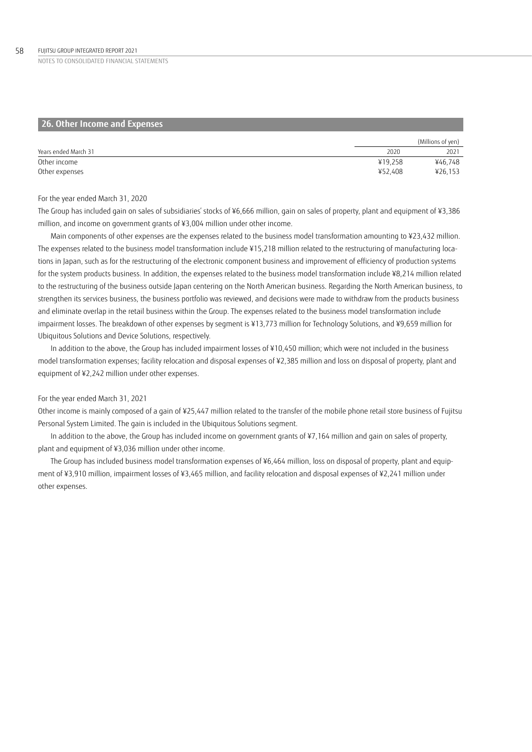| 26. Other Income and Expenses |         |                   |
|-------------------------------|---------|-------------------|
|                               |         | (Millions of yen) |
| Years ended March 31          | 2020    | 2021              |
| Other income                  | ¥19.258 | ¥46,748           |
| Other expenses                | ¥52.408 | ¥26,153           |

#### For the year ended March 31, 2020

The Group has included gain on sales of subsidiaries' stocks of ¥6,666 million, gain on sales of property, plant and equipment of ¥3,386 million, and income on government grants of ¥3,004 million under other income.

Main components of other expenses are the expenses related to the business model transformation amounting to ¥23,432 million. The expenses related to the business model transformation include ¥15,218 million related to the restructuring of manufacturing locations in Japan, such as for the restructuring of the electronic component business and improvement of efficiency of production systems for the system products business. In addition, the expenses related to the business model transformation include ¥8,214 million related to the restructuring of the business outside Japan centering on the North American business. Regarding the North American business, to strengthen its services business, the business portfolio was reviewed, and decisions were made to withdraw from the products business and eliminate overlap in the retail business within the Group. The expenses related to the business model transformation include impairment losses. The breakdown of other expenses by segment is ¥13,773 million for Technology Solutions, and ¥9,659 million for Ubiquitous Solutions and Device Solutions, respectively.

In addition to the above, the Group has included impairment losses of ¥10,450 million; which were not included in the business model transformation expenses; facility relocation and disposal expenses of ¥2,385 million and loss on disposal of property, plant and equipment of ¥2,242 million under other expenses.

### For the year ended March 31, 2021

Other income is mainly composed of a gain of ¥25,447 million related to the transfer of the mobile phone retail store business of Fujitsu Personal System Limited. The gain is included in the Ubiquitous Solutions segment.

In addition to the above, the Group has included income on government grants of ¥7,164 million and gain on sales of property, plant and equipment of ¥3,036 million under other income.

The Group has included business model transformation expenses of ¥6,464 million, loss on disposal of property, plant and equipment of ¥3,910 million, impairment losses of ¥3,465 million, and facility relocation and disposal expenses of ¥2,241 million under other expenses.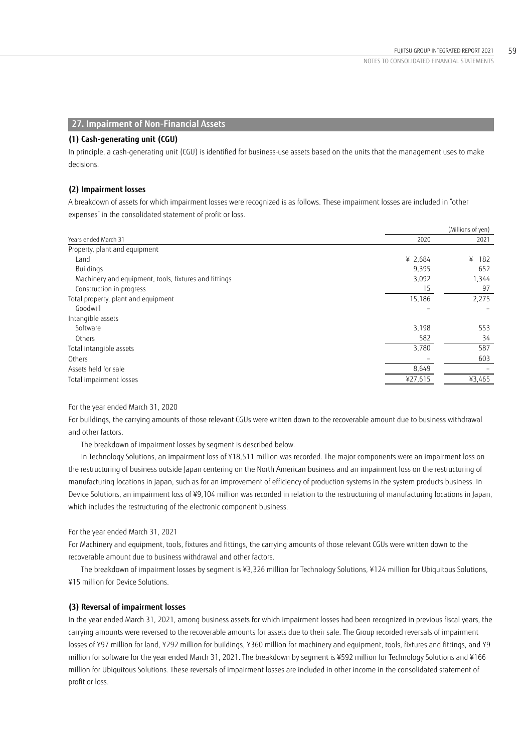## **27. Impairment of Non-Financial Assets**

#### **(1) Cash-generating unit (CGU)**

In principle, a cash-generating unit (CGU) is identified for business-use assets based on the units that the management uses to make decisions.

#### **(2) Impairment losses**

A breakdown of assets for which impairment losses were recognized is as follows. These impairment losses are included in "other expenses" in the consolidated statement of profit or loss.

|                                                       |                          | (Millions of yen) |
|-------------------------------------------------------|--------------------------|-------------------|
| Years ended March 31                                  | 2020                     | 2021              |
| Property, plant and equipment                         |                          |                   |
| Land                                                  | ¥ 2,684                  | ¥<br>182          |
| Buildings                                             | 9,395                    | 652               |
| Machinery and equipment, tools, fixtures and fittings | 3,092                    | 1,344             |
| Construction in progress                              | 15                       | 97                |
| Total property, plant and equipment                   | 15,186                   | 2,275             |
| Goodwill                                              | $\overline{\phantom{0}}$ |                   |
| Intangible assets                                     |                          |                   |
| Software                                              | 3,198                    | 553               |
| Others                                                | 582                      | 34                |
| Total intangible assets                               | 3,780                    | 587               |
| Others                                                |                          | 603               |
| Assets held for sale                                  | 8,649                    |                   |
| Total impairment losses                               | ¥27,615                  | ¥3,465            |

## For the year ended March 31, 2020

For buildings, the carrying amounts of those relevant CGUs were written down to the recoverable amount due to business withdrawal and other factors.

The breakdown of impairment losses by segment is described below.

In Technology Solutions, an impairment loss of ¥18,511 million was recorded. The major components were an impairment loss on the restructuring of business outside Japan centering on the North American business and an impairment loss on the restructuring of manufacturing locations in Japan, such as for an improvement of efficiency of production systems in the system products business. In Device Solutions, an impairment loss of ¥9,104 million was recorded in relation to the restructuring of manufacturing locations in Japan, which includes the restructuring of the electronic component business.

## For the year ended March 31, 2021

For Machinery and equipment, tools, fixtures and fittings, the carrying amounts of those relevant CGUs were written down to the recoverable amount due to business withdrawal and other factors.

The breakdown of impairment losses by segment is ¥3,326 million for Technology Solutions, ¥124 million for Ubiquitous Solutions, ¥15 million for Device Solutions.

#### **(3) Reversal of impairment losses**

In the year ended March 31, 2021, among business assets for which impairment losses had been recognized in previous fiscal years, the carrying amounts were reversed to the recoverable amounts for assets due to their sale. The Group recorded reversals of impairment losses of ¥97 million for land, ¥292 million for buildings, ¥360 million for machinery and equipment, tools, fixtures and fittings, and ¥9 million for software for the year ended March 31, 2021. The breakdown by segment is ¥592 million for Technology Solutions and ¥166 million for Ubiquitous Solutions. These reversals of impairment losses are included in other income in the consolidated statement of profit or loss.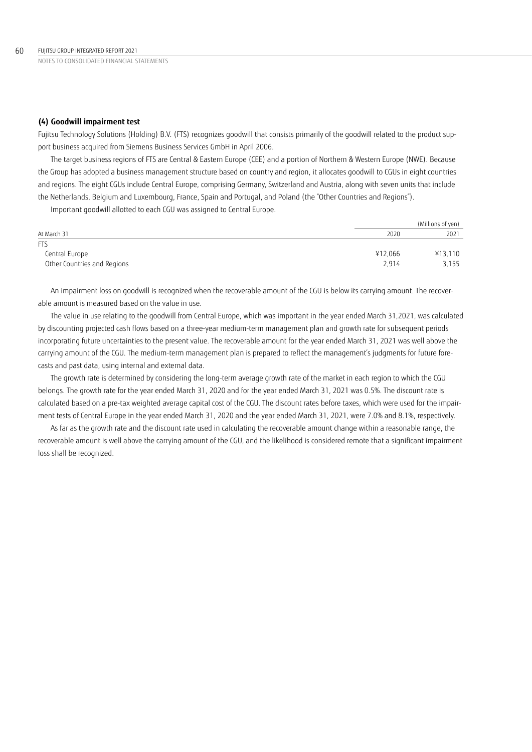### **(4) Goodwill impairment test**

Fujitsu Technology Solutions (Holding) B.V. (FTS) recognizes goodwill that consists primarily of the goodwill related to the product support business acquired from Siemens Business Services GmbH in April 2006.

The target business regions of FTS are Central & Eastern Europe (CEE) and a portion of Northern & Western Europe (NWE). Because the Group has adopted a business management structure based on country and region, it allocates goodwill to CGUs in eight countries and regions. The eight CGUs include Central Europe, comprising Germany, Switzerland and Austria, along with seven units that include the Netherlands, Belgium and Luxembourg, France, Spain and Portugal, and Poland (the "Other Countries and Regions").

Important goodwill allotted to each CGU was assigned to Central Europe.

|                             |         | (Millions of yen) |
|-----------------------------|---------|-------------------|
| At March 31                 | 2020    | 2021              |
| <b>FTS</b>                  |         |                   |
| Central Europe              | ¥12.066 | ¥13,110           |
| Other Countries and Regions | 2.914   | 3,155             |

An impairment loss on goodwill is recognized when the recoverable amount of the CGU is below its carrying amount. The recoverable amount is measured based on the value in use.

The value in use relating to the goodwill from Central Europe, which was important in the year ended March 31,2021, was calculated by discounting projected cash flows based on a three-year medium-term management plan and growth rate for subsequent periods incorporating future uncertainties to the present value. The recoverable amount for the year ended March 31, 2021 was well above the carrying amount of the CGU. The medium-term management plan is prepared to reflect the management's judgments for future forecasts and past data, using internal and external data.

The growth rate is determined by considering the long-term average growth rate of the market in each region to which the CGU belongs. The growth rate for the year ended March 31, 2020 and for the year ended March 31, 2021 was 0.5%. The discount rate is calculated based on a pre-tax weighted average capital cost of the CGU. The discount rates before taxes, which were used for the impairment tests of Central Europe in the year ended March 31, 2020 and the year ended March 31, 2021, were 7.0% and 8.1%, respectively.

As far as the growth rate and the discount rate used in calculating the recoverable amount change within a reasonable range, the recoverable amount is well above the carrying amount of the CGU, and the likelihood is considered remote that a significant impairment loss shall be recognized.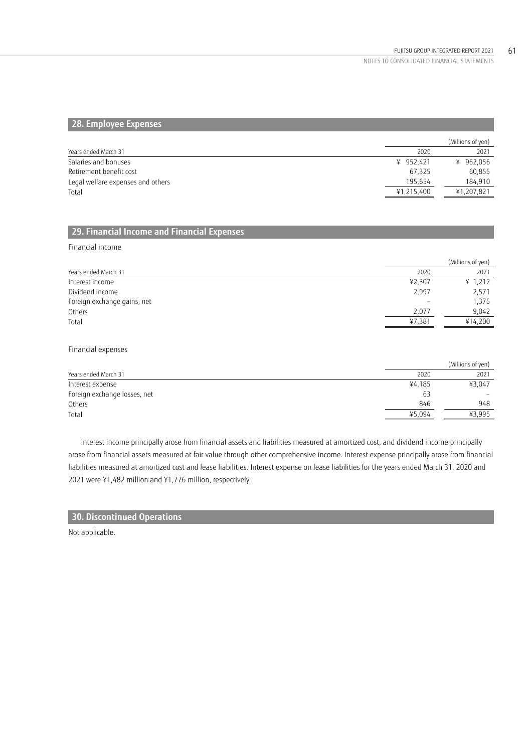## **28. Employee Expenses**

|            | (Millions of yen) |
|------------|-------------------|
| 2020       | 2021              |
| ¥ 952.421  | ¥ 962,056         |
| 67.325     | 60,855            |
| 195.654    | 184.910           |
| ¥1,215,400 | ¥1,207,821        |
|            |                   |

## **29. Financial Income and Financial Expenses**

Financial income

|                             |                          | (Millions of yen) |
|-----------------------------|--------------------------|-------------------|
| Years ended March 31        | 2020                     | 2021              |
| Interest income             | 42,307                   | ¥ 1,212           |
| Dividend income             | 2,997                    | 2,571             |
| Foreign exchange gains, net | $\overline{\phantom{m}}$ | 1,375             |
| Others                      | 2.077                    | 9.042             |
| Total                       | ¥7,381                   | ¥14,200           |

Financial expenses

|                              |        | (Millions of yen) |
|------------------------------|--------|-------------------|
| Years ended March 31         | 2020   | 2021              |
| Interest expense             | ¥4,185 | ¥3.047            |
| Foreign exchange losses, net | 63     |                   |
| Others                       | 846    | 948               |
| Total                        | ¥5,094 | ¥3.995            |

Interest income principally arose from financial assets and liabilities measured at amortized cost, and dividend income principally arose from financial assets measured at fair value through other comprehensive income. Interest expense principally arose from financial liabilities measured at amortized cost and lease liabilities. Interest expense on lease liabilities for the years ended March 31, 2020 and 2021 were ¥1,482 million and ¥1,776 million, respectively.

## **30. Discontinued Operations**

Not applicable.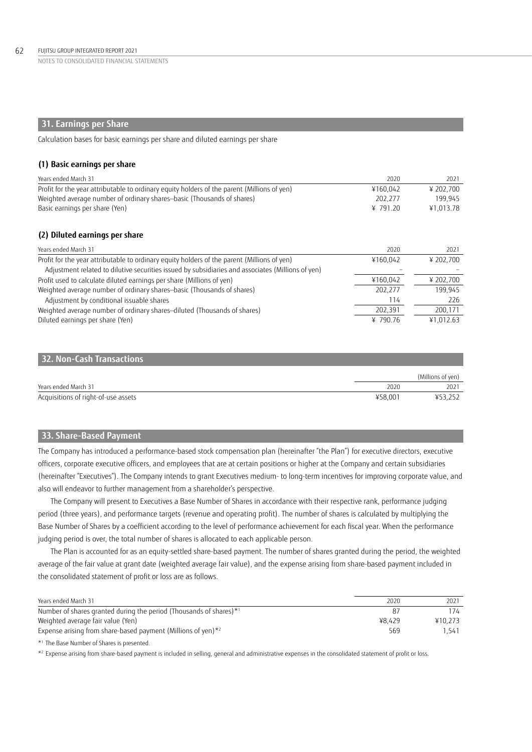## **31. Earnings per Share**

Calculation bases for basic earnings per share and diluted earnings per share

#### **(1) Basic earnings per share**

| Years ended March 31                                                                              | 2020     | 2021      |
|---------------------------------------------------------------------------------------------------|----------|-----------|
| Profit for the year attributable to ordinary equity holders of the parent (Millions of yen)       | ¥160.042 | ¥ 202.700 |
| Weighted average number of ordinary shares-basic (Thousands of shares)                            | 202.277  | 199,945   |
| Basic earnings per share (Yen)                                                                    | ¥ 791.20 | ¥1.013.78 |
| (2) Diluted earnings per share                                                                    |          |           |
| Years ended March 31                                                                              | 2020     | 2021      |
| Profit for the year attributable to ordinary equity holders of the parent (Millions of yen)       | ¥160.042 | ¥ 202,700 |
| Adjustment related to dilutive securities issued by subsidiaries and associates (Millions of yen) |          |           |
| Profit used to calculate diluted earnings per share (Millions of yen)                             | ¥160,042 | ¥ 202,700 |
| Weighted average number of ordinary shares-basic (Thousands of shares)                            | 202.277  | 199.945   |
| Adjustment by conditional issuable shares                                                         | 114      | 226       |
| Weighted average number of ordinary shares-diluted (Thousands of shares)                          | 202,391  | 200,171   |
| Diluted earnings per share (Yen)                                                                  | ¥ 790.76 | ¥1.012.63 |

## **32. Non-Cash Transactions**

|                                     |         | (Millions of yen) |
|-------------------------------------|---------|-------------------|
| Years ended March 31                | 2020    | 2021              |
| Acquisitions of right-of-use assets | ¥58.001 | ¥53,252           |

## **33. Share-Based Payment**

The Company has introduced a performance-based stock compensation plan (hereinafter "the Plan") for executive directors, executive officers, corporate executive officers, and employees that are at certain positions or higher at the Company and certain subsidiaries (hereinafter "Executives"). The Company intends to grant Executives medium- to long-term incentives for improving corporate value, and also will endeavor to further management from a shareholder's perspective.

The Company will present to Executives a Base Number of Shares in accordance with their respective rank, performance judging period (three years), and performance targets (revenue and operating profit). The number of shares is calculated by multiplying the Base Number of Shares by a coefficient according to the level of performance achievement for each fiscal year. When the performance judging period is over, the total number of shares is allocated to each applicable person.

The Plan is accounted for as an equity-settled share-based payment. The number of shares granted during the period, the weighted average of the fair value at grant date (weighted average fair value), and the expense arising from share-based payment included in the consolidated statement of profit or loss are as follows.

| Years ended March 31                                               | 2020   | 2021    |
|--------------------------------------------------------------------|--------|---------|
| Number of shares granted during the period (Thousands of shares)*1 |        | 174     |
| Weighted average fair value (Yen)                                  | ¥8.429 | ¥10.273 |
| Expense arising from share-based payment (Millions of yen) $*^2$   | 569    | 1.541   |
|                                                                    |        |         |

\*1 The Base Number of Shares is presented.

 $*$  Expense arising from share-based payment is included in selling, general and administrative expenses in the consolidated statement of profit or loss.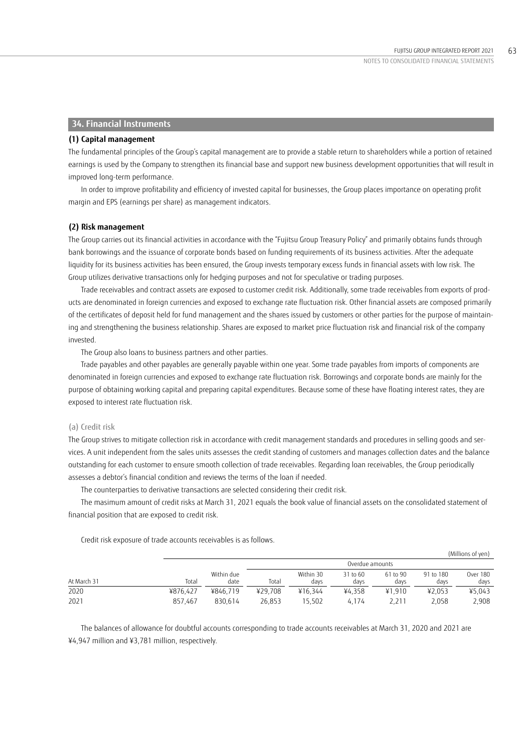## **34. Financial Instruments**

#### **(1) Capital management**

The fundamental principles of the Group's capital management are to provide a stable return to shareholders while a portion of retained earnings is used by the Company to strengthen its financial base and support new business development opportunities that will result in improved long-term performance.

In order to improve profitability and efficiency of invested capital for businesses, the Group places importance on operating profit margin and EPS (earnings per share) as management indicators.

#### **(2) Risk management**

The Group carries out its financial activities in accordance with the "Fujitsu Group Treasury Policy" and primarily obtains funds through bank borrowings and the issuance of corporate bonds based on funding requirements of its business activities. After the adequate liquidity for its business activities has been ensured, the Group invests temporary excess funds in financial assets with low risk. The Group utilizes derivative transactions only for hedging purposes and not for speculative or trading purposes.

Trade receivables and contract assets are exposed to customer credit risk. Additionally, some trade receivables from exports of products are denominated in foreign currencies and exposed to exchange rate fluctuation risk. Other financial assets are composed primarily of the certificates of deposit held for fund management and the shares issued by customers or other parties for the purpose of maintaining and strengthening the business relationship. Shares are exposed to market price fluctuation risk and financial risk of the company invested.

The Group also loans to business partners and other parties.

Trade payables and other payables are generally payable within one year. Some trade payables from imports of components are denominated in foreign currencies and exposed to exchange rate fluctuation risk. Borrowings and corporate bonds are mainly for the purpose of obtaining working capital and preparing capital expenditures. Because some of these have floating interest rates, they are exposed to interest rate fluctuation risk.

#### (a) Credit risk

The Group strives to mitigate collection risk in accordance with credit management standards and procedures in selling goods and services. A unit independent from the sales units assesses the credit standing of customers and manages collection dates and the balance outstanding for each customer to ensure smooth collection of trade receivables. Regarding loan receivables, the Group periodically assesses a debtor's financial condition and reviews the terms of the loan if needed.

The counterparties to derivative transactions are selected considering their credit risk.

The masimum amount of credit risks at March 31, 2021 equals the book value of financial assets on the consolidated statement of financial position that are exposed to credit risk.

|             |          |                    |         |                   |                  |                  |                   | (Millions of yen) |
|-------------|----------|--------------------|---------|-------------------|------------------|------------------|-------------------|-------------------|
|             |          |                    |         |                   | Overdue amounts  |                  |                   |                   |
| At March 31 | Total    | Within due<br>date | Total   | Within 30<br>davs | 31 to 60<br>days | 61 to 90<br>davs | 91 to 180<br>davs | Over 180<br>days  |
| 2020        | ¥876.427 | ¥846.719           | ¥29.708 | ¥16.344           | ¥4.358           | ¥1.910           | ¥2.053            | ¥5.043            |
| 2021        | 857.467  | 830.614            | 26.853  | 15.502            | 4.174            | 2.211            | 2.058             | 2,908             |

Credit risk exposure of trade accounts receivables is as follows.

The balances of allowance for doubtful accounts corresponding to trade accounts receivables at March 31, 2020 and 2021 are ¥4,947 million and ¥3,781 million, respectively.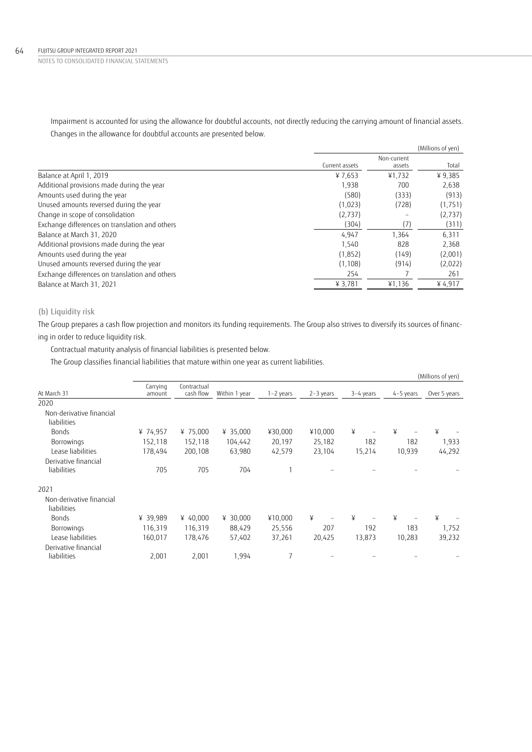Impairment is accounted for using the allowance for doubtful accounts, not directly reducing the carrying amount of financial assets. Changes in the allowance for doubtful accounts are presented below.

|                                                |                |                       | (Millions of yen) |
|------------------------------------------------|----------------|-----------------------|-------------------|
|                                                | Current assets | Non-current<br>assets | Total             |
| Balance at April 1, 2019                       | ¥7,653         | ¥1.732                | ¥ 9,385           |
| Additional provisions made during the year     | 1,938          | 700                   | 2,638             |
| Amounts used during the year                   | (580)          | (333)                 | (913)             |
| Unused amounts reversed during the year        | (1,023)        | (728)                 | (1,751)           |
| Change in scope of consolidation               | (2,737)        |                       | (2,737)           |
| Exchange differences on translation and others | (304)          |                       | (311)             |
| Balance at March 31, 2020                      | 4,947          | 1,364                 | 6,311             |
| Additional provisions made during the year     | 1,540          | 828                   | 2,368             |
| Amounts used during the year                   | (1,852)        | (149)                 | (2,001)           |
| Unused amounts reversed during the year        | (1, 108)       | (914)                 | (2,022)           |
| Exchange differences on translation and others | 254            |                       | 261               |
| Balance at March 31, 2021                      | ¥ 3,781        | ¥1,136                | 4.917             |

## (b) Liquidity risk

The Group prepares a cash flow projection and monitors its funding requirements. The Group also strives to diversify its sources of financing in order to reduce liquidity risk.

Contractual maturity analysis of financial liabilities is presented below.

The Group classifies financial liabilities that mature within one year as current liabilities.

|                          |                    |                          |               |             |             |           |                               | (Millions of yen) |
|--------------------------|--------------------|--------------------------|---------------|-------------|-------------|-----------|-------------------------------|-------------------|
| At March 31              | Carrying<br>amount | Contractual<br>cash flow | Within 1 year | $1-2$ years | $2-3$ years | 3-4 years | 4-5 years                     | Over 5 years      |
| 2020                     |                    |                          |               |             |             |           |                               |                   |
| Non-derivative financial |                    |                          |               |             |             |           |                               |                   |
| liabilities              |                    |                          |               |             |             |           |                               |                   |
| <b>Bonds</b>             | ¥ 74,957           | ¥ 75,000                 | ¥ 35,000      | ¥30,000     | ¥10,000     | ¥         | ¥<br>$\overline{\phantom{0}}$ | ¥                 |
| Borrowings               | 152,118            | 152,118                  | 104,442       | 20,197      | 25,182      | 182       | 182                           | 1,933             |
| Lease liabilities        | 178,494            | 200,108                  | 63,980        | 42,579      | 23,104      | 15,214    | 10,939                        | 44,292            |
| Derivative financial     |                    |                          |               |             |             |           |                               |                   |
| liabilities              | 705                | 705                      | 704           |             |             |           |                               |                   |
| 2021                     |                    |                          |               |             |             |           |                               |                   |
| Non-derivative financial |                    |                          |               |             |             |           |                               |                   |
| liabilities              |                    |                          |               |             |             |           |                               |                   |
| <b>Bonds</b>             | ¥ 39,989           | ¥ 40,000                 | ¥ 30,000      | ¥10,000     | ¥           | ¥         | ¥                             | ¥                 |
| Borrowings               | 116,319            | 116,319                  | 88,429        | 25,556      | 207         | 192       | 183                           | 1,752             |
| Lease liabilities        | 160,017            | 178,476                  | 57,402        | 37,261      | 20,425      | 13,873    | 10,283                        | 39,232            |
| Derivative financial     |                    |                          |               |             |             |           |                               |                   |
| liabilities              | 2,001              | 2,001                    | 1,994         | 7           |             |           |                               |                   |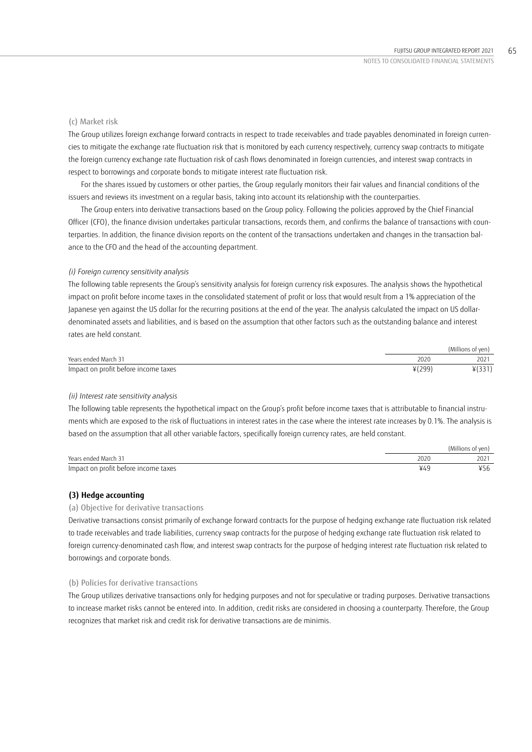### (c) Market risk

The Group utilizes foreign exchange forward contracts in respect to trade receivables and trade payables denominated in foreign currencies to mitigate the exchange rate fluctuation risk that is monitored by each currency respectively, currency swap contracts to mitigate the foreign currency exchange rate fluctuation risk of cash flows denominated in foreign currencies, and interest swap contracts in respect to borrowings and corporate bonds to mitigate interest rate fluctuation risk.

For the shares issued by customers or other parties, the Group regularly monitors their fair values and financial conditions of the issuers and reviews its investment on a regular basis, taking into account its relationship with the counterparties.

The Group enters into derivative transactions based on the Group policy. Following the policies approved by the Chief Financial Officer (CFO), the finance division undertakes particular transactions, records them, and confirms the balance of transactions with counterparties. In addition, the finance division reports on the content of the transactions undertaken and changes in the transaction balance to the CFO and the head of the accounting department.

### *(i) Foreign currency sensitivity analysis*

The following table represents the Group's sensitivity analysis for foreign currency risk exposures. The analysis shows the hypothetical impact on profit before income taxes in the consolidated statement of profit or loss that would result from a 1% appreciation of the Japanese yen against the US dollar for the recurring positions at the end of the year. The analysis calculated the impact on US dollardenominated assets and liabilities, and is based on the assumption that other factors such as the outstanding balance and interest rates are held constant.

|                                      |       | (Millions of ven) |
|--------------------------------------|-------|-------------------|
| Years ended March 31                 | 2020  | 2021              |
| Impact on profit before income taxes | ¥(299 | ا ب ب ۱           |

### *(ii) Interest rate sensitivity analysis*

The following table represents the hypothetical impact on the Group's profit before income taxes that is attributable to financial instruments which are exposed to the risk of fluctuations in interest rates in the case where the interest rate increases by 0.1%. The analysis is based on the assumption that all other variable factors, specifically foreign currency rates, are held constant.

|                                      |      | (Millions of yen) |
|--------------------------------------|------|-------------------|
| Years ended March 31                 | 2020 | 2021              |
| Impact on profit before income taxes |      | υC                |

### **(3) Hedge accounting**

### (a) Objective for derivative transactions

Derivative transactions consist primarily of exchange forward contracts for the purpose of hedging exchange rate fluctuation risk related to trade receivables and trade liabilities, currency swap contracts for the purpose of hedging exchange rate fluctuation risk related to foreign currency-denominated cash flow, and interest swap contracts for the purpose of hedging interest rate fluctuation risk related to borrowings and corporate bonds.

### (b) Policies for derivative transactions

The Group utilizes derivative transactions only for hedging purposes and not for speculative or trading purposes. Derivative transactions to increase market risks cannot be entered into. In addition, credit risks are considered in choosing a counterparty. Therefore, the Group recognizes that market risk and credit risk for derivative transactions are de minimis.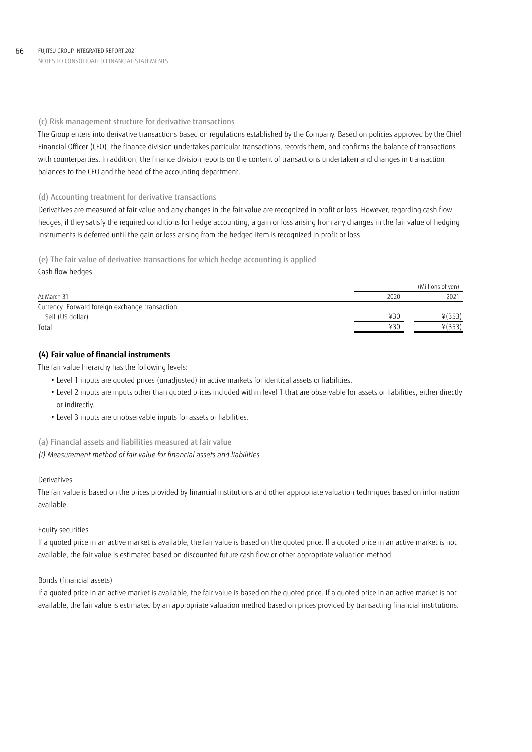## (c) Risk management structure for derivative transactions

The Group enters into derivative transactions based on regulations established by the Company. Based on policies approved by the Chief Financial Officer (CFO), the finance division undertakes particular transactions, records them, and confirms the balance of transactions with counterparties. In addition, the finance division reports on the content of transactions undertaken and changes in transaction balances to the CFO and the head of the accounting department.

## (d) Accounting treatment for derivative transactions

Derivatives are measured at fair value and any changes in the fair value are recognized in profit or loss. However, regarding cash flow hedges, if they satisfy the required conditions for hedge accounting, a gain or loss arising from any changes in the fair value of hedging instruments is deferred until the gain or loss arising from the hedged item is recognized in profit or loss.

## (e) The fair value of derivative transactions for which hedge accounting is applied Cash flow hedges

|                                                |      | (Millions of yen) |
|------------------------------------------------|------|-------------------|
| At March 31                                    | 2020 | 2021              |
| Currency: Forward foreign exchange transaction |      |                   |
| Sell (US dollar)                               | 430  | $*(353)$          |
| Total                                          | 430  | $*(353)$          |

## **(4) Fair value of financial instruments**

The fair value hierarchy has the following levels:

- Level 1 inputs are quoted prices (unadjusted) in active markets for identical assets or liabilities.
- Level 2 inputs are inputs other than quoted prices included within level 1 that are observable for assets or liabilities, either directly or indirectly.
- Level 3 inputs are unobservable inputs for assets or liabilities.

## (a) Financial assets and liabilities measured at fair value

*(i) Measurement method of fair value for financial assets and liabilities*

### Derivatives

The fair value is based on the prices provided by financial institutions and other appropriate valuation techniques based on information available.

## Equity securities

If a quoted price in an active market is available, the fair value is based on the quoted price. If a quoted price in an active market is not available, the fair value is estimated based on discounted future cash flow or other appropriate valuation method.

## Bonds (financial assets)

If a quoted price in an active market is available, the fair value is based on the quoted price. If a quoted price in an active market is not available, the fair value is estimated by an appropriate valuation method based on prices provided by transacting financial institutions.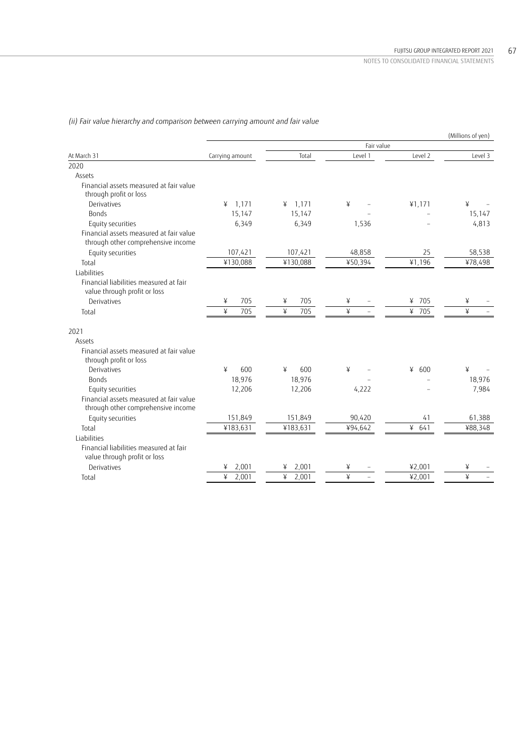|                                                                               |                 |                 |            |          | (Millions of yen) |
|-------------------------------------------------------------------------------|-----------------|-----------------|------------|----------|-------------------|
|                                                                               |                 |                 | Fair value |          |                   |
| At March 31                                                                   | Carrying amount | Total           | Level 1    | Level 2  | Level 3           |
| 2020                                                                          |                 |                 |            |          |                   |
| Assets                                                                        |                 |                 |            |          |                   |
| Financial assets measured at fair value<br>through profit or loss             |                 |                 |            |          |                   |
| Derivatives                                                                   | 1,171<br>¥      | 1,171<br>¥      | ¥          | 41,171   | ¥                 |
| <b>Bonds</b>                                                                  | 15,147          | 15,147          |            |          | 15,147            |
| Equity securities                                                             | 6,349           | 6,349           | 1,536      |          | 4,813             |
| Financial assets measured at fair value<br>through other comprehensive income |                 |                 |            |          |                   |
| Equity securities                                                             | 107,421         | 107,421         | 48,858     | 25       | 58,538            |
| Total                                                                         | ¥130,088        | ¥130,088        | ¥50,394    | ¥1,196   | ¥78,498           |
| Liabilities                                                                   |                 |                 |            |          |                   |
| Financial liabilities measured at fair<br>value through profit or loss        |                 |                 |            |          |                   |
| Derivatives                                                                   | 705<br>¥        | 705<br>¥        | ¥          | ¥ 705    | ¥                 |
| Total                                                                         | 705<br>¥        | $\angle$<br>705 | ¥          | ¥ 705    | ¥                 |
| 2021                                                                          |                 |                 |            |          |                   |
| Assets                                                                        |                 |                 |            |          |                   |
| Financial assets measured at fair value<br>through profit or loss             |                 |                 |            |          |                   |
| Derivatives                                                                   | ¥<br>600        | ¥<br>600        | ¥          | ¥<br>600 | ¥                 |
| <b>Bonds</b>                                                                  | 18,976          | 18,976          |            |          | 18,976            |
| Equity securities                                                             | 12,206          | 12,206          | 4,222      |          | 7,984             |
| Financial assets measured at fair value<br>through other comprehensive income |                 |                 |            |          |                   |
| Equity securities                                                             | 151,849         | 151,849         | 90,420     | 41       | 61,388            |
| Total                                                                         | ¥183,631        | ¥183,631        | ¥94,642    | 4641     | ¥88,348           |
| Liabilities                                                                   |                 |                 |            |          |                   |
| Financial liabilities measured at fair<br>value through profit or loss        |                 |                 |            |          |                   |
| Derivatives                                                                   | 2,001           | 2,001<br>¥      | ¥          | ¥2,001   | ¥                 |
| Total                                                                         | 2,001<br>¥      | ¥<br>2,001      | ¥          | ¥2,001   | ¥                 |

*(ii) Fair value hierarchy and comparison between carrying amount and fair value*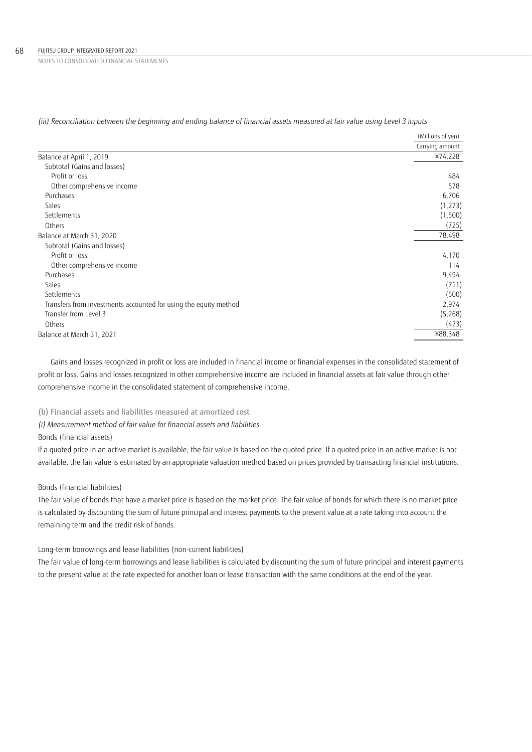|                                                                  | (Millions of yen) |
|------------------------------------------------------------------|-------------------|
|                                                                  | Carrying amount   |
| Balance at April 1, 2019                                         | ¥74,228           |
| Subtotal (Gains and losses)                                      |                   |
| Profit or loss                                                   | 484               |
| Other comprehensive income                                       | 578               |
| Purchases                                                        | 6,706             |
| Sales                                                            | (1,273)           |
| Settlements                                                      | (1,500)           |
| Others                                                           | (725)             |
| Balance at March 31, 2020                                        | 78,498            |
| Subtotal (Gains and losses)                                      |                   |
| Profit or loss                                                   | 4,170             |
| Other comprehensive income                                       | 114               |
| Purchases                                                        | 9,494             |
| Sales                                                            | (711)             |
| Settlements                                                      | (500)             |
| Transfers from investments accounted for using the equity method | 2,974             |
| Transfer from Level 3                                            | (5,268)           |
| Others                                                           | (423)             |
| Balance at March 31, 2021                                        | ¥88,348           |

*(iii) Reconciliation between the beginning and ending balance of financial assets measured at fair value using Level 3 inputs*

Gains and losses recognized in profit or loss are included in financial income or financial expenses in the consolidated statement of profit or loss. Gains and losses recognized in other comprehensive income are included in financial assets at fair value through other comprehensive income in the consolidated statement of comprehensive income.

(b) Financial assets and liabilities measured at amortized cost

*(i) Measurement method of fair value for financial assets and liabilities*

Bonds (financial assets)

If a quoted price in an active market is available, the fair value is based on the quoted price. If a quoted price in an active market is not available, the fair value is estimated by an appropriate valuation method based on prices provided by transacting financial institutions.

## Bonds (financial liabilities)

The fair value of bonds that have a market price is based on the market price. The fair value of bonds for which there is no market price is calculated by discounting the sum of future principal and interest payments to the present value at a rate taking into account the remaining term and the credit risk of bonds.

Long-term borrowings and lease liabilities (non-current liabilities)

The fair value of long-term borrowings and lease liabilities is calculated by discounting the sum of future principal and interest payments to the present value at the rate expected for another loan or lease transaction with the same conditions at the end of the year.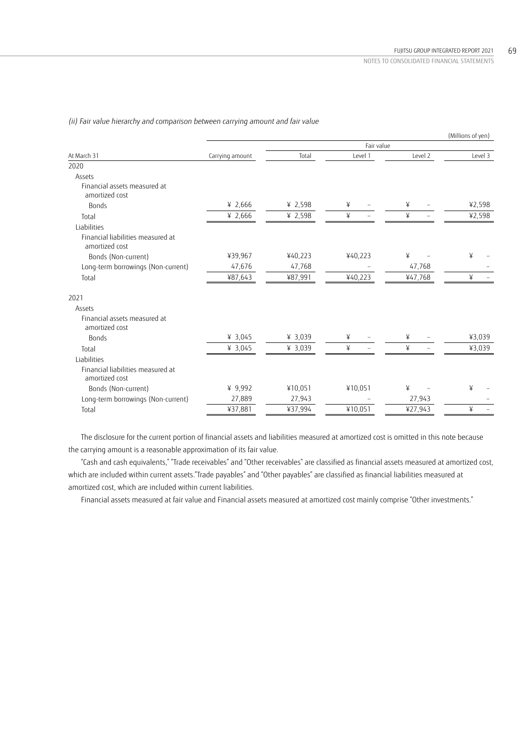(Millions of yen) Fair value At March 31 Level 2 Level 3 Level 3 Level 3 Level 3 Level 3 Level 3 Level 3 Level 3 Level 3 2020 Assets Financial assets measured at amortized cost Bonds ¥ 2,666 ¥ 2,598 ¥ – ¥ – ¥2,598 Total ¥ 2,666 ¥ 2,598 ¥ – ¥ – ¥2,598 Liabilities Financial liabilities measured at amortized cost Bonds (Non-current) ¥39,967 ¥40,223 ¥40,223 ¥ – ¥ – Long-term borrowings (Non-current) 47,676 47,768 – 47,768 – Total ¥87,643 ¥87,991 ¥40,223 ¥47,768 ¥ – 2021 Assets Financial assets measured at amortized cost Bonds ¥ 3,045 ¥ 3,039 ¥ – ¥ – ¥3,039 Total ¥ 3,045 ¥ 3,039 ¥ – ¥ – ¥3,039 Liabilities Financial liabilities measured at amortized cost Bonds (Non-current) ¥ 9,992 ¥10,051 ¥10,051 ¥ – ¥ – Long-term borrowings (Non-current)  $\frac{27,889}{\frac{437,881}{96}}$   $\frac{27,943}{\frac{437,994}{960}}$   $\frac{-}{\frac{410,051}{960}}$   $\frac{27,943}{\frac{427,943}{9600}}$ Total ¥37,881 ¥37,994 ¥10,051 ¥27,943 ¥ –

*(ii) Fair value hierarchy and comparison between carrying amount and fair value*

The disclosure for the current portion of financial assets and liabilities measured at amortized cost is omitted in this note because the carrying amount is a reasonable approximation of its fair value.

"Cash and cash equivalents," "Trade receivables" and "Other receivables" are classified as financial assets measured at amortized cost, which are included within current assets."Trade payables" and "Other payables" are classified as financial liabilities measured at amortized cost, which are included within current liabilities.

Financial assets measured at fair value and Financial assets measured at amortized cost mainly comprise "Other investments."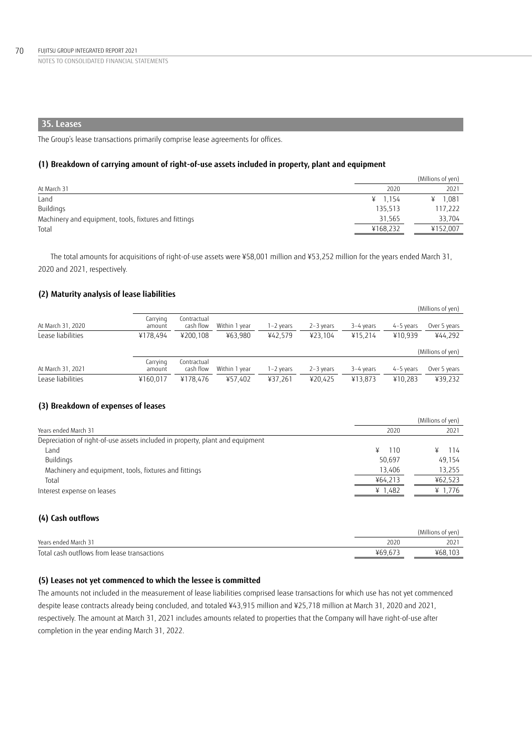## **35. Leases**

The Group's lease transactions primarily comprise lease agreements for offices.

### **(1) Breakdown of carrying amount of right-of-use assets included in property, plant and equipment**

|                                                       |           | (Millions of yen) |
|-------------------------------------------------------|-----------|-------------------|
| At March 31                                           | 2020      | 2021              |
| Land                                                  | ¥ $1.154$ | 1.081             |
| Buildings                                             | 135,513   | 117,222           |
| Machinery and equipment, tools, fixtures and fittings | 31,565    | 33.704            |
| Total                                                 | ¥168,232  | ¥152.007          |

The total amounts for acquisitions of right-of-use assets were ¥58,001 million and ¥53,252 million for the years ended March 31, 2020 and 2021, respectively.

## **(2) Maturity analysis of lease liabilities**

|                   |                    |                          |               |           |               |             |           | (Millions of yen) |
|-------------------|--------------------|--------------------------|---------------|-----------|---------------|-------------|-----------|-------------------|
| At March 31, 2020 | Carrying<br>amount | Contractual<br>cash flow | Within 1 year | 1-2 years | $2 - 3$ years | 3-4 years   | 4-5 years | Over 5 years      |
| Lease liabilities | ¥178.494           | ¥200.108                 | ¥63.980       | ¥42.579   | ¥23.104       | ¥15.214     | ¥10.939   | ¥44.292           |
|                   |                    |                          |               |           |               |             |           | (Millions of yen) |
| At March 31, 2021 | Carrying<br>amount | Contractual<br>cash flow | Within 1 year | 1-2 years | $2-3$ years   | $3-4$ years | 4-5 years | Over 5 years      |
| Lease liabilities | ¥160.017           | ¥178.476                 | ¥57,402       | ¥37,261   | ¥20.425       | ¥13.873     | ¥10.283   | ¥39,232           |

## **(3) Breakdown of expenses of leases**

|                                                                               | (Millions of yen) |         |  |
|-------------------------------------------------------------------------------|-------------------|---------|--|
| Years ended March 31                                                          | 2020              | 2021    |  |
| Depreciation of right-of-use assets included in property, plant and equipment |                   |         |  |
| Land                                                                          | ¥<br>-110         | 114     |  |
| Buildings                                                                     | 50.697            | 49,154  |  |
| Machinery and equipment, tools, fixtures and fittings                         | 13.406            | 13.255  |  |
| Total                                                                         | ¥64.213           | ¥62.523 |  |
| Interest expense on leases                                                    | ¥ 1,482           | ¥ 1.776 |  |
|                                                                               |                   |         |  |

## **(4) Cash outflows**

|                                             |      | (Millions of ven) |
|---------------------------------------------|------|-------------------|
| Years ended March 31                        | 2020 | 2021              |
| Total cash outflows from lease transactions | ¥69. | ¥68.103           |

## **(5) Leases not yet commenced to which the lessee is committed**

The amounts not included in the measurement of lease liabilities comprised lease transactions for which use has not yet commenced despite lease contracts already being concluded, and totaled ¥43,915 million and ¥25,718 million at March 31, 2020 and 2021, respectively. The amount at March 31, 2021 includes amounts related to properties that the Company will have right-of-use after completion in the year ending March 31, 2022.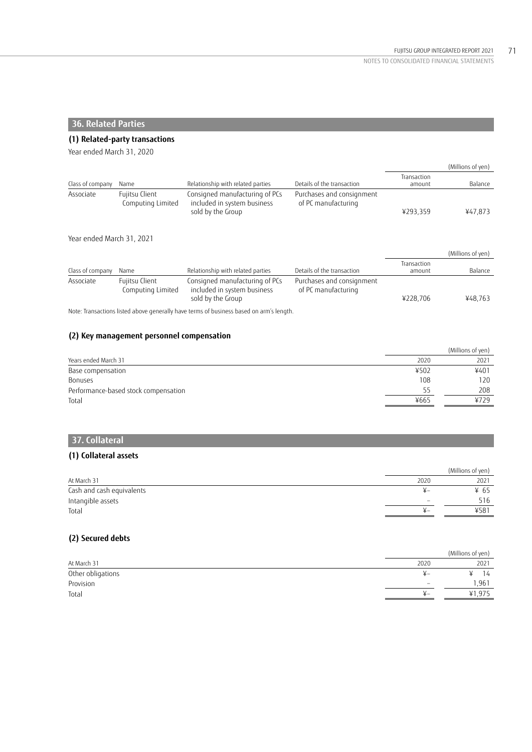(Millions of yen)

NOTES TO CONSOLIDATED FINANCIAL STATEMENTS

# **36. Related Parties**

## **(1) Related-party transactions**

Year ended March 31, 2020

|                           |                                     |                                                                                                             |                                                  | Transaction           |                   |
|---------------------------|-------------------------------------|-------------------------------------------------------------------------------------------------------------|--------------------------------------------------|-----------------------|-------------------|
| Class of company          | Name                                | Relationship with related parties                                                                           | Details of the transaction                       | amount                | Balance           |
| Associate                 | Fujitsu Client<br>Computing Limited | Consigned manufacturing of PCs<br>included in system business<br>sold by the Group                          | Purchases and consignment<br>of PC manufacturing | ¥293.359              | ¥47,873           |
| Year ended March 31, 2021 |                                     |                                                                                                             |                                                  |                       |                   |
|                           |                                     |                                                                                                             |                                                  |                       | (Millions of yen) |
| Class of company          | Name                                | Relationship with related parties                                                                           | Details of the transaction                       | Transaction<br>amount | Balance           |
| Associate                 | Fujitsu Client<br>Computing Limited | Consigned manufacturing of PCs<br>included in system business<br>sold by the Group                          | Purchases and consignment<br>of PC manufacturing | ¥228,706              | ¥48.763           |
|                           |                                     | Alexan Tagaira attaca i Italia di dinama deglera lla basa persona di basterono basa di dei desafo logicale. |                                                  |                       |                   |

Note: Transactions listed above generally have terms of business based on arm's length.

## **(2) Key management personnel compensation**

|                                      |      | (Millions of yen) |
|--------------------------------------|------|-------------------|
| Years ended March 31                 | 2020 | 2021              |
| Base compensation                    | ¥502 | ¥401              |
| Bonuses                              | 108  | 120               |
| Performance-based stock compensation | רל   | 208               |
| Total                                | ¥665 | 4729              |

# **37. Collateral**

## **(1) Collateral assets**

|                           |               | (Millions of yen) |
|---------------------------|---------------|-------------------|
| At March 31               | 2020          | 2021              |
| Cash and cash equivalents | $\mathsf{Y}-$ | ¥ 65              |
| Intangible assets         |               | 516               |
| Total                     | $\mathbf{y}$  | $458^{\circ}$     |

## **(2) Secured debts**

|                   |                          | (Millions of yen) |
|-------------------|--------------------------|-------------------|
| At March 31       | 2020                     | 2021              |
| Other obligations | $\pm -$                  | 14                |
| Provision         | $\overline{\phantom{a}}$ | 961. ا            |
| Total             | $+ -$                    | ¥1,975            |
|                   |                          |                   |